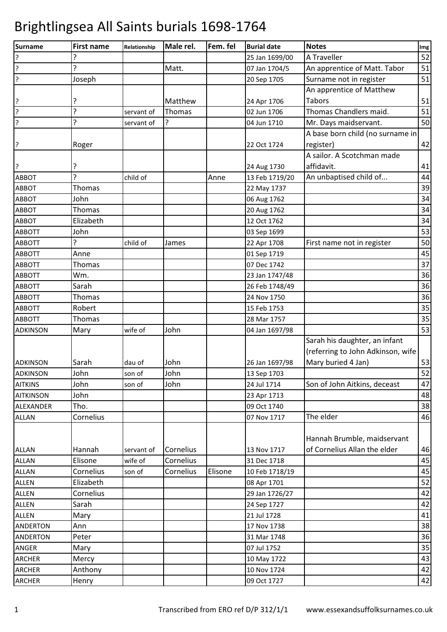| <b>Surname</b>   | <b>First name</b> | Relationship | Male rel. | Fem. fel | <b>Burial date</b> | <b>Notes</b>                      | Img |
|------------------|-------------------|--------------|-----------|----------|--------------------|-----------------------------------|-----|
| ?                | 5                 |              |           |          | 25 Jan 1699/00     | A Traveller                       | 52  |
| ?                | ŗ                 |              | Matt.     |          | 07 Jan 1704/5      | An apprentice of Matt. Tabor      | 51  |
| ?                | Joseph            |              |           |          | 20 Sep 1705        | Surname not in register           | 51  |
|                  |                   |              |           |          |                    | An apprentice of Matthew          |     |
| ?                |                   |              | Matthew   |          | 24 Apr 1706        | <b>Tabors</b>                     | 51  |
| ?                | ?                 | servant of   | Thomas    |          | 02 Jun 1706        | Thomas Chandlers maid.            | 51  |
| ?                | 5.                | servant of   | ?         |          | 04 Jun 1710        | Mr. Days maidservant.             | 50  |
|                  |                   |              |           |          |                    | A base born child (no surname in  |     |
| ?                | Roger             |              |           |          | 22 Oct 1724        | register)                         | 42  |
|                  |                   |              |           |          |                    | A sailor. A Scotchman made        |     |
| ?                |                   |              |           |          | 24 Aug 1730        | affidavit.                        | 41  |
| ABBOT            | 7                 | child of     |           | Anne     | 13 Feb 1719/20     | An unbaptised child of            | 44  |
| ABBOT            | Thomas            |              |           |          | 22 May 1737        |                                   | 39  |
| <b>ABBOT</b>     | John              |              |           |          | 06 Aug 1762        |                                   | 34  |
| ABBOT            | Thomas            |              |           |          | 20 Aug 1762        |                                   | 34  |
| ABBOT            | Elizabeth         |              |           |          | 12 Oct 1762        |                                   | 34  |
| <b>ABBOTT</b>    | John              |              |           |          | 03 Sep 1699        |                                   | 53  |
| <b>ABBOTT</b>    |                   | child of     | James     |          | 22 Apr 1708        | First name not in register        | 50  |
| <b>ABBOTT</b>    | Anne              |              |           |          | 01 Sep 1719        |                                   | 45  |
| <b>ABBOTT</b>    | Thomas            |              |           |          | 07 Dec 1742        |                                   | 37  |
| <b>ABBOTT</b>    | Wm.               |              |           |          | 23 Jan 1747/48     |                                   | 36  |
| <b>ABBOTT</b>    | Sarah             |              |           |          | 26 Feb 1748/49     |                                   | 36  |
| <b>ABBOTT</b>    | Thomas            |              |           |          | 24 Nov 1750        |                                   | 36  |
| <b>ABBOTT</b>    | Robert            |              |           |          | 15 Feb 1753        |                                   | 35  |
| <b>ABBOTT</b>    | Thomas            |              |           |          | 28 Mar 1757        |                                   | 35  |
| <b>ADKINSON</b>  | Mary              | wife of      | John      |          | 04 Jan 1697/98     |                                   | 53  |
|                  |                   |              |           |          |                    | Sarah his daughter, an infant     |     |
|                  |                   |              |           |          |                    | (referring to John Adkinson, wife |     |
| <b>ADKINSON</b>  | Sarah             | dau of       | John      |          | 26 Jan 1697/98     | Mary buried 4 Jan)                | 53  |
| <b>ADKINSON</b>  | John              | son of       | John      |          | 13 Sep 1703        |                                   | 52  |
| <b>AITKINS</b>   | John              | son of       | John      |          | 24 Jul 1714        | Son of John Aitkins, deceast      | 47  |
| <b>AITKINSON</b> | John              |              |           |          | 23 Apr 1713        |                                   | 48  |
| ALEXANDER        | Tho.              |              |           |          | 09 Oct 1740        |                                   | 38  |
| <b>ALLAN</b>     | Cornelius         |              |           |          | 07 Nov 1717        | The elder                         | 46  |
|                  |                   |              |           |          |                    |                                   |     |
|                  |                   |              |           |          |                    | Hannah Brumble, maidservant       |     |
| <b>ALLAN</b>     | Hannah            | servant of   | Cornelius |          | 13 Nov 1717        | of Cornelius Allan the elder      | 46  |
| <b>ALLAN</b>     | Elisone           | wife of      | Cornelius |          | 31 Dec 1718        |                                   | 45  |
| <b>ALLAN</b>     | Cornelius         | son of       | Cornelius | Elisone  | 10 Feb 1718/19     |                                   | 45  |
| <b>ALLEN</b>     | Elizabeth         |              |           |          | 08 Apr 1701        |                                   | 52  |
| <b>ALLEN</b>     | Cornelius         |              |           |          | 29 Jan 1726/27     |                                   | 42  |
| <b>ALLEN</b>     | Sarah             |              |           |          | 24 Sep 1727        |                                   | 42  |
| <b>ALLEN</b>     | Mary              |              |           |          | 21 Jul 1728        |                                   | 41  |
| <b>ANDERTON</b>  | Ann               |              |           |          | 17 Nov 1738        |                                   | 38  |
| ANDERTON         | Peter             |              |           |          | 31 Mar 1748        |                                   | 36  |
| ANGER            | Mary              |              |           |          | 07 Jul 1752        |                                   | 35  |
| <b>ARCHER</b>    | Mercy             |              |           |          | 10 May 1722        |                                   | 43  |
| <b>ARCHER</b>    | Anthony           |              |           |          | 10 Nov 1724        |                                   | 42  |
| ARCHER           | Henry             |              |           |          | 09 Oct 1727        |                                   | 42  |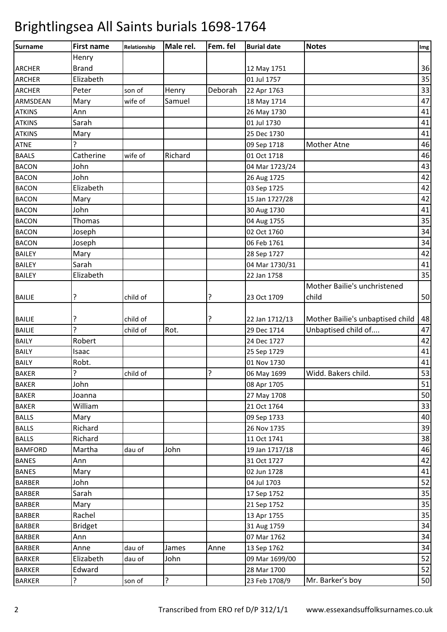| <b>Surname</b> | <b>First name</b> | Relationship | Male rel. | Fem. fel | <b>Burial date</b> | <b>Notes</b>                     | Img |
|----------------|-------------------|--------------|-----------|----------|--------------------|----------------------------------|-----|
|                | Henry             |              |           |          |                    |                                  |     |
| <b>ARCHER</b>  | <b>Brand</b>      |              |           |          | 12 May 1751        |                                  | 36  |
| <b>ARCHER</b>  | Elizabeth         |              |           |          | 01 Jul 1757        |                                  | 35  |
| <b>ARCHER</b>  | Peter             | son of       | Henry     | Deborah  | 22 Apr 1763        |                                  | 33  |
| ARMSDEAN       | Mary              | wife of      | Samuel    |          | 18 May 1714        |                                  | 47  |
| <b>ATKINS</b>  | Ann               |              |           |          | 26 May 1730        |                                  | 41  |
| <b>ATKINS</b>  | Sarah             |              |           |          | 01 Jul 1730        |                                  | 41  |
| <b>ATKINS</b>  | Mary              |              |           |          | 25 Dec 1730        |                                  | 41  |
| <b>ATNE</b>    |                   |              |           |          | 09 Sep 1718        | <b>Mother Atne</b>               | 46  |
| <b>BAALS</b>   | Catherine         | wife of      | Richard   |          | 01 Oct 1718        |                                  | 46  |
| <b>BACON</b>   | John              |              |           |          | 04 Mar 1723/24     |                                  | 43  |
| <b>BACON</b>   | John              |              |           |          | 26 Aug 1725        |                                  | 42  |
| <b>BACON</b>   | Elizabeth         |              |           |          | 03 Sep 1725        |                                  | 42  |
| <b>BACON</b>   | Mary              |              |           |          | 15 Jan 1727/28     |                                  | 42  |
| <b>BACON</b>   | John              |              |           |          | 30 Aug 1730        |                                  | 41  |
| <b>BACON</b>   | Thomas            |              |           |          | 04 Aug 1755        |                                  | 35  |
| <b>BACON</b>   | Joseph            |              |           |          | 02 Oct 1760        |                                  | 34  |
| <b>BACON</b>   | Joseph            |              |           |          | 06 Feb 1761        |                                  | 34  |
| <b>BAILEY</b>  | Mary              |              |           |          | 28 Sep 1727        |                                  | 42  |
| <b>BAILEY</b>  | Sarah             |              |           |          | 04 Mar 1730/31     |                                  | 41  |
| <b>BAILEY</b>  | Elizabeth         |              |           |          | 22 Jan 1758        |                                  | 35  |
|                |                   |              |           |          |                    | Mother Bailie's unchristened     |     |
| <b>BAILIE</b>  | ?                 | child of     |           | ŗ        | 23 Oct 1709        | child                            | 50  |
|                |                   |              |           |          |                    |                                  |     |
| <b>BAILIE</b>  | ?                 | child of     |           | ?        | 22 Jan 1712/13     | Mother Bailie's unbaptised child | 48  |
| <b>BAILIE</b>  | $\overline{?}$    | child of     | Rot.      |          | 29 Dec 1714        | Unbaptised child of              | 47  |
| <b>BAILY</b>   | Robert            |              |           |          | 24 Dec 1727        |                                  | 42  |
| <b>BAILY</b>   | Isaac             |              |           |          | 25 Sep 1729        |                                  | 41  |
| <b>BAILY</b>   | Robt.             |              |           |          | 01 Nov 1730        |                                  | 41  |
| <b>BAKER</b>   | ς                 | child of     |           | ς        | 06 May 1699        | Widd. Bakers child.              | 53  |
| <b>BAKER</b>   | John              |              |           |          | 08 Apr 1705        |                                  | 51  |
| <b>BAKER</b>   | Joanna            |              |           |          | 27 May 1708        |                                  | 50  |
| <b>BAKER</b>   | William           |              |           |          | 21 Oct 1764        |                                  | 33  |
| <b>BALLS</b>   | Mary              |              |           |          | 09 Sep 1733        |                                  | 40  |
| <b>BALLS</b>   | Richard           |              |           |          | 26 Nov 1735        |                                  | 39  |
| <b>BALLS</b>   | Richard           |              |           |          | 11 Oct 1741        |                                  | 38  |
| <b>BAMFORD</b> | Martha            | dau of       | John      |          | 19 Jan 1717/18     |                                  | 46  |
| <b>BANES</b>   | Ann               |              |           |          | 31 Oct 1727        |                                  | 42  |
| <b>BANES</b>   | Mary              |              |           |          | 02 Jun 1728        |                                  | 41  |
| <b>BARBER</b>  | John              |              |           |          | 04 Jul 1703        |                                  | 52  |
| <b>BARBER</b>  | Sarah             |              |           |          | 17 Sep 1752        |                                  | 35  |
| <b>BARBER</b>  | Mary              |              |           |          | 21 Sep 1752        |                                  | 35  |
| <b>BARBER</b>  | Rachel            |              |           |          | 13 Apr 1755        |                                  | 35  |
| <b>BARBER</b>  | <b>Bridget</b>    |              |           |          | 31 Aug 1759        |                                  | 34  |
| <b>BARBER</b>  | Ann               |              |           |          | 07 Mar 1762        |                                  | 34  |
| <b>BARBER</b>  | Anne              | dau of       | James     | Anne     | 13 Sep 1762        |                                  | 34  |
| <b>BARKER</b>  | Elizabeth         | dau of       | John      |          | 09 Mar 1699/00     |                                  | 52  |
| <b>BARKER</b>  | Edward            |              |           |          | 28 Mar 1700        |                                  | 52  |
| <b>BARKER</b>  | ?                 | son of       | ?         |          | 23 Feb 1708/9      | Mr. Barker's boy                 | 50  |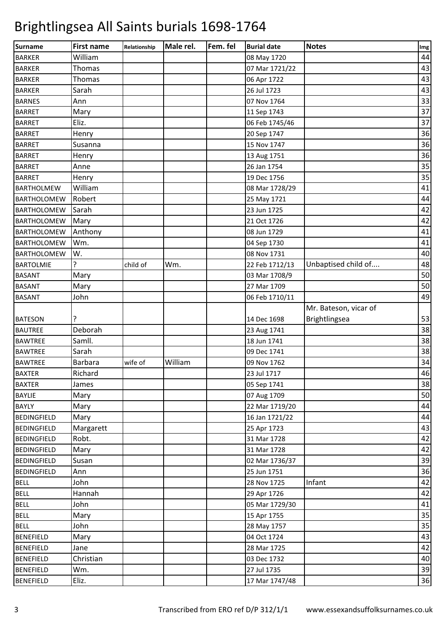| Surname            | <b>First name</b> | Relationship | Male rel. | Fem. fel | <b>Burial date</b> | <b>Notes</b>          | Img |
|--------------------|-------------------|--------------|-----------|----------|--------------------|-----------------------|-----|
| <b>BARKER</b>      | William           |              |           |          | 08 May 1720        |                       | 44  |
| <b>BARKER</b>      | Thomas            |              |           |          | 07 Mar 1721/22     |                       | 43  |
| <b>BARKER</b>      | Thomas            |              |           |          | 06 Apr 1722        |                       | 43  |
| <b>BARKER</b>      | Sarah             |              |           |          | 26 Jul 1723        |                       | 43  |
| <b>BARNES</b>      | Ann               |              |           |          | 07 Nov 1764        |                       | 33  |
| <b>BARRET</b>      | Mary              |              |           |          | 11 Sep 1743        |                       | 37  |
| <b>BARRET</b>      | Eliz.             |              |           |          | 06 Feb 1745/46     |                       | 37  |
| <b>BARRET</b>      | Henry             |              |           |          | 20 Sep 1747        |                       | 36  |
| <b>BARRET</b>      | Susanna           |              |           |          | 15 Nov 1747        |                       | 36  |
| <b>BARRET</b>      | Henry             |              |           |          | 13 Aug 1751        |                       | 36  |
| <b>BARRET</b>      | Anne              |              |           |          | 26 Jan 1754        |                       | 35  |
| <b>BARRET</b>      | Henry             |              |           |          | 19 Dec 1756        |                       | 35  |
| <b>BARTHOLMEW</b>  | William           |              |           |          | 08 Mar 1728/29     |                       | 41  |
| <b>BARTHOLOMEW</b> | Robert            |              |           |          | 25 May 1721        |                       | 44  |
| <b>BARTHOLOMEW</b> | Sarah             |              |           |          | 23 Jun 1725        |                       | 42  |
| <b>BARTHOLOMEW</b> | Mary              |              |           |          | 21 Oct 1726        |                       | 42  |
| <b>BARTHOLOMEW</b> | Anthony           |              |           |          | 08 Jun 1729        |                       | 41  |
| <b>BARTHOLOMEW</b> | Wm.               |              |           |          | 04 Sep 1730        |                       | 41  |
| <b>BARTHOLOMEW</b> | W.                |              |           |          | 08 Nov 1731        |                       | 40  |
| <b>BARTOLMIE</b>   | 5.                | child of     | Wm.       |          | 22 Feb 1712/13     | Unbaptised child of   | 48  |
| <b>BASANT</b>      | Mary              |              |           |          | 03 Mar 1708/9      |                       | 50  |
| <b>BASANT</b>      | Mary              |              |           |          | 27 Mar 1709        |                       | 50  |
| <b>BASANT</b>      | John              |              |           |          | 06 Feb 1710/11     |                       | 49  |
|                    |                   |              |           |          |                    | Mr. Bateson, vicar of |     |
| <b>BATESON</b>     |                   |              |           |          | 14 Dec 1698        | Brightlingsea         | 53  |
| <b>BAUTREE</b>     | Deborah           |              |           |          | 23 Aug 1741        |                       | 38  |
| <b>BAWTREE</b>     | Samll.            |              |           |          | 18 Jun 1741        |                       | 38  |
| <b>BAWTREE</b>     | Sarah             |              |           |          | 09 Dec 1741        |                       | 38  |
| <b>BAWTREE</b>     | <b>Barbara</b>    | wife of      | William   |          | 09 Nov 1762        |                       | 34  |
| <b>BAXTER</b>      | Richard           |              |           |          | 23 Jul 1717        |                       | 46  |
| <b>BAXTER</b>      | James             |              |           |          | 05 Sep 1741        |                       | 38  |
| <b>BAYLIE</b>      | Mary              |              |           |          | 07 Aug 1709        |                       | 50  |
| <b>BAYLY</b>       | Mary              |              |           |          | 22 Mar 1719/20     |                       | 44  |
| <b>BEDINGFIELD</b> | Mary              |              |           |          | 16 Jan 1721/22     |                       | 44  |
| <b>BEDINGFIELD</b> | Margarett         |              |           |          | 25 Apr 1723        |                       | 43  |
| <b>BEDINGFIELD</b> | Robt.             |              |           |          | 31 Mar 1728        |                       | 42  |
| <b>BEDINGFIELD</b> | Mary              |              |           |          | 31 Mar 1728        |                       | 42  |
| <b>BEDINGFIELD</b> | Susan             |              |           |          | 02 Mar 1736/37     |                       | 39  |
| <b>BEDINGFIELD</b> | Ann               |              |           |          | 25 Jun 1751        |                       | 36  |
| <b>BELL</b>        | John              |              |           |          | 28 Nov 1725        | Infant                | 42  |
| <b>BELL</b>        | Hannah            |              |           |          | 29 Apr 1726        |                       | 42  |
| <b>BELL</b>        | John              |              |           |          | 05 Mar 1729/30     |                       | 41  |
| <b>BELL</b>        | Mary              |              |           |          | 15 Apr 1755        |                       | 35  |
| <b>BELL</b>        | John              |              |           |          | 28 May 1757        |                       | 35  |
| <b>BENEFIELD</b>   | Mary              |              |           |          | 04 Oct 1724        |                       | 43  |
| <b>BENEFIELD</b>   | Jane              |              |           |          | 28 Mar 1725        |                       | 42  |
| <b>BENEFIELD</b>   | Christian         |              |           |          | 03 Dec 1732        |                       | 40  |
| <b>BENEFIELD</b>   | Wm.               |              |           |          | 27 Jul 1735        |                       | 39  |
| <b>BENEFIELD</b>   | Eliz.             |              |           |          | 17 Mar 1747/48     |                       | 36  |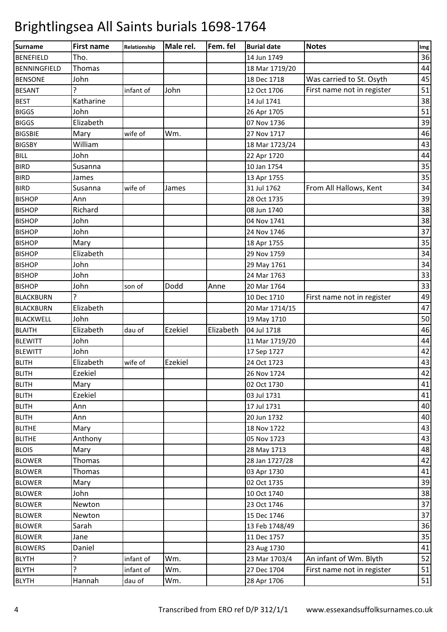| <b>Surname</b>      | <b>First name</b> | Relationship | Male rel. | Fem. fel  | <b>Burial date</b> | <b>Notes</b>               | Img |
|---------------------|-------------------|--------------|-----------|-----------|--------------------|----------------------------|-----|
| <b>BENEFIELD</b>    | Tho.              |              |           |           | 14 Jun 1749        |                            | 36  |
| <b>BENNINGFIELD</b> | Thomas            |              |           |           | 18 Mar 1719/20     |                            | 44  |
| <b>BENSONE</b>      | John              |              |           |           | 18 Dec 1718        | Was carried to St. Osyth   | 45  |
| <b>BESANT</b>       |                   | infant of    | John      |           | 12 Oct 1706        | First name not in register | 51  |
| <b>BEST</b>         | Katharine         |              |           |           | 14 Jul 1741        |                            | 38  |
| <b>BIGGS</b>        | John              |              |           |           | 26 Apr 1705        |                            | 51  |
| <b>BIGGS</b>        | Elizabeth         |              |           |           | 07 Nov 1736        |                            | 39  |
| <b>BIGSBIE</b>      | Mary              | wife of      | Wm.       |           | 27 Nov 1717        |                            | 46  |
| <b>BIGSBY</b>       | William           |              |           |           | 18 Mar 1723/24     |                            | 43  |
| <b>BILL</b>         | John              |              |           |           | 22 Apr 1720        |                            | 44  |
| <b>BIRD</b>         | Susanna           |              |           |           | 10 Jan 1754        |                            | 35  |
| <b>BIRD</b>         | James             |              |           |           | 13 Apr 1755        |                            | 35  |
| <b>BIRD</b>         | Susanna           | wife of      | James     |           | 31 Jul 1762        | From All Hallows, Kent     | 34  |
| <b>BISHOP</b>       | Ann               |              |           |           | 28 Oct 1735        |                            | 39  |
| <b>BISHOP</b>       | Richard           |              |           |           | 08 Jun 1740        |                            | 38  |
| <b>BISHOP</b>       | John              |              |           |           | 04 Nov 1741        |                            | 38  |
| <b>BISHOP</b>       | John              |              |           |           | 24 Nov 1746        |                            | 37  |
| <b>BISHOP</b>       | Mary              |              |           |           | 18 Apr 1755        |                            | 35  |
| <b>BISHOP</b>       | Elizabeth         |              |           |           | 29 Nov 1759        |                            | 34  |
| <b>BISHOP</b>       | John              |              |           |           | 29 May 1761        |                            | 34  |
| <b>BISHOP</b>       | John              |              |           |           | 24 Mar 1763        |                            | 33  |
| <b>BISHOP</b>       | John              | son of       | Dodd      | Anne      | 20 Mar 1764        |                            | 33  |
| <b>BLACKBURN</b>    |                   |              |           |           | 10 Dec 1710        | First name not in register | 49  |
| <b>BLACKBURN</b>    | Elizabeth         |              |           |           | 20 Mar 1714/15     |                            | 47  |
| <b>BLACKWELL</b>    | John              |              |           |           | 19 May 1710        |                            | 50  |
| <b>BLAITH</b>       | Elizabeth         | dau of       | Ezekiel   | Elizabeth | 04 Jul 1718        |                            | 46  |
| <b>BLEWITT</b>      | John              |              |           |           | 11 Mar 1719/20     |                            | 44  |
| <b>BLEWITT</b>      | John              |              |           |           | 17 Sep 1727        |                            | 42  |
| <b>BLITH</b>        | Elizabeth         | wife of      | Ezekiel   |           | 24 Oct 1723        |                            | 43  |
| <b>BLITH</b>        | <b>Ezekiel</b>    |              |           |           | 26 Nov 1724        |                            | 42  |
| <b>BLITH</b>        | Mary              |              |           |           | 02 Oct 1730        |                            | 41  |
| <b>BLITH</b>        | Ezekiel           |              |           |           | 03 Jul 1731        |                            | 41  |
| <b>BLITH</b>        | Ann               |              |           |           | 17 Jul 1731        |                            | 40  |
| <b>BLITH</b>        | Ann               |              |           |           | 20 Jun 1732        |                            | 40  |
| <b>BLITHE</b>       | Mary              |              |           |           | 18 Nov 1722        |                            | 43  |
| <b>BLITHE</b>       | Anthony           |              |           |           | 05 Nov 1723        |                            | 43  |
| <b>BLOIS</b>        | Mary              |              |           |           | 28 May 1713        |                            | 48  |
| <b>BLOWER</b>       | Thomas            |              |           |           | 28 Jan 1727/28     |                            | 42  |
| <b>BLOWER</b>       | Thomas            |              |           |           | 03 Apr 1730        |                            | 41  |
| <b>BLOWER</b>       | Mary              |              |           |           | 02 Oct 1735        |                            | 39  |
| <b>BLOWER</b>       | John              |              |           |           | 10 Oct 1740        |                            | 38  |
| <b>BLOWER</b>       | Newton            |              |           |           | 23 Oct 1746        |                            | 37  |
| <b>BLOWER</b>       | Newton            |              |           |           | 15 Dec 1746        |                            | 37  |
| <b>BLOWER</b>       | Sarah             |              |           |           | 13 Feb 1748/49     |                            | 36  |
| <b>BLOWER</b>       | Jane              |              |           |           | 11 Dec 1757        |                            | 35  |
| <b>BLOWERS</b>      | Daniel            |              |           |           | 23 Aug 1730        |                            | 41  |
| <b>BLYTH</b>        | 5.                | infant of    | Wm.       |           | 23 Mar 1703/4      | An infant of Wm. Blyth     | 52  |
| <b>BLYTH</b>        | 5                 | infant of    | Wm.       |           | 27 Dec 1704        | First name not in register | 51  |
| <b>BLYTH</b>        | Hannah            | dau of       | Wm.       |           | 28 Apr 1706        |                            | 51  |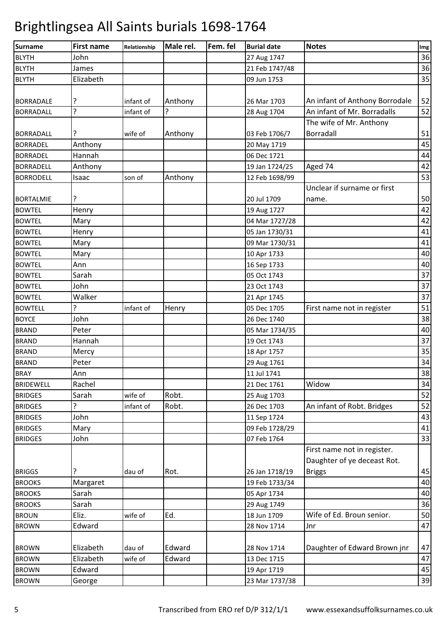| <b>Surname</b>   | <b>First name</b> | Relationship | Male rel. | Fem. fel | <b>Burial date</b> | <b>Notes</b>                   | Img |
|------------------|-------------------|--------------|-----------|----------|--------------------|--------------------------------|-----|
| <b>BLYTH</b>     | John              |              |           |          | 27 Aug 1747        |                                | 36  |
| <b>BLYTH</b>     | James             |              |           |          | 21 Feb 1747/48     |                                | 36  |
| <b>BLYTH</b>     | Elizabeth         |              |           |          | 09 Jun 1753        |                                | 35  |
|                  |                   |              |           |          |                    |                                |     |
| <b>BORRADALE</b> | ?                 | infant of    | Anthony   |          | 26 Mar 1703        | An infant of Anthony Borrodale | 52  |
| <b>BORRADALL</b> | ?                 | infant of    | ?         |          | 28 Aug 1704        | An infant of Mr. Borradalls    | 52  |
|                  |                   |              |           |          |                    | The wife of Mr. Anthony        |     |
| <b>BORRADALL</b> | ?                 | wife of      | Anthony   |          | 03 Feb 1706/7      | Borradall                      | 51  |
| <b>BORRADEL</b>  | Anthony           |              |           |          | 20 May 1719        |                                | 45  |
| <b>BORRADEL</b>  | Hannah            |              |           |          | 06 Dec 1721        |                                | 44  |
| <b>BORRADELL</b> | Anthony           |              |           |          | 19 Jan 1724/25     | Aged 74                        | 42  |
| <b>BORRODELL</b> | Isaac             | son of       | Anthony   |          | 12 Feb 1698/99     |                                | 53  |
|                  |                   |              |           |          |                    | Unclear if surname or first    |     |
| <b>BORTALMIE</b> | ?                 |              |           |          | 20 Jul 1709        | name.                          | 50  |
| <b>BOWTEL</b>    | Henry             |              |           |          | 19 Aug 1727        |                                | 42  |
| <b>BOWTEL</b>    | Mary              |              |           |          | 04 Mar 1727/28     |                                | 42  |
| <b>BOWTEL</b>    | Henry             |              |           |          | 05 Jan 1730/31     |                                | 41  |
| <b>BOWTEL</b>    | Mary              |              |           |          | 09 Mar 1730/31     |                                | 41  |
| <b>BOWTEL</b>    | Mary              |              |           |          | 10 Apr 1733        |                                | 40  |
| <b>BOWTEL</b>    | Ann               |              |           |          | 16 Sep 1733        |                                | 40  |
| <b>BOWTEL</b>    | Sarah             |              |           |          | 05 Oct 1743        |                                | 37  |
| <b>BOWTEL</b>    | John              |              |           |          | 23 Oct 1743        |                                | 37  |
| <b>BOWTEL</b>    | Walker            |              |           |          | 21 Apr 1745        |                                | 37  |
| <b>BOWTELL</b>   | 5.                | infant of    | Henry     |          | 05 Dec 1705        | First name not in register     | 51  |
| <b>BOYCE</b>     | John              |              |           |          | 26 Dec 1740        |                                | 38  |
| <b>BRAND</b>     | Peter             |              |           |          | 05 Mar 1734/35     |                                | 40  |
| <b>BRAND</b>     | Hannah            |              |           |          | 19 Oct 1743        |                                | 37  |
| <b>BRAND</b>     | Mercy             |              |           |          | 18 Apr 1757        |                                | 35  |
| <b>BRAND</b>     | Peter             |              |           |          | 29 Aug 1761        |                                | 34  |
| <b>BRAY</b>      | Ann               |              |           |          | 11 Jul 1741        |                                | 38  |
| <b>BRIDEWELL</b> | Rachel            |              |           |          | 21 Dec 1761        | Widow                          | 34  |
| <b>BRIDGES</b>   | Sarah             | wife of      | Robt.     |          | 25 Aug 1703        |                                | 52  |
| <b>BRIDGES</b>   | 5.                | infant of    | Robt.     |          | 26 Dec 1703        | An infant of Robt. Bridges     | 52  |
| <b>BRIDGES</b>   | John              |              |           |          | 11 Sep 1724        |                                | 43  |
| <b>BRIDGES</b>   | Mary              |              |           |          | 09 Feb 1728/29     |                                | 41  |
| <b>BRIDGES</b>   | John              |              |           |          | 07 Feb 1764        |                                | 33  |
|                  |                   |              |           |          |                    | First name not in register.    |     |
|                  |                   |              |           |          |                    | Daughter of ye deceast Rot.    |     |
| <b>BRIGGS</b>    | ?                 | dau of       | Rot.      |          | 26 Jan 1718/19     | <b>Briggs</b>                  | 45  |
| <b>BROOKS</b>    | Margaret          |              |           |          | 19 Feb 1733/34     |                                | 40  |
| <b>BROOKS</b>    | Sarah             |              |           |          | 05 Apr 1734        |                                | 40  |
| <b>BROOKS</b>    | Sarah             |              |           |          | 29 Aug 1749        |                                | 36  |
| <b>BROUN</b>     | Eliz.             | wife of      | Ed.       |          | 18 Jun 1709        | Wife of Ed. Broun senior.      | 50  |
| <b>BROWN</b>     | Edward            |              |           |          | 28 Nov 1714        | Jnr                            | 47  |
|                  |                   |              |           |          |                    |                                |     |
| <b>BROWN</b>     | Elizabeth         | dau of       | Edward    |          | 28 Nov 1714        | Daughter of Edward Brown jnr   | 47  |
| <b>BROWN</b>     | Elizabeth         | wife of      | Edward    |          | 13 Dec 1715        |                                | 47  |
| <b>BROWN</b>     | Edward            |              |           |          | 19 Apr 1719        |                                | 45  |
| <b>BROWN</b>     | George            |              |           |          | 23 Mar 1737/38     |                                | 39  |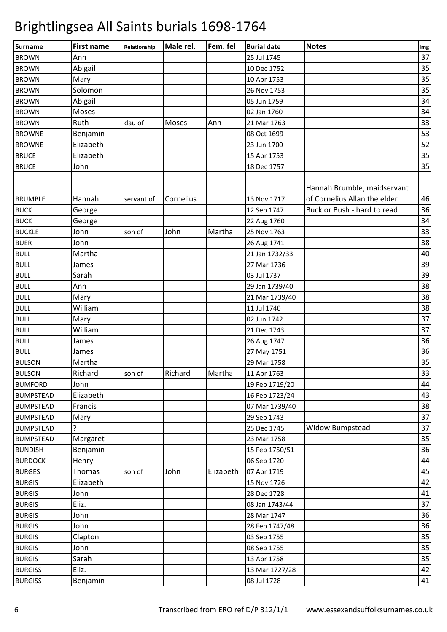| <b>Surname</b>                | <b>First name</b> | Relationship | Male rel. | Fem. fel  | <b>Burial date</b>         | <b>Notes</b>                                                                                | Img      |
|-------------------------------|-------------------|--------------|-----------|-----------|----------------------------|---------------------------------------------------------------------------------------------|----------|
| <b>BROWN</b>                  | Ann               |              |           |           | 25 Jul 1745                |                                                                                             | 37       |
| <b>BROWN</b>                  | Abigail           |              |           |           | 10 Dec 1752                |                                                                                             | 35       |
| <b>BROWN</b>                  | Mary              |              |           |           | 10 Apr 1753                |                                                                                             | 35       |
| <b>BROWN</b>                  | Solomon           |              |           |           | 26 Nov 1753                |                                                                                             | 35       |
| <b>BROWN</b>                  | Abigail           |              |           |           | 05 Jun 1759                |                                                                                             | 34       |
| <b>BROWN</b>                  | Moses             |              |           |           | 02 Jan 1760                |                                                                                             | 34       |
| <b>BROWN</b>                  | Ruth              | dau of       | Moses     | Ann       | 21 Mar 1763                |                                                                                             | 33       |
| <b>BROWNE</b>                 | Benjamin          |              |           |           | 08 Oct 1699                |                                                                                             | 53       |
| <b>BROWNE</b>                 | Elizabeth         |              |           |           | 23 Jun 1700                |                                                                                             | 52       |
| <b>BRUCE</b>                  | Elizabeth         |              |           |           | 15 Apr 1753                |                                                                                             | 35       |
| <b>BRUCE</b>                  | John              |              |           |           | 18 Dec 1757                |                                                                                             | 35       |
| <b>BRUMBLE</b><br><b>BUCK</b> | Hannah<br>George  | servant of   | Cornelius |           | 13 Nov 1717<br>12 Sep 1747 | Hannah Brumble, maidservant<br>of Cornelius Allan the elder<br>Buck or Bush - hard to read. | 46<br>36 |
| <b>BUCK</b>                   | George            |              |           |           | 22 Aug 1760                |                                                                                             | 34       |
| <b>BUCKLE</b>                 | John              | son of       | John      | Martha    | 25 Nov 1763                |                                                                                             | 33       |
| <b>BUER</b>                   | John              |              |           |           | 26 Aug 1741                |                                                                                             | 38       |
| <b>BULL</b>                   | Martha            |              |           |           | 21 Jan 1732/33             |                                                                                             | 40       |
| <b>BULL</b>                   | James             |              |           |           | 27 Mar 1736                |                                                                                             | 39       |
| <b>BULL</b>                   | Sarah             |              |           |           | 03 Jul 1737                |                                                                                             | 39       |
| <b>BULL</b>                   | Ann               |              |           |           | 29 Jan 1739/40             |                                                                                             | 38       |
| <b>BULL</b>                   | Mary              |              |           |           | 21 Mar 1739/40             |                                                                                             | 38       |
| <b>BULL</b>                   | William           |              |           |           | 11 Jul 1740                |                                                                                             | 38       |
| <b>BULL</b>                   | Mary              |              |           |           | 02 Jun 1742                |                                                                                             | 37       |
| <b>BULL</b>                   | William           |              |           |           | 21 Dec 1743                |                                                                                             | 37       |
| <b>BULL</b>                   | James             |              |           |           | 26 Aug 1747                |                                                                                             | 36       |
| <b>BULL</b>                   | James             |              |           |           | 27 May 1751                |                                                                                             | 36       |
| <b>BULSON</b>                 | Martha            |              |           |           | 29 Mar 1758                |                                                                                             | 35       |
| <b>BULSON</b>                 | Richard           | son of       | Richard   | Martha    | 11 Apr 1763                |                                                                                             | 33       |
| <b>BUMFORD</b>                | John              |              |           |           | 19 Feb 1719/20             |                                                                                             | 44       |
| <b>BUMPSTEAD</b>              | Elizabeth         |              |           |           | 16 Feb 1723/24             |                                                                                             | 43       |
| <b>BUMPSTEAD</b>              | Francis           |              |           |           | 07 Mar 1739/40             |                                                                                             | 38       |
| <b>BUMPSTEAD</b>              | Mary              |              |           |           | 29 Sep 1743                |                                                                                             | 37       |
| <b>BUMPSTEAD</b>              | 7                 |              |           |           | 25 Dec 1745                | <b>Widow Bumpstead</b>                                                                      | 37       |
| <b>BUMPSTEAD</b>              | Margaret          |              |           |           | 23 Mar 1758                |                                                                                             | 35       |
| <b>BUNDISH</b>                | Benjamin          |              |           |           | 15 Feb 1750/51             |                                                                                             | 36       |
| <b>BURDOCK</b>                | Henry             |              |           |           | 06 Sep 1720                |                                                                                             | 44       |
| <b>BURGES</b>                 | Thomas            | son of       | John      | Elizabeth | 07 Apr 1719                |                                                                                             | 45       |
| <b>BURGIS</b>                 | Elizabeth         |              |           |           | 15 Nov 1726                |                                                                                             | 42       |
| <b>BURGIS</b>                 | John              |              |           |           | 28 Dec 1728                |                                                                                             | 41       |
| <b>BURGIS</b>                 | Eliz.             |              |           |           | 08 Jan 1743/44             |                                                                                             | 37       |
| <b>BURGIS</b>                 | John              |              |           |           | 28 Mar 1747                |                                                                                             | 36       |
| <b>BURGIS</b>                 | John              |              |           |           | 28 Feb 1747/48             |                                                                                             | 36       |
| <b>BURGIS</b>                 | Clapton           |              |           |           | 03 Sep 1755                |                                                                                             | 35       |
| <b>BURGIS</b>                 | John              |              |           |           | 08 Sep 1755                |                                                                                             | 35       |
| <b>BURGIS</b>                 | Sarah             |              |           |           | 13 Apr 1758                |                                                                                             | 35       |
| <b>BURGISS</b>                | Eliz.             |              |           |           | 13 Mar 1727/28             |                                                                                             | 42       |
| <b>BURGISS</b>                | Benjamin          |              |           |           | 08 Jul 1728                |                                                                                             | 41       |
|                               |                   |              |           |           |                            |                                                                                             |          |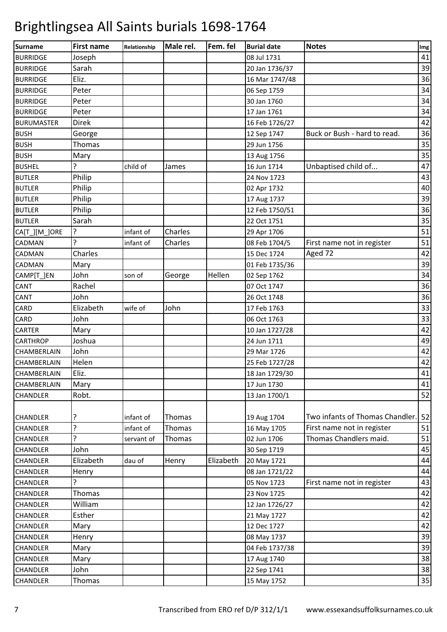| <b>Surname</b>     | <b>First name</b> | Relationship | Male rel. | Fem. fel  | <b>Burial date</b> | <b>Notes</b>                    | Img |
|--------------------|-------------------|--------------|-----------|-----------|--------------------|---------------------------------|-----|
| <b>BURRIDGE</b>    | Joseph            |              |           |           | 08 Jul 1731        |                                 | 41  |
| <b>BURRIDGE</b>    | Sarah             |              |           |           | 20 Jan 1736/37     |                                 | 39  |
| <b>BURRIDGE</b>    | Eliz.             |              |           |           | 16 Mar 1747/48     |                                 | 36  |
| <b>BURRIDGE</b>    | Peter             |              |           |           | 06 Sep 1759        |                                 | 34  |
| <b>BURRIDGE</b>    | Peter             |              |           |           | 30 Jan 1760        |                                 | 34  |
| <b>BURRIDGE</b>    | Peter             |              |           |           | 17 Jan 1761        |                                 | 34  |
| <b>BURUMASTER</b>  | <b>Direk</b>      |              |           |           | 16 Feb 1726/27     |                                 | 42  |
| <b>BUSH</b>        | George            |              |           |           | 12 Sep 1747        | Buck or Bush - hard to read.    | 36  |
| <b>BUSH</b>        | Thomas            |              |           |           | 29 Jun 1756        |                                 | 35  |
| <b>BUSH</b>        | Mary              |              |           |           | 13 Aug 1756        |                                 | 35  |
| <b>BUSHEL</b>      | 5                 | child of     | James     |           | 16 Jun 1714        | Unbaptised child of             | 47  |
| <b>BUTLER</b>      | Philip            |              |           |           | 24 Nov 1723        |                                 | 43  |
| <b>BUTLER</b>      | Philip            |              |           |           | 02 Apr 1732        |                                 | 40  |
| <b>BUTLER</b>      | Philip            |              |           |           | 17 Aug 1737        |                                 | 39  |
| <b>BUTLER</b>      | Philip            |              |           |           | 12 Feb 1750/51     |                                 | 36  |
| <b>BUTLER</b>      | Sarah             |              |           |           | 22 Oct 1751        |                                 | 35  |
| CA[T_][M_]ORE      | 5                 | infant of    | Charles   |           | 29 Apr 1706        |                                 | 51  |
| CADMAN             |                   | infant of    | Charles   |           | 08 Feb 1704/5      | First name not in register      | 51  |
| <b>CADMAN</b>      | Charles           |              |           |           | 15 Dec 1724        | Aged 72                         | 42  |
| <b>CADMAN</b>      | Mary              |              |           |           | 01 Feb 1735/36     |                                 | 39  |
| CAMP[T_]EN         | John              | son of       | George    | Hellen    | 02 Sep 1762        |                                 | 34  |
| <b>CANT</b>        | Rachel            |              |           |           | 07 Oct 1747        |                                 | 36  |
| CANT               | John              |              |           |           | 26 Oct 1748        |                                 | 36  |
| CARD               | Elizabeth         | wife of      | John      |           | 17 Feb 1763        |                                 | 33  |
| CARD               | John              |              |           |           | 06 Oct 1763        |                                 | 33  |
| <b>CARTER</b>      | Mary              |              |           |           | 10 Jan 1727/28     |                                 | 42  |
| <b>CARTHROP</b>    | Joshua            |              |           |           | 24 Jun 1711        |                                 | 49  |
| CHAMBERLAIN        | John              |              |           |           | 29 Mar 1726        |                                 | 42  |
| CHAMBERLAIN        | Helen             |              |           |           | 25 Feb 1727/28     |                                 | 42  |
| <b>CHAMBERLAIN</b> | Eliz.             |              |           |           | 18 Jan 1729/30     |                                 | 41  |
| CHAMBERLAIN        | Mary              |              |           |           | 17 Jun 1730        |                                 | 41  |
| <b>CHANDLER</b>    | Robt.             |              |           |           | 13 Jan 1700/1      |                                 | 52  |
|                    |                   |              |           |           |                    |                                 |     |
| <b>CHANDLER</b>    | ?                 | infant of    | Thomas    |           | 19 Aug 1704        | Two infants of Thomas Chandler. | 52  |
| <b>CHANDLER</b>    | 5                 | infant of    | Thomas    |           | 16 May 1705        | First name not in register      | 51  |
| <b>CHANDLER</b>    | 5                 | servant of   | Thomas    |           | 02 Jun 1706        | Thomas Chandlers maid.          | 51  |
| <b>CHANDLER</b>    | John              |              |           |           | 30 Sep 1719        |                                 | 45  |
| <b>CHANDLER</b>    | Elizabeth         | dau of       | Henry     | Elizabeth | 20 May 1721        |                                 | 44  |
| <b>CHANDLER</b>    | Henry             |              |           |           | 08 Jan 1721/22     |                                 | 44  |
| <b>CHANDLER</b>    | ?                 |              |           |           | 05 Nov 1723        | First name not in register      | 43  |
| <b>CHANDLER</b>    | Thomas            |              |           |           | 23 Nov 1725        |                                 | 42  |
| <b>CHANDLER</b>    | William           |              |           |           | 12 Jan 1726/27     |                                 | 42  |
| <b>CHANDLER</b>    | Esther            |              |           |           | 21 May 1727        |                                 | 42  |
| <b>CHANDLER</b>    | Mary              |              |           |           | 12 Dec 1727        |                                 | 42  |
| <b>CHANDLER</b>    | Henry             |              |           |           | 08 May 1737        |                                 | 39  |
| <b>CHANDLER</b>    | Mary              |              |           |           | 04 Feb 1737/38     |                                 | 39  |
| <b>CHANDLER</b>    | Mary              |              |           |           | 17 Aug 1740        |                                 | 38  |
| <b>CHANDLER</b>    | John              |              |           |           | 22 Sep 1741        |                                 | 38  |
| CHANDLER           | Thomas            |              |           |           | 15 May 1752        |                                 | 35  |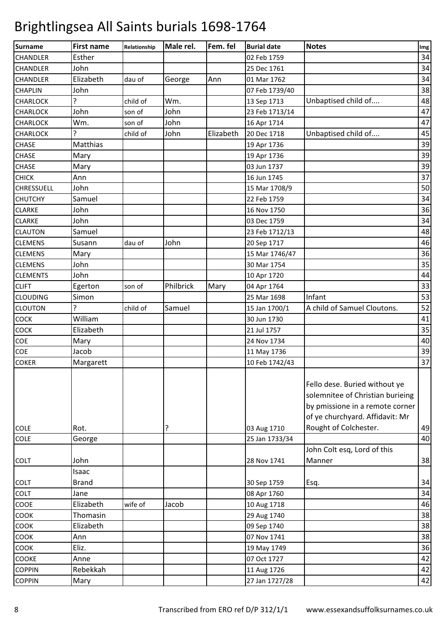| <b>Surname</b>    | <b>First name</b> | Relationship | Male rel. | Fem. fel  | <b>Burial date</b> | <b>Notes</b>                                                                                                                                                     | Img |
|-------------------|-------------------|--------------|-----------|-----------|--------------------|------------------------------------------------------------------------------------------------------------------------------------------------------------------|-----|
| <b>CHANDLER</b>   | Esther            |              |           |           | 02 Feb 1759        |                                                                                                                                                                  | 34  |
| <b>CHANDLER</b>   | John              |              |           |           | 25 Dec 1761        |                                                                                                                                                                  | 34  |
| <b>CHANDLER</b>   | Elizabeth         | dau of       | George    | Ann       | 01 Mar 1762        |                                                                                                                                                                  | 34  |
| <b>CHAPLIN</b>    | John              |              |           |           | 07 Feb 1739/40     |                                                                                                                                                                  | 38  |
| <b>CHARLOCK</b>   | 5.                | child of     | Wm.       |           | 13 Sep 1713        | Unbaptised child of                                                                                                                                              | 48  |
| <b>CHARLOCK</b>   | John              | son of       | John      |           | 23 Feb 1713/14     |                                                                                                                                                                  | 47  |
| <b>CHARLOCK</b>   | Wm.               | son of       | John      |           | 16 Apr 1714        |                                                                                                                                                                  | 47  |
| <b>CHARLOCK</b>   | 5.                | child of     | John      | Elizabeth | 20 Dec 1718        | Unbaptised child of                                                                                                                                              | 45  |
| <b>CHASE</b>      | Matthias          |              |           |           | 19 Apr 1736        |                                                                                                                                                                  | 39  |
| <b>CHASE</b>      | Mary              |              |           |           | 19 Apr 1736        |                                                                                                                                                                  | 39  |
| CHASE             | Mary              |              |           |           | 03 Jun 1737        |                                                                                                                                                                  | 39  |
| <b>CHICK</b>      | Ann               |              |           |           | 16 Jun 1745        |                                                                                                                                                                  | 37  |
| <b>CHRESSUELL</b> | John              |              |           |           | 15 Mar 1708/9      |                                                                                                                                                                  | 50  |
| <b>CHUTCHY</b>    | Samuel            |              |           |           | 22 Feb 1759        |                                                                                                                                                                  | 34  |
| <b>CLARKE</b>     | John              |              |           |           | 16 Nov 1750        |                                                                                                                                                                  | 36  |
| <b>CLARKE</b>     | John              |              |           |           | 03 Dec 1759        |                                                                                                                                                                  | 34  |
| <b>CLAUTON</b>    | Samuel            |              |           |           | 23 Feb 1712/13     |                                                                                                                                                                  | 48  |
| <b>CLEMENS</b>    | Susann            | dau of       | John      |           | 20 Sep 1717        |                                                                                                                                                                  | 46  |
| <b>CLEMENS</b>    | Mary              |              |           |           | 15 Mar 1746/47     |                                                                                                                                                                  | 36  |
| <b>CLEMENS</b>    | John              |              |           |           | 30 Mar 1754        |                                                                                                                                                                  | 35  |
| <b>CLEMENTS</b>   | John              |              |           |           | 10 Apr 1720        |                                                                                                                                                                  | 44  |
| <b>CLIFT</b>      | Egerton           | son of       | Philbrick | Mary      | 04 Apr 1764        |                                                                                                                                                                  | 33  |
| <b>CLOUDING</b>   | Simon             |              |           |           | 25 Mar 1698        | Infant                                                                                                                                                           | 53  |
| <b>CLOUTON</b>    | 5                 | child of     | Samuel    |           | 15 Jan 1700/1      | A child of Samuel Cloutons.                                                                                                                                      | 52  |
| COCK              | William           |              |           |           | 30 Jun 1730        |                                                                                                                                                                  | 41  |
| COCK              | Elizabeth         |              |           |           | 21 Jul 1757        |                                                                                                                                                                  | 35  |
| COE               | Mary              |              |           |           | 24 Nov 1734        |                                                                                                                                                                  | 40  |
| COE               | Jacob             |              |           |           | 11 May 1736        |                                                                                                                                                                  | 39  |
| <b>COKER</b>      | Margarett         |              |           |           | 10 Feb 1742/43     |                                                                                                                                                                  | 37  |
| <b>COLE</b>       | Rot.              |              | 5.        |           | 03 Aug 1710        | Fello dese. Buried without ye<br>solemnitee of Christian burieing<br>by pmissione in a remote corner<br>of ye churchyard. Affidavit: Mr<br>Rought of Colchester. | 49  |
| COLE              | George            |              |           |           | 25 Jan 1733/34     |                                                                                                                                                                  | 40  |
|                   |                   |              |           |           |                    | John Colt esq, Lord of this                                                                                                                                      |     |
| <b>COLT</b>       | John              |              |           |           | 28 Nov 1741        | Manner                                                                                                                                                           | 38  |
|                   | Isaac             |              |           |           |                    |                                                                                                                                                                  |     |
| <b>COLT</b>       | <b>Brand</b>      |              |           |           | 30 Sep 1759        | Esq.                                                                                                                                                             | 34  |
| <b>COLT</b>       | Jane              |              |           |           | 08 Apr 1760        |                                                                                                                                                                  | 34  |
| COOE              | Elizabeth         | wife of      | Jacob     |           | 10 Aug 1718        |                                                                                                                                                                  | 46  |
| COOK              | Thomasin          |              |           |           | 29 Aug 1740        |                                                                                                                                                                  | 38  |
| COOK              | Elizabeth         |              |           |           | 09 Sep 1740        |                                                                                                                                                                  | 38  |
| <b>COOK</b>       | Ann               |              |           |           | 07 Nov 1741        |                                                                                                                                                                  | 38  |
| <b>COOK</b>       | Eliz.             |              |           |           | 19 May 1749        |                                                                                                                                                                  | 36  |
| COOKE             | Anne              |              |           |           | 07 Oct 1727        |                                                                                                                                                                  | 42  |
| <b>COPPIN</b>     | Rebekkah          |              |           |           | 11 Aug 1726        |                                                                                                                                                                  | 42  |
| <b>COPPIN</b>     | Mary              |              |           |           | 27 Jan 1727/28     |                                                                                                                                                                  | 42  |
|                   |                   |              |           |           |                    |                                                                                                                                                                  |     |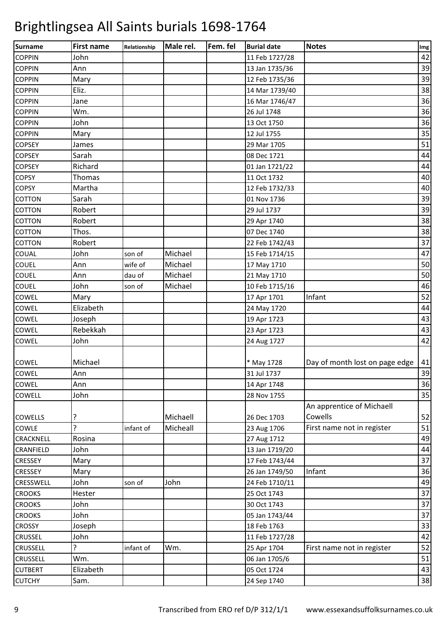| Surname          | <b>First name</b> | Relationship | Male rel. | Fem. fel | <b>Burial date</b> | <b>Notes</b>                   | Img |
|------------------|-------------------|--------------|-----------|----------|--------------------|--------------------------------|-----|
| <b>COPPIN</b>    | John              |              |           |          | 11 Feb 1727/28     |                                | 42  |
| <b>COPPIN</b>    | Ann               |              |           |          | 13 Jan 1735/36     |                                | 39  |
| <b>COPPIN</b>    | Mary              |              |           |          | 12 Feb 1735/36     |                                | 39  |
| <b>COPPIN</b>    | Eliz.             |              |           |          | 14 Mar 1739/40     |                                | 38  |
| <b>COPPIN</b>    | Jane              |              |           |          | 16 Mar 1746/47     |                                | 36  |
| <b>COPPIN</b>    | Wm.               |              |           |          | 26 Jul 1748        |                                | 36  |
| <b>COPPIN</b>    | John              |              |           |          | 13 Oct 1750        |                                | 36  |
| <b>COPPIN</b>    | Mary              |              |           |          | 12 Jul 1755        |                                | 35  |
| <b>COPSEY</b>    | James             |              |           |          | 29 Mar 1705        |                                | 51  |
| <b>COPSEY</b>    | Sarah             |              |           |          | 08 Dec 1721        |                                | 44  |
| <b>COPSEY</b>    | Richard           |              |           |          | 01 Jan 1721/22     |                                | 44  |
| <b>COPSY</b>     | Thomas            |              |           |          | 11 Oct 1732        |                                | 40  |
| <b>COPSY</b>     | Martha            |              |           |          | 12 Feb 1732/33     |                                | 40  |
| <b>COTTON</b>    | Sarah             |              |           |          | 01 Nov 1736        |                                | 39  |
| <b>COTTON</b>    | Robert            |              |           |          | 29 Jul 1737        |                                | 39  |
| <b>COTTON</b>    | Robert            |              |           |          | 29 Apr 1740        |                                | 38  |
| <b>COTTON</b>    | Thos.             |              |           |          | 07 Dec 1740        |                                | 38  |
| <b>COTTON</b>    | Robert            |              |           |          | 22 Feb 1742/43     |                                | 37  |
| COUAL            | John              | son of       | Michael   |          | 15 Feb 1714/15     |                                | 47  |
| <b>COUEL</b>     | Ann               | wife of      | Michael   |          | 17 May 1710        |                                | 50  |
| <b>COUEL</b>     | Ann               | dau of       | Michael   |          | 21 May 1710        |                                | 50  |
| <b>COUEL</b>     | John              | son of       | Michael   |          | 10 Feb 1715/16     |                                | 46  |
| COWEL            | Mary              |              |           |          | 17 Apr 1701        | Infant                         | 52  |
| COWEL            | Elizabeth         |              |           |          | 24 May 1720        |                                | 44  |
| COWEL            | Joseph            |              |           |          | 19 Apr 1723        |                                | 43  |
| COWEL            | Rebekkah          |              |           |          | 23 Apr 1723        |                                | 43  |
| COWEL            | John              |              |           |          | 24 Aug 1727        |                                | 42  |
|                  |                   |              |           |          |                    |                                |     |
| <b>COWEL</b>     | Michael           |              |           |          | * May 1728         | Day of month lost on page edge | 41  |
| COWEL            | Ann               |              |           |          | 31 Jul 1737        |                                | 39  |
| COWEL            | Ann               |              |           |          | 14 Apr 1748        |                                | 36  |
| <b>COWELL</b>    | John              |              |           |          | 28 Nov 1755        |                                | 35  |
|                  |                   |              |           |          |                    | An apprentice of Michaell      |     |
| <b>COWELLS</b>   | ?                 |              | Michaell  |          | 26 Dec 1703        | Cowells                        | 52  |
| COWLE            | Ç                 | infant of    | Micheall  |          | 23 Aug 1706        | First name not in register     | 51  |
| CRACKNELL        | Rosina            |              |           |          | 27 Aug 1712        |                                | 49  |
| CRANFIELD        | John              |              |           |          | 13 Jan 1719/20     |                                | 44  |
| <b>CRESSEY</b>   | Mary              |              |           |          | 17 Feb 1743/44     |                                | 37  |
| <b>CRESSEY</b>   | Mary              |              |           |          | 26 Jan 1749/50     | Infant                         | 36  |
| <b>CRESSWELL</b> | John              | son of       | John      |          | 24 Feb 1710/11     |                                | 49  |
| <b>CROOKS</b>    | Hester            |              |           |          | 25 Oct 1743        |                                | 37  |
| <b>CROOKS</b>    | John              |              |           |          | 30 Oct 1743        |                                | 37  |
| <b>CROOKS</b>    | John              |              |           |          | 05 Jan 1743/44     |                                | 37  |
| <b>CROSSY</b>    | Joseph            |              |           |          | 18 Feb 1763        |                                | 33  |
| <b>CRUSSEL</b>   | John              |              |           |          | 11 Feb 1727/28     |                                | 42  |
| <b>CRUSSELL</b>  | 5.                | infant of    | Wm.       |          | 25 Apr 1704        | First name not in register     | 52  |
| <b>CRUSSELL</b>  | Wm.               |              |           |          | 06 Jan 1705/6      |                                | 51  |
| <b>CUTBERT</b>   | Elizabeth         |              |           |          | 05 Oct 1724        |                                | 43  |
| <b>CUTCHY</b>    | Sam.              |              |           |          | 24 Sep 1740        |                                | 38  |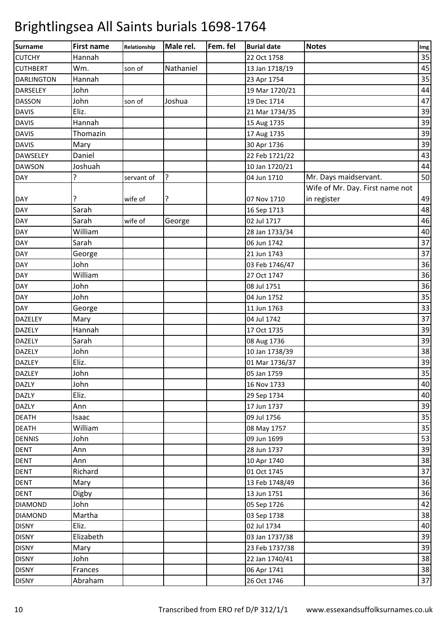| Surname           | <b>First name</b> | Relationship | Male rel.      | Fem. fel | <b>Burial date</b> | <b>Notes</b>                    | Img |
|-------------------|-------------------|--------------|----------------|----------|--------------------|---------------------------------|-----|
| <b>CUTCHY</b>     | Hannah            |              |                |          | 22 Oct 1758        |                                 | 35  |
| <b>CUTHBERT</b>   | Wm.               | son of       | Nathaniel      |          | 13 Jan 1718/19     |                                 | 45  |
| <b>DARLINGTON</b> | Hannah            |              |                |          | 23 Apr 1754        |                                 | 35  |
| <b>DARSELEY</b>   | John              |              |                |          | 19 Mar 1720/21     |                                 | 44  |
| <b>DASSON</b>     | John              | son of       | Joshua         |          | 19 Dec 1714        |                                 | 47  |
| <b>DAVIS</b>      | Eliz.             |              |                |          | 21 Mar 1734/35     |                                 | 39  |
| <b>DAVIS</b>      | Hannah            |              |                |          | 15 Aug 1735        |                                 | 39  |
| <b>DAVIS</b>      | Thomazin          |              |                |          | 17 Aug 1735        |                                 | 39  |
| <b>DAVIS</b>      | Mary              |              |                |          | 30 Apr 1736        |                                 | 39  |
| <b>DAWSELEY</b>   | Daniel            |              |                |          | 22 Feb 1721/22     |                                 | 43  |
| <b>DAWSON</b>     | Joshuah           |              |                |          | 10 Jan 1720/21     |                                 | 44  |
| <b>DAY</b>        | <sup>2</sup>      | servant of   | $\overline{?}$ |          | 04 Jun 1710        | Mr. Days maidservant.           | 50  |
|                   |                   |              |                |          |                    | Wife of Mr. Day. First name not |     |
| <b>DAY</b>        | ?                 | wife of      | ?              |          | 07 Nov 1710        | in register                     | 49  |
| <b>DAY</b>        | Sarah             |              |                |          | 16 Sep 1713        |                                 | 48  |
| <b>DAY</b>        | Sarah             | wife of      | George         |          | 02 Jul 1717        |                                 | 46  |
| DAY               | William           |              |                |          | 28 Jan 1733/34     |                                 | 40  |
| DAY               | Sarah             |              |                |          | 06 Jun 1742        |                                 | 37  |
| <b>DAY</b>        | George            |              |                |          | 21 Jun 1743        |                                 | 37  |
| <b>DAY</b>        | John              |              |                |          | 03 Feb 1746/47     |                                 | 36  |
| <b>DAY</b>        | William           |              |                |          | 27 Oct 1747        |                                 | 36  |
| <b>DAY</b>        | John              |              |                |          | 08 Jul 1751        |                                 | 36  |
| <b>DAY</b>        | John              |              |                |          | 04 Jun 1752        |                                 | 35  |
| <b>DAY</b>        | George            |              |                |          | 11 Jun 1763        |                                 | 33  |
| DAZELEY           | Mary              |              |                |          | 04 Jul 1742        |                                 | 37  |
| <b>DAZELY</b>     | Hannah            |              |                |          | 17 Oct 1735        |                                 | 39  |
| <b>DAZELY</b>     | Sarah             |              |                |          | 08 Aug 1736        |                                 | 39  |
| DAZELY            | John              |              |                |          | 10 Jan 1738/39     |                                 | 38  |
| <b>DAZLEY</b>     | Eliz.             |              |                |          | 01 Mar 1736/37     |                                 | 39  |
| <b>DAZLEY</b>     | John              |              |                |          | 05 Jan 1759        |                                 | 35  |
| <b>DAZLY</b>      | John              |              |                |          | 16 Nov 1733        |                                 | 40  |
| <b>DAZLY</b>      | Eliz.             |              |                |          | 29 Sep 1734        |                                 | 40  |
| <b>DAZLY</b>      | Ann               |              |                |          | 17 Jun 1737        |                                 | 39  |
| <b>DEATH</b>      | Isaac             |              |                |          | 09 Jul 1756        |                                 | 35  |
| <b>DEATH</b>      | William           |              |                |          | 08 May 1757        |                                 | 35  |
| <b>DENNIS</b>     | John              |              |                |          | 09 Jun 1699        |                                 | 53  |
| <b>DENT</b>       | Ann               |              |                |          | 28 Jun 1737        |                                 | 39  |
| <b>DENT</b>       | Ann               |              |                |          | 10 Apr 1740        |                                 | 38  |
| <b>DENT</b>       | Richard           |              |                |          | 01 Oct 1745        |                                 | 37  |
| <b>DENT</b>       | Mary              |              |                |          | 13 Feb 1748/49     |                                 | 36  |
| <b>DENT</b>       | Digby             |              |                |          | 13 Jun 1751        |                                 | 36  |
| <b>DIAMOND</b>    | John              |              |                |          | 05 Sep 1726        |                                 | 42  |
| <b>DIAMOND</b>    | Martha            |              |                |          | 03 Sep 1738        |                                 | 38  |
| <b>DISNY</b>      | Eliz.             |              |                |          | 02 Jul 1734        |                                 | 40  |
| <b>DISNY</b>      | Elizabeth         |              |                |          | 03 Jan 1737/38     |                                 | 39  |
| <b>DISNY</b>      | Mary              |              |                |          | 23 Feb 1737/38     |                                 | 39  |
| <b>DISNY</b>      | John              |              |                |          | 22 Jan 1740/41     |                                 | 38  |
| <b>DISNY</b>      | Frances           |              |                |          | 06 Apr 1741        |                                 | 38  |
| <b>DISNY</b>      | Abraham           |              |                |          | 26 Oct 1746        |                                 | 37  |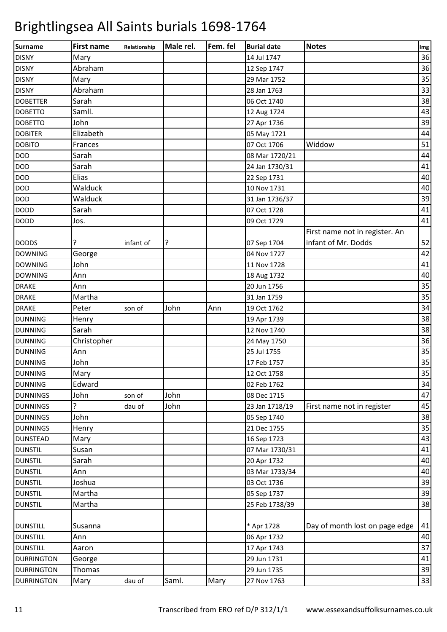| Surname           | <b>First name</b> | Relationship | Male rel. | Fem. fel | <b>Burial date</b> | <b>Notes</b>                   | Img |
|-------------------|-------------------|--------------|-----------|----------|--------------------|--------------------------------|-----|
| <b>DISNY</b>      | Mary              |              |           |          | 14 Jul 1747        |                                | 36  |
| <b>DISNY</b>      | Abraham           |              |           |          | 12 Sep 1747        |                                | 36  |
| <b>DISNY</b>      | Mary              |              |           |          | 29 Mar 1752        |                                | 35  |
| <b>DISNY</b>      | Abraham           |              |           |          | 28 Jan 1763        |                                | 33  |
| <b>DOBETTER</b>   | Sarah             |              |           |          | 06 Oct 1740        |                                | 38  |
| <b>DOBETTO</b>    | Samll.            |              |           |          | 12 Aug 1724        |                                | 43  |
| <b>DOBETTO</b>    | John              |              |           |          | 27 Apr 1736        |                                | 39  |
| <b>DOBITER</b>    | Elizabeth         |              |           |          | 05 May 1721        |                                | 44  |
| <b>DOBITO</b>     | Frances           |              |           |          | 07 Oct 1706        | Widdow                         | 51  |
| <b>DOD</b>        | Sarah             |              |           |          | 08 Mar 1720/21     |                                | 44  |
| <b>DOD</b>        | Sarah             |              |           |          | 24 Jan 1730/31     |                                | 41  |
| <b>DOD</b>        | Elias             |              |           |          | 22 Sep 1731        |                                | 40  |
| <b>DOD</b>        | Walduck           |              |           |          | 10 Nov 1731        |                                | 40  |
| <b>DOD</b>        | Walduck           |              |           |          | 31 Jan 1736/37     |                                | 39  |
| <b>DODD</b>       | Sarah             |              |           |          | 07 Oct 1728        |                                | 41  |
| <b>DODD</b>       | Jos.              |              |           |          | 09 Oct 1729        |                                | 41  |
|                   |                   |              |           |          |                    | First name not in register. An |     |
| <b>DODDS</b>      |                   | infant of    | ?         |          | 07 Sep 1704        | infant of Mr. Dodds            | 52  |
| <b>DOWNING</b>    | George            |              |           |          | 04 Nov 1727        |                                | 42  |
| <b>DOWNING</b>    | John              |              |           |          | 11 Nov 1728        |                                | 41  |
| <b>DOWNING</b>    | Ann               |              |           |          | 18 Aug 1732        |                                | 40  |
| <b>DRAKE</b>      | Ann               |              |           |          | 20 Jun 1756        |                                | 35  |
| <b>DRAKE</b>      | Martha            |              |           |          | 31 Jan 1759        |                                | 35  |
| <b>DRAKE</b>      | Peter             | son of       | John      | Ann      | 19 Oct 1762        |                                | 34  |
| <b>DUNNING</b>    | Henry             |              |           |          | 19 Apr 1739        |                                | 38  |
| <b>DUNNING</b>    | Sarah             |              |           |          | 12 Nov 1740        |                                | 38  |
| <b>DUNNING</b>    | Christopher       |              |           |          | 24 May 1750        |                                | 36  |
| <b>DUNNING</b>    | Ann               |              |           |          | 25 Jul 1755        |                                | 35  |
| <b>DUNNING</b>    | John              |              |           |          | 17 Feb 1757        |                                | 35  |
|                   |                   |              |           |          |                    |                                | 35  |
| <b>DUNNING</b>    | Mary<br>Edward    |              |           |          | 12 Oct 1758        |                                | 34  |
| <b>DUNNING</b>    |                   |              | John      |          | 02 Feb 1762        |                                |     |
| <b>DUNNINGS</b>   | John<br>5.        | son of       |           |          | 08 Dec 1715        |                                | 47  |
| <b>DUNNINGS</b>   |                   | dau of       | John      |          | 23 Jan 1718/19     | First name not in register     | 45  |
| <b>DUNNINGS</b>   | John              |              |           |          | 05 Sep 1740        |                                | 38  |
| <b>DUNNINGS</b>   | Henry             |              |           |          | 21 Dec 1755        |                                | 35  |
| <b>DUNSTEAD</b>   | Mary              |              |           |          | 16 Sep 1723        |                                | 43  |
| <b>DUNSTIL</b>    | Susan             |              |           |          | 07 Mar 1730/31     |                                | 41  |
| <b>DUNSTIL</b>    | Sarah             |              |           |          | 20 Apr 1732        |                                | 40  |
| <b>DUNSTIL</b>    | Ann               |              |           |          | 03 Mar 1733/34     |                                | 40  |
| <b>DUNSTIL</b>    | Joshua            |              |           |          | 03 Oct 1736        |                                | 39  |
| <b>DUNSTIL</b>    | Martha            |              |           |          | 05 Sep 1737        |                                | 39  |
| <b>DUNSTIL</b>    | Martha            |              |           |          | 25 Feb 1738/39     |                                | 38  |
| <b>DUNSTILL</b>   | Susanna           |              |           |          | * Apr 1728         | Day of month lost on page edge | 41  |
| <b>DUNSTILL</b>   | Ann               |              |           |          | 06 Apr 1732        |                                | 40  |
|                   |                   |              |           |          |                    |                                | 37  |
| <b>DUNSTILL</b>   | Aaron             |              |           |          | 17 Apr 1743        |                                |     |
| <b>DURRINGTON</b> | George            |              |           |          | 29 Jun 1731        |                                | 41  |
| <b>DURRINGTON</b> | Thomas            |              |           |          | 29 Jun 1735        |                                | 39  |
| <b>DURRINGTON</b> | Mary              | dau of       | Saml.     | Mary     | 27 Nov 1763        |                                | 33  |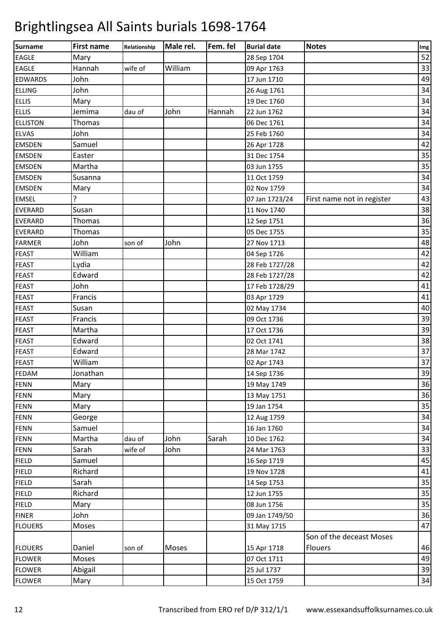| <b>Surname</b>  | <b>First name</b> | Relationship | Male rel. | Fem. fel | <b>Burial date</b> | <b>Notes</b>               | Img |
|-----------------|-------------------|--------------|-----------|----------|--------------------|----------------------------|-----|
| <b>EAGLE</b>    | Mary              |              |           |          | 28 Sep 1704        |                            | 52  |
| <b>EAGLE</b>    | Hannah            | wife of      | William   |          | 09 Apr 1763        |                            | 33  |
| <b>EDWARDS</b>  | John              |              |           |          | 17 Jun 1710        |                            | 49  |
| <b>ELLING</b>   | John              |              |           |          | 26 Aug 1761        |                            | 34  |
| <b>ELLIS</b>    | Mary              |              |           |          | 19 Dec 1760        |                            | 34  |
| <b>ELLIS</b>    | Jemima            | dau of       | John      | Hannah   | 22 Jun 1762        |                            | 34  |
| <b>ELLISTON</b> | Thomas            |              |           |          | 06 Dec 1761        |                            | 34  |
| <b>ELVAS</b>    | John              |              |           |          | 25 Feb 1760        |                            | 34  |
| <b>EMSDEN</b>   | Samuel            |              |           |          | 26 Apr 1728        |                            | 42  |
| <b>EMSDEN</b>   | Easter            |              |           |          | 31 Dec 1754        |                            | 35  |
| <b>EMSDEN</b>   | Martha            |              |           |          | 03 Jun 1755        |                            | 35  |
| <b>EMSDEN</b>   | Susanna           |              |           |          | 11 Oct 1759        |                            | 34  |
| <b>EMSDEN</b>   | Mary              |              |           |          | 02 Nov 1759        |                            | 34  |
| <b>EMSEL</b>    | 5.                |              |           |          | 07 Jan 1723/24     | First name not in register | 43  |
| <b>EVERARD</b>  | Susan             |              |           |          | 11 Nov 1740        |                            | 38  |
| <b>EVERARD</b>  | Thomas            |              |           |          | 12 Sep 1751        |                            | 36  |
| <b>EVERARD</b>  | Thomas            |              |           |          | 05 Dec 1755        |                            | 35  |
| <b>FARMER</b>   | John              | son of       | John      |          | 27 Nov 1713        |                            | 48  |
| <b>FEAST</b>    | William           |              |           |          | 04 Sep 1726        |                            | 42  |
| <b>FEAST</b>    | Lydia             |              |           |          | 28 Feb 1727/28     |                            | 42  |
| <b>FEAST</b>    | Edward            |              |           |          | 28 Feb 1727/28     |                            | 42  |
| FEAST           | John              |              |           |          | 17 Feb 1728/29     |                            | 41  |
| <b>FEAST</b>    | Francis           |              |           |          | 03 Apr 1729        |                            | 41  |
| <b>FEAST</b>    | Susan             |              |           |          | 02 May 1734        |                            | 40  |
| <b>FEAST</b>    | Francis           |              |           |          | 09 Oct 1736        |                            | 39  |
| <b>FEAST</b>    | Martha            |              |           |          | 17 Oct 1736        |                            | 39  |
| <b>FEAST</b>    | Edward            |              |           |          | 02 Oct 1741        |                            | 38  |
| <b>FEAST</b>    | Edward            |              |           |          | 28 Mar 1742        |                            | 37  |
| <b>FEAST</b>    | William           |              |           |          | 02 Apr 1743        |                            | 37  |
| <b>FEDAM</b>    | Jonathan          |              |           |          | 14 Sep 1736        |                            | 39  |
| <b>FENN</b>     | Mary              |              |           |          | 19 May 1749        |                            | 36  |
| FENN            | Mary              |              |           |          | 13 May 1751        |                            | 36  |
| <b>FENN</b>     | Mary              |              |           |          | 19 Jan 1754        |                            | 35  |
| <b>FENN</b>     | George            |              |           |          | 12 Aug 1759        |                            | 34  |
| <b>FENN</b>     | Samuel            |              |           |          | 16 Jan 1760        |                            | 34  |
| <b>FENN</b>     | Martha            | dau of       | John      | Sarah    | 10 Dec 1762        |                            | 34  |
| FENN            | Sarah             | wife of      | John      |          | 24 Mar 1763        |                            | 33  |
| <b>FIELD</b>    | Samuel            |              |           |          | 16 Sep 1719        |                            | 45  |
| <b>FIELD</b>    | Richard           |              |           |          | 19 Nov 1728        |                            | 41  |
| <b>FIELD</b>    | Sarah             |              |           |          | 14 Sep 1753        |                            | 35  |
| <b>FIELD</b>    | Richard           |              |           |          | 12 Jun 1755        |                            | 35  |
| <b>FIELD</b>    | Mary              |              |           |          | 08 Jun 1756        |                            | 35  |
| <b>FINER</b>    | John              |              |           |          | 09 Jan 1749/50     |                            | 36  |
| <b>FLOUERS</b>  | Moses             |              |           |          | 31 May 1715        |                            | 47  |
|                 |                   |              |           |          |                    | Son of the deceast Moses   |     |
| <b>FLOUERS</b>  | Daniel            | son of       | Moses     |          | 15 Apr 1718        | Flouers                    | 46  |
| <b>FLOWER</b>   | Moses             |              |           |          | 07 Oct 1711        |                            | 49  |
| <b>FLOWER</b>   | Abigail           |              |           |          | 25 Jul 1737        |                            | 39  |
| <b>FLOWER</b>   | Mary              |              |           |          | 15 Oct 1759        |                            | 34  |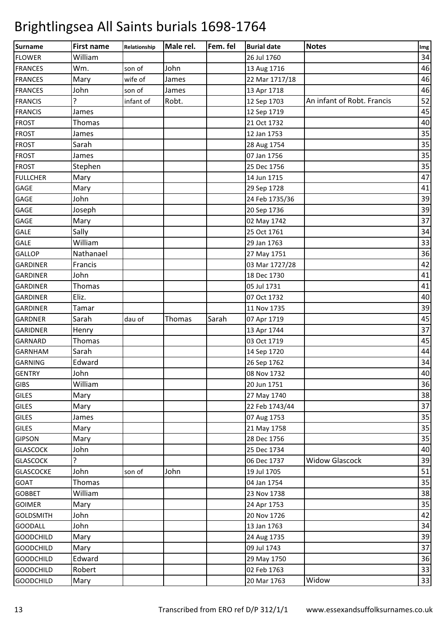| Surname          | <b>First name</b> | Relationship | Male rel. | Fem. fel | <b>Burial date</b> | <b>Notes</b>               | Img |
|------------------|-------------------|--------------|-----------|----------|--------------------|----------------------------|-----|
| <b>FLOWER</b>    | William           |              |           |          | 26 Jul 1760        |                            | 34  |
| <b>FRANCES</b>   | Wm.               | son of       | John      |          | 13 Aug 1716        |                            | 46  |
| <b>FRANCES</b>   | Mary              | wife of      | James     |          | 22 Mar 1717/18     |                            | 46  |
| <b>FRANCES</b>   | John              | son of       | James     |          | 13 Apr 1718        |                            | 46  |
| <b>FRANCIS</b>   | 5.                | infant of    | Robt.     |          | 12 Sep 1703        | An infant of Robt. Francis | 52  |
| <b>FRANCIS</b>   | James             |              |           |          | 12 Sep 1719        |                            | 45  |
| <b>FROST</b>     | Thomas            |              |           |          | 21 Oct 1732        |                            | 40  |
| <b>FROST</b>     | James             |              |           |          | 12 Jan 1753        |                            | 35  |
| <b>FROST</b>     | Sarah             |              |           |          | 28 Aug 1754        |                            | 35  |
| <b>FROST</b>     | James             |              |           |          | 07 Jan 1756        |                            | 35  |
| <b>FROST</b>     | Stephen           |              |           |          | 25 Dec 1756        |                            | 35  |
| <b>FULLCHER</b>  | Mary              |              |           |          | 14 Jun 1715        |                            | 47  |
| GAGE             | Mary              |              |           |          | 29 Sep 1728        |                            | 41  |
| GAGE             | John              |              |           |          | 24 Feb 1735/36     |                            | 39  |
| GAGE             | Joseph            |              |           |          | 20 Sep 1736        |                            | 39  |
| GAGE             | Mary              |              |           |          | 02 May 1742        |                            | 37  |
| <b>GALE</b>      | Sally             |              |           |          | 25 Oct 1761        |                            | 34  |
| <b>GALE</b>      | William           |              |           |          | 29 Jan 1763        |                            | 33  |
| <b>GALLOP</b>    | Nathanael         |              |           |          | 27 May 1751        |                            | 36  |
| <b>GARDINER</b>  | Francis           |              |           |          | 03 Mar 1727/28     |                            | 42  |
| <b>GARDINER</b>  | John              |              |           |          | 18 Dec 1730        |                            | 41  |
| <b>GARDINER</b>  | Thomas            |              |           |          | 05 Jul 1731        |                            | 41  |
| <b>GARDINER</b>  | Eliz.             |              |           |          | 07 Oct 1732        |                            | 40  |
| <b>GARDINER</b>  | Tamar             |              |           |          | 11 Nov 1735        |                            | 39  |
| <b>GARDNER</b>   | Sarah             | dau of       | Thomas    | Sarah    | 07 Apr 1719        |                            | 45  |
| <b>GARIDNER</b>  | Henry             |              |           |          | 13 Apr 1744        |                            | 37  |
| <b>GARNARD</b>   | Thomas            |              |           |          | 03 Oct 1719        |                            | 45  |
| <b>GARNHAM</b>   | Sarah             |              |           |          | 14 Sep 1720        |                            | 44  |
| <b>GARNING</b>   | Edward            |              |           |          | 26 Sep 1762        |                            | 34  |
| <b>GENTRY</b>    | John              |              |           |          | 08 Nov 1732        |                            | 40  |
| <b>GIBS</b>      | William           |              |           |          | 20 Jun 1751        |                            | 36  |
| <b>GILES</b>     | Mary              |              |           |          | 27 May 1740        |                            | 38  |
| <b>GILES</b>     | Mary              |              |           |          | 22 Feb 1743/44     |                            | 37  |
| <b>GILES</b>     | James             |              |           |          | 07 Aug 1753        |                            | 35  |
| <b>GILES</b>     | Mary              |              |           |          | 21 May 1758        |                            | 35  |
| <b>GIPSON</b>    | Mary              |              |           |          | 28 Dec 1756        |                            | 35  |
| <b>GLASCOCK</b>  | John              |              |           |          | 25 Dec 1734        |                            | 40  |
| <b>GLASCOCK</b>  | ?                 |              |           |          | 06 Dec 1737        | <b>Widow Glascock</b>      | 39  |
| <b>GLASCOCKE</b> | John              | son of       | John      |          | 19 Jul 1705        |                            | 51  |
| <b>GOAT</b>      | Thomas            |              |           |          | 04 Jan 1754        |                            | 35  |
| <b>GOBBET</b>    | William           |              |           |          | 23 Nov 1738        |                            | 38  |
| <b>GOIMER</b>    | Mary              |              |           |          | 24 Apr 1753        |                            | 35  |
| <b>GOLDSMITH</b> | John              |              |           |          | 20 Nov 1726        |                            | 42  |
| <b>GOODALL</b>   | John              |              |           |          | 13 Jan 1763        |                            | 34  |
| <b>GOODCHILD</b> | Mary              |              |           |          | 24 Aug 1735        |                            | 39  |
| <b>GOODCHILD</b> | Mary              |              |           |          | 09 Jul 1743        |                            | 37  |
| <b>GOODCHILD</b> | Edward            |              |           |          | 29 May 1750        |                            | 36  |
| <b>GOODCHILD</b> | Robert            |              |           |          | 02 Feb 1763        |                            | 33  |
| <b>GOODCHILD</b> | Mary              |              |           |          | 20 Mar 1763        | Widow                      | 33  |
|                  |                   |              |           |          |                    |                            |     |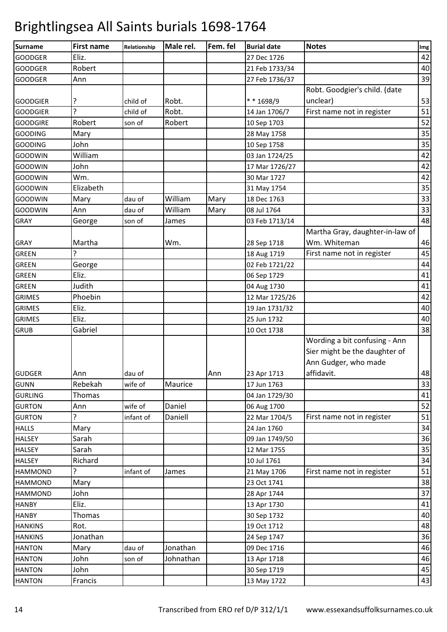| <b>Surname</b>               | <b>First name</b> | Relationship      | Male rel. | Fem. fel | <b>Burial date</b>         | <b>Notes</b>                                                                                         | Img |
|------------------------------|-------------------|-------------------|-----------|----------|----------------------------|------------------------------------------------------------------------------------------------------|-----|
| <b>GOODGER</b>               | Eliz.             |                   |           |          | 27 Dec 1726                |                                                                                                      | 42  |
| <b>GOODGER</b>               | Robert            |                   |           |          | 21 Feb 1733/34             |                                                                                                      | 40  |
| <b>GOODGER</b>               | Ann               |                   |           |          | 27 Feb 1736/37             |                                                                                                      | 39  |
|                              |                   |                   |           |          |                            | Robt. Goodgier's child. (date                                                                        |     |
| <b>GOODGIER</b>              | ?                 | child of          | Robt.     |          | ** 1698/9                  | unclear)                                                                                             | 53  |
| <b>GOODGIER</b>              | <sup>2</sup>      | child of          | Robt.     |          | 14 Jan 1706/7              | First name not in register                                                                           | 51  |
| <b>GOODGIRE</b>              | Robert            | son of            | Robert    |          | 10 Sep 1703                |                                                                                                      | 52  |
| <b>GOODING</b>               | Mary              |                   |           |          | 28 May 1758                |                                                                                                      | 35  |
| <b>GOODING</b>               | John              |                   |           |          | 10 Sep 1758                |                                                                                                      | 35  |
| <b>GOODWIN</b>               | William           |                   |           |          | 03 Jan 1724/25             |                                                                                                      | 42  |
| <b>GOODWIN</b>               | John              |                   |           |          | 17 Mar 1726/27             |                                                                                                      | 42  |
| <b>GOODWIN</b>               | Wm.               |                   |           |          | 30 Mar 1727                |                                                                                                      | 42  |
| <b>GOODWIN</b>               | Elizabeth         |                   |           |          | 31 May 1754                |                                                                                                      | 35  |
| <b>GOODWIN</b>               | Mary              | dau of            | William   | Mary     | 18 Dec 1763                |                                                                                                      | 33  |
| <b>GOODWIN</b>               | Ann               | dau of            | William   | Mary     | 08 Jul 1764                |                                                                                                      | 33  |
| <b>GRAY</b>                  | George            | son of            | James     |          | 03 Feb 1713/14             |                                                                                                      | 48  |
| <b>GRAY</b>                  | Martha            |                   | Wm.       |          | 28 Sep 1718                | Martha Gray, daughter-in-law of<br>Wm. Whiteman                                                      | 46  |
| <b>GREEN</b>                 | ς                 |                   |           |          | 18 Aug 1719                | First name not in register                                                                           | 45  |
| <b>GREEN</b>                 | George            |                   |           |          | 02 Feb 1721/22             |                                                                                                      | 44  |
| <b>GREEN</b>                 | Eliz.             |                   |           |          | 06 Sep 1729                |                                                                                                      | 41  |
| <b>GREEN</b>                 | Judith            |                   |           |          | 04 Aug 1730                |                                                                                                      | 41  |
| <b>GRIMES</b>                | Phoebin           |                   |           |          | 12 Mar 1725/26             |                                                                                                      | 42  |
| <b>GRIMES</b>                | Eliz.             |                   |           |          | 19 Jan 1731/32             |                                                                                                      | 40  |
| <b>GRIMES</b>                | Eliz.             |                   |           |          | 25 Jun 1732                |                                                                                                      | 40  |
| <b>GRUB</b>                  | Gabriel           |                   |           |          | 10 Oct 1738                |                                                                                                      | 38  |
|                              |                   |                   |           |          |                            | Wording a bit confusing - Ann<br>Sier might be the daughter of<br>Ann Gudger, who made<br>affidavit. | 48  |
| <b>GUDGER</b><br><b>GUNN</b> | Ann<br>Rebekah    | dau of<br>wife of | Maurice   | Ann      | 23 Apr 1713<br>17 Jun 1763 |                                                                                                      | 33  |
| <b>GURLING</b>               | Thomas            |                   |           |          | 04 Jan 1729/30             |                                                                                                      | 41  |
| <b>GURTON</b>                | Ann               | wife of           | Daniel    |          | 06 Aug 1700                |                                                                                                      | 52  |
| <b>GURTON</b>                | 5                 | infant of         | Daniell   |          | 22 Mar 1704/5              | First name not in register                                                                           | 51  |
| <b>HALLS</b>                 | Mary              |                   |           |          | 24 Jan 1760                |                                                                                                      | 34  |
| <b>HALSEY</b>                | Sarah             |                   |           |          | 09 Jan 1749/50             |                                                                                                      | 36  |
| <b>HALSEY</b>                | Sarah             |                   |           |          | 12 Mar 1755                |                                                                                                      | 35  |
| <b>HALSEY</b>                | Richard           |                   |           |          | 10 Jul 1761                |                                                                                                      | 34  |
| <b>HAMMOND</b>               | 5.                | infant of         | James     |          | 21 May 1706                | First name not in register                                                                           | 51  |
| <b>HAMMOND</b>               | Mary              |                   |           |          | 23 Oct 1741                |                                                                                                      | 38  |
| <b>HAMMOND</b>               | John              |                   |           |          | 28 Apr 1744                |                                                                                                      | 37  |
| <b>HANBY</b>                 | Eliz.             |                   |           |          | 13 Apr 1730                |                                                                                                      | 41  |
| <b>HANBY</b>                 | Thomas            |                   |           |          | 30 Sep 1732                |                                                                                                      | 40  |
| <b>HANKINS</b>               | Rot.              |                   |           |          | 19 Oct 1712                |                                                                                                      | 48  |
| <b>HANKINS</b>               | Jonathan          |                   |           |          | 24 Sep 1747                |                                                                                                      | 36  |
| <b>HANTON</b>                | Mary              | dau of            | Jonathan  |          | 09 Dec 1716                |                                                                                                      | 46  |
| <b>HANTON</b>                | John              | son of            | Johnathan |          | 13 Apr 1718                |                                                                                                      | 46  |
| <b>HANTON</b>                | John              |                   |           |          | 30 Sep 1719                |                                                                                                      | 45  |
| <b>HANTON</b>                | Francis           |                   |           |          | 13 May 1722                |                                                                                                      | 43  |
|                              |                   |                   |           |          |                            |                                                                                                      |     |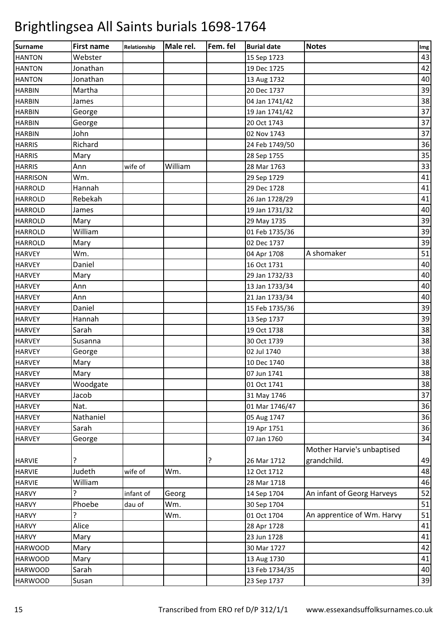| <b>Surname</b>  | <b>First name</b> | Relationship | Male rel. | Fem. fel | <b>Burial date</b> | <b>Notes</b>               | Img |
|-----------------|-------------------|--------------|-----------|----------|--------------------|----------------------------|-----|
| <b>HANTON</b>   | Webster           |              |           |          | 15 Sep 1723        |                            | 43  |
| <b>HANTON</b>   | Jonathan          |              |           |          | 19 Dec 1725        |                            | 42  |
| <b>HANTON</b>   | Jonathan          |              |           |          | 13 Aug 1732        |                            | 40  |
| <b>HARBIN</b>   | Martha            |              |           |          | 20 Dec 1737        |                            | 39  |
| <b>HARBIN</b>   | James             |              |           |          | 04 Jan 1741/42     |                            | 38  |
| <b>HARBIN</b>   | George            |              |           |          | 19 Jan 1741/42     |                            | 37  |
| <b>HARBIN</b>   | George            |              |           |          | 20 Oct 1743        |                            | 37  |
| <b>HARBIN</b>   | John              |              |           |          | 02 Nov 1743        |                            | 37  |
| <b>HARRIS</b>   | Richard           |              |           |          | 24 Feb 1749/50     |                            | 36  |
| <b>HARRIS</b>   | Mary              |              |           |          | 28 Sep 1755        |                            | 35  |
| <b>HARRIS</b>   | Ann               | wife of      | William   |          | 28 Mar 1763        |                            | 33  |
| <b>HARRISON</b> | Wm.               |              |           |          | 29 Sep 1729        |                            | 41  |
| <b>HARROLD</b>  | Hannah            |              |           |          | 29 Dec 1728        |                            | 41  |
| <b>HARROLD</b>  | Rebekah           |              |           |          | 26 Jan 1728/29     |                            | 41  |
| <b>HARROLD</b>  | James             |              |           |          | 19 Jan 1731/32     |                            | 40  |
| <b>HARROLD</b>  | Mary              |              |           |          | 29 May 1735        |                            | 39  |
| <b>HARROLD</b>  | William           |              |           |          | 01 Feb 1735/36     |                            | 39  |
| <b>HARROLD</b>  | Mary              |              |           |          | 02 Dec 1737        |                            | 39  |
| <b>HARVEY</b>   | Wm.               |              |           |          | 04 Apr 1708        | A shomaker                 | 51  |
| <b>HARVEY</b>   | Daniel            |              |           |          | 16 Oct 1731        |                            | 40  |
| <b>HARVEY</b>   | Mary              |              |           |          | 29 Jan 1732/33     |                            | 40  |
| <b>HARVEY</b>   | Ann               |              |           |          | 13 Jan 1733/34     |                            | 40  |
| <b>HARVEY</b>   | Ann               |              |           |          | 21 Jan 1733/34     |                            | 40  |
| <b>HARVEY</b>   | Daniel            |              |           |          | 15 Feb 1735/36     |                            | 39  |
| <b>HARVEY</b>   | Hannah            |              |           |          | 13 Sep 1737        |                            | 39  |
| <b>HARVEY</b>   | Sarah             |              |           |          | 19 Oct 1738        |                            | 38  |
| <b>HARVEY</b>   | Susanna           |              |           |          | 30 Oct 1739        |                            | 38  |
| <b>HARVEY</b>   | George            |              |           |          | 02 Jul 1740        |                            | 38  |
| <b>HARVEY</b>   | Mary              |              |           |          | 10 Dec 1740        |                            | 38  |
| <b>HARVEY</b>   | Mary              |              |           |          | 07 Jun 1741        |                            | 38  |
| <b>HARVEY</b>   | Woodgate          |              |           |          | 01 Oct 1741        |                            | 38  |
| <b>HARVEY</b>   | Jacob             |              |           |          | 31 May 1746        |                            | 37  |
| <b>HARVEY</b>   | Nat.              |              |           |          | 01 Mar 1746/47     |                            | 36  |
| <b>HARVEY</b>   | Nathaniel         |              |           |          | 05 Aug 1747        |                            | 36  |
| <b>HARVEY</b>   | Sarah             |              |           |          | 19 Apr 1751        |                            | 36  |
| <b>HARVEY</b>   | George            |              |           |          | 07 Jan 1760        |                            | 34  |
|                 |                   |              |           |          |                    | Mother Harvie's unbaptised |     |
| <b>HARVIE</b>   | ?                 |              |           | ?        | 26 Mar 1712        | grandchild.                | 49  |
| <b>HARVIE</b>   | Judeth            | wife of      | Wm.       |          | 12 Oct 1712        |                            | 48  |
| <b>HARVIE</b>   | William           |              |           |          | 28 Mar 1718        |                            | 46  |
| <b>HARVY</b>    | 5.                | infant of    | Georg     |          | 14 Sep 1704        | An infant of Georg Harveys | 52  |
| <b>HARVY</b>    | Phoebe            | dau of       | Wm.       |          | 30 Sep 1704        |                            | 51  |
| <b>HARVY</b>    | 5.                |              | Wm.       |          | 01 Oct 1704        | An apprentice of Wm. Harvy | 51  |
| <b>HARVY</b>    | Alice             |              |           |          | 28 Apr 1728        |                            | 41  |
| <b>HARVY</b>    | Mary              |              |           |          | 23 Jun 1728        |                            | 41  |
| <b>HARWOOD</b>  | Mary              |              |           |          | 30 Mar 1727        |                            | 42  |
| <b>HARWOOD</b>  | Mary              |              |           |          | 13 Aug 1730        |                            | 41  |
| <b>HARWOOD</b>  | Sarah             |              |           |          | 13 Feb 1734/35     |                            | 40  |
| <b>HARWOOD</b>  | Susan             |              |           |          | 23 Sep 1737        |                            | 39  |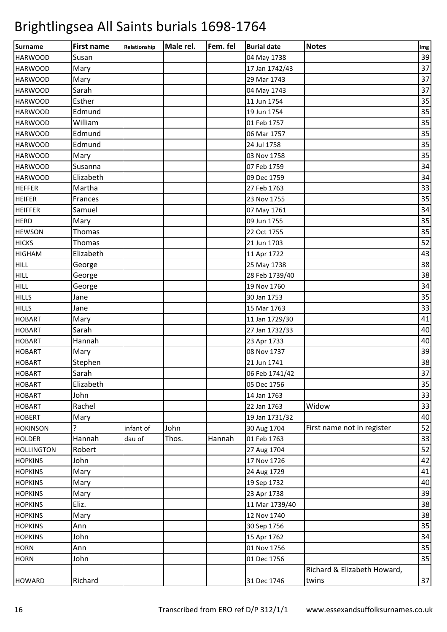| <b>Surname</b>    | <b>First name</b> | Relationship | Male rel. | Fem. fel | <b>Burial date</b> | <b>Notes</b>                | Img |
|-------------------|-------------------|--------------|-----------|----------|--------------------|-----------------------------|-----|
| <b>HARWOOD</b>    | Susan             |              |           |          | 04 May 1738        |                             | 39  |
| <b>HARWOOD</b>    | Mary              |              |           |          | 17 Jan 1742/43     |                             | 37  |
| <b>HARWOOD</b>    | Mary              |              |           |          | 29 Mar 1743        |                             | 37  |
| <b>HARWOOD</b>    | Sarah             |              |           |          | 04 May 1743        |                             | 37  |
| <b>HARWOOD</b>    | Esther            |              |           |          | 11 Jun 1754        |                             | 35  |
| <b>HARWOOD</b>    | Edmund            |              |           |          | 19 Jun 1754        |                             | 35  |
| <b>HARWOOD</b>    | William           |              |           |          | 01 Feb 1757        |                             | 35  |
| <b>HARWOOD</b>    | Edmund            |              |           |          | 06 Mar 1757        |                             | 35  |
| <b>HARWOOD</b>    | Edmund            |              |           |          | 24 Jul 1758        |                             | 35  |
| <b>HARWOOD</b>    | Mary              |              |           |          | 03 Nov 1758        |                             | 35  |
| <b>HARWOOD</b>    | Susanna           |              |           |          | 07 Feb 1759        |                             | 34  |
| <b>HARWOOD</b>    | Elizabeth         |              |           |          | 09 Dec 1759        |                             | 34  |
| <b>HEFFER</b>     | Martha            |              |           |          | 27 Feb 1763        |                             | 33  |
| <b>HEIFER</b>     | Frances           |              |           |          | 23 Nov 1755        |                             | 35  |
| <b>HEIFFER</b>    | Samuel            |              |           |          | 07 May 1761        |                             | 34  |
| <b>HERD</b>       | Mary              |              |           |          | 09 Jun 1755        |                             | 35  |
| <b>HEWSON</b>     | Thomas            |              |           |          | 22 Oct 1755        |                             | 35  |
| <b>HICKS</b>      | Thomas            |              |           |          | 21 Jun 1703        |                             | 52  |
| <b>HIGHAM</b>     | Elizabeth         |              |           |          | 11 Apr 1722        |                             | 43  |
| <b>HILL</b>       | George            |              |           |          | 25 May 1738        |                             | 38  |
| <b>HILL</b>       | George            |              |           |          | 28 Feb 1739/40     |                             | 38  |
| <b>HILL</b>       | George            |              |           |          | 19 Nov 1760        |                             | 34  |
| <b>HILLS</b>      | Jane              |              |           |          | 30 Jan 1753        |                             | 35  |
| <b>HILLS</b>      | Jane              |              |           |          | 15 Mar 1763        |                             | 33  |
| <b>HOBART</b>     | Mary              |              |           |          | 11 Jan 1729/30     |                             | 41  |
| <b>HOBART</b>     | Sarah             |              |           |          | 27 Jan 1732/33     |                             | 40  |
| <b>HOBART</b>     | Hannah            |              |           |          | 23 Apr 1733        |                             | 40  |
| <b>HOBART</b>     | Mary              |              |           |          | 08 Nov 1737        |                             | 39  |
| <b>HOBART</b>     | Stephen           |              |           |          | 21 Jun 1741        |                             | 38  |
| <b>HOBART</b>     | Sarah             |              |           |          | 06 Feb 1741/42     |                             | 37  |
| <b>HOBART</b>     | Elizabeth         |              |           |          | 05 Dec 1756        |                             | 35  |
| <b>HOBART</b>     | John              |              |           |          | 14 Jan 1763        |                             | 33  |
| <b>HOBART</b>     | Rachel            |              |           |          | 22 Jan 1763        | Widow                       | 33  |
| <b>HOBERT</b>     | Mary              |              |           |          | 19 Jan 1731/32     |                             | 40  |
| <b>HOKINSON</b>   | ?                 | infant of    | John      |          | 30 Aug 1704        | First name not in register  | 52  |
| <b>HOLDER</b>     | Hannah            | dau of       | Thos.     | Hannah   | 01 Feb 1763        |                             | 33  |
| <b>HOLLINGTON</b> | Robert            |              |           |          | 27 Aug 1704        |                             | 52  |
| <b>HOPKINS</b>    | John              |              |           |          | 17 Nov 1726        |                             | 42  |
| <b>HOPKINS</b>    | Mary              |              |           |          | 24 Aug 1729        |                             | 41  |
| <b>HOPKINS</b>    | Mary              |              |           |          | 19 Sep 1732        |                             | 40  |
| <b>HOPKINS</b>    | Mary              |              |           |          | 23 Apr 1738        |                             | 39  |
| <b>HOPKINS</b>    | Eliz.             |              |           |          | 11 Mar 1739/40     |                             | 38  |
| <b>HOPKINS</b>    | Mary              |              |           |          | 12 Nov 1740        |                             | 38  |
| <b>HOPKINS</b>    | Ann               |              |           |          | 30 Sep 1756        |                             | 35  |
| <b>HOPKINS</b>    | John              |              |           |          | 15 Apr 1762        |                             | 34  |
| <b>HORN</b>       | Ann               |              |           |          | 01 Nov 1756        |                             | 35  |
| <b>HORN</b>       | John              |              |           |          | 01 Dec 1756        |                             | 35  |
|                   |                   |              |           |          |                    | Richard & Elizabeth Howard, |     |
| <b>HOWARD</b>     | Richard           |              |           |          | 31 Dec 1746        | twins                       | 37  |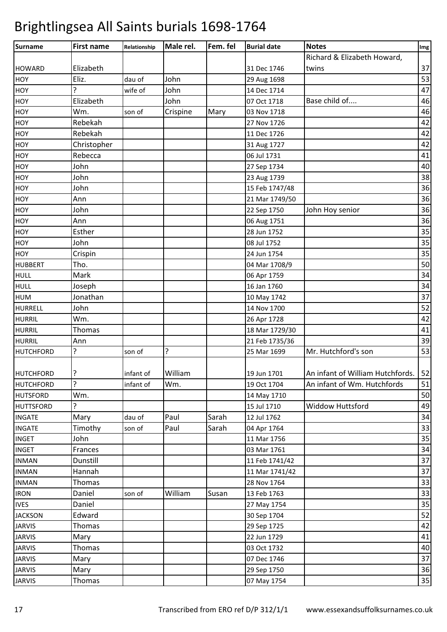| <b>Surname</b>   | <b>First name</b> | Relationship | Male rel. | Fem. fel | <b>Burial date</b> | <b>Notes</b>                          | Img |
|------------------|-------------------|--------------|-----------|----------|--------------------|---------------------------------------|-----|
|                  |                   |              |           |          |                    | Richard & Elizabeth Howard,           |     |
| <b>HOWARD</b>    | Elizabeth         |              |           |          | 31 Dec 1746        | twins                                 | 37  |
| <b>HOY</b>       | Eliz.             | dau of       | John      |          | 29 Aug 1698        |                                       | 53  |
| <b>HOY</b>       | 5                 | wife of      | John      |          | 14 Dec 1714        |                                       | 47  |
| HOY              | Elizabeth         |              | John      |          | 07 Oct 1718        | Base child of                         | 46  |
| <b>HOY</b>       | Wm.               | son of       | Crispine  | Mary     | 03 Nov 1718        |                                       | 46  |
| <b>HOY</b>       | Rebekah           |              |           |          | 27 Nov 1726        |                                       | 42  |
| HOY              | Rebekah           |              |           |          | 11 Dec 1726        |                                       | 42  |
| HOY              | Christopher       |              |           |          | 31 Aug 1727        |                                       | 42  |
| HOY              | Rebecca           |              |           |          | 06 Jul 1731        |                                       | 41  |
| HOY              | John              |              |           |          | 27 Sep 1734        |                                       | 40  |
| HOY              | John              |              |           |          | 23 Aug 1739        |                                       | 38  |
| <b>HOY</b>       | John              |              |           |          | 15 Feb 1747/48     |                                       | 36  |
| HOY              | Ann               |              |           |          | 21 Mar 1749/50     |                                       | 36  |
| HOY              | John              |              |           |          | 22 Sep 1750        | John Hoy senior                       | 36  |
| HOY              | Ann               |              |           |          | 06 Aug 1751        |                                       | 36  |
| HOY              | Esther            |              |           |          | 28 Jun 1752        |                                       | 35  |
| <b>HOY</b>       | John              |              |           |          | 08 Jul 1752        |                                       | 35  |
| HOY              | Crispin           |              |           |          | 24 Jun 1754        |                                       | 35  |
| <b>HUBBERT</b>   | Tho.              |              |           |          | 04 Mar 1708/9      |                                       | 50  |
| <b>HULL</b>      | Mark              |              |           |          | 06 Apr 1759        |                                       | 34  |
| <b>HULL</b>      | Joseph            |              |           |          | 16 Jan 1760        |                                       | 34  |
| <b>HUM</b>       | Jonathan          |              |           |          | 10 May 1742        |                                       | 37  |
| <b>HURRELL</b>   | John              |              |           |          | 14 Nov 1700        |                                       | 52  |
| <b>HURRIL</b>    | Wm.               |              |           |          | 26 Apr 1728        |                                       | 42  |
| <b>HURRIL</b>    | Thomas            |              |           |          | 18 Mar 1729/30     |                                       | 41  |
| <b>HURRIL</b>    | Ann               |              |           |          | 21 Feb 1735/36     |                                       | 39  |
| <b>HUTCHFORD</b> | ?                 | son of       | 5.        |          | 25 Mar 1699        | Mr. Hutchford's son                   | 53  |
|                  |                   |              |           |          |                    |                                       |     |
| HUTCHFORD        | ?                 | infant of    | William   |          | 19 Jun 1701        | An infant of William Hutchfords.   52 |     |
| <b>HUTCHFORD</b> | 5.                | infant of    | Wm.       |          | 19 Oct 1704        | An infant of Wm. Hutchfords           | 51  |
| <b>HUTSFORD</b>  | Wm.               |              |           |          | 14 May 1710        |                                       | 50  |
| <b>HUTTSFORD</b> | ?                 |              |           |          | 15 Jul 1710        | <b>Widdow Huttsford</b>               | 49  |
| <b>INGATE</b>    | Mary              | dau of       | Paul      | Sarah    | 12 Jul 1762        |                                       | 34  |
| <b>INGATE</b>    | Timothy           | son of       | Paul      | Sarah    | 04 Apr 1764        |                                       | 33  |
| <b>INGET</b>     | John              |              |           |          | 11 Mar 1756        |                                       | 35  |
| <b>INGET</b>     | Frances           |              |           |          | 03 Mar 1761        |                                       | 34  |
| <b>INMAN</b>     | Dunstill          |              |           |          | 11 Feb 1741/42     |                                       | 37  |
| <b>INMAN</b>     | Hannah            |              |           |          | 11 Mar 1741/42     |                                       | 37  |
| <b>INMAN</b>     | Thomas            |              |           |          | 28 Nov 1764        |                                       | 33  |
| <b>IRON</b>      | Daniel            | son of       | William   | Susan    | 13 Feb 1763        |                                       | 33  |
| <b>IVES</b>      | Daniel            |              |           |          | 27 May 1754        |                                       | 35  |
| <b>JACKSON</b>   | Edward            |              |           |          | 30 Sep 1704        |                                       | 52  |
| <b>JARVIS</b>    | Thomas            |              |           |          | 29 Sep 1725        |                                       | 42  |
| <b>JARVIS</b>    | Mary              |              |           |          | 22 Jun 1729        |                                       | 41  |
| <b>JARVIS</b>    | Thomas            |              |           |          | 03 Oct 1732        |                                       | 40  |
| <b>JARVIS</b>    | Mary              |              |           |          | 07 Dec 1746        |                                       | 37  |
| <b>JARVIS</b>    | Mary              |              |           |          | 29 Sep 1750        |                                       | 36  |
| <b>JARVIS</b>    | Thomas            |              |           |          | 07 May 1754        |                                       | 35  |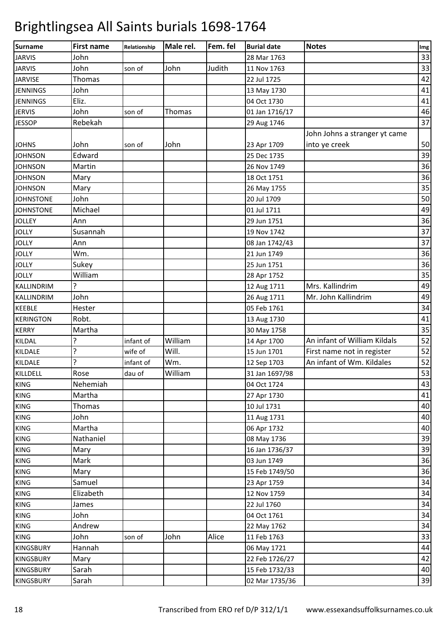| Surname          | <b>First name</b> | Relationship | Male rel. | Fem. fel | <b>Burial date</b> | <b>Notes</b>                  | Img |
|------------------|-------------------|--------------|-----------|----------|--------------------|-------------------------------|-----|
| <b>JARVIS</b>    | John              |              |           |          | 28 Mar 1763        |                               | 33  |
| <b>JARVIS</b>    | John              | son of       | John      | Judith   | 11 Nov 1763        |                               | 33  |
| <b>JARVISE</b>   | Thomas            |              |           |          | 22 Jul 1725        |                               | 42  |
| <b>JENNINGS</b>  | John              |              |           |          | 13 May 1730        |                               | 41  |
| <b>JENNINGS</b>  | Eliz.             |              |           |          | 04 Oct 1730        |                               | 41  |
| <b>JERVIS</b>    | John              | son of       | Thomas    |          | 01 Jan 1716/17     |                               | 46  |
| <b>JESSOP</b>    | Rebekah           |              |           |          | 29 Aug 1746        |                               | 37  |
|                  |                   |              |           |          |                    | John Johns a stranger yt came |     |
| <b>JOHNS</b>     | John              | son of       | John      |          | 23 Apr 1709        | into ye creek                 | 50  |
| <b>JOHNSON</b>   | Edward            |              |           |          | 25 Dec 1735        |                               | 39  |
| <b>JOHNSON</b>   | Martin            |              |           |          | 26 Nov 1749        |                               | 36  |
| <b>JOHNSON</b>   | Mary              |              |           |          | 18 Oct 1751        |                               | 36  |
| <b>JOHNSON</b>   | Mary              |              |           |          | 26 May 1755        |                               | 35  |
| <b>JOHNSTONE</b> | John              |              |           |          | 20 Jul 1709        |                               | 50  |
| <b>JOHNSTONE</b> | Michael           |              |           |          | 01 Jul 1711        |                               | 49  |
| <b>JOLLEY</b>    | Ann               |              |           |          | 29 Jun 1751        |                               | 36  |
| <b>JOLLY</b>     | Susannah          |              |           |          | 19 Nov 1742        |                               | 37  |
| <b>JOLLY</b>     | Ann               |              |           |          | 08 Jan 1742/43     |                               | 37  |
| <b>JOLLY</b>     | Wm.               |              |           |          | 21 Jun 1749        |                               | 36  |
| <b>JOLLY</b>     | Sukey             |              |           |          | 25 Jun 1751        |                               | 36  |
| <b>JOLLY</b>     | William           |              |           |          | 28 Apr 1752        |                               | 35  |
| KALLINDRIM       | 5.                |              |           |          | 12 Aug 1711        | Mrs. Kallindrim               | 49  |
| KALLINDRIM       | John              |              |           |          | 26 Aug 1711        | Mr. John Kallindrim           | 49  |
| <b>KEEBLE</b>    | Hester            |              |           |          | 05 Feb 1761        |                               | 34  |
| <b>KERINGTON</b> | Robt.             |              |           |          | 13 Aug 1730        |                               | 41  |
| <b>KERRY</b>     | Martha            |              |           |          | 30 May 1758        |                               | 35  |
| KILDAL           | ŗ                 | infant of    | William   |          | 14 Apr 1700        | An infant of William Kildals  | 52  |
| KILDALE          | ?                 | wife of      | Will.     |          | 15 Jun 1701        | First name not in register    | 52  |
| KILDALE          | ŗ                 | infant of    | Wm.       |          | 12 Sep 1703        | An infant of Wm. Kildales     | 52  |
| KILLDELL         | Rose              | dau of       | William   |          | 31 Jan 1697/98     |                               | 53  |
| <b>KING</b>      | Nehemiah          |              |           |          | 04 Oct 1724        |                               | 43  |
| <b>KING</b>      | Martha            |              |           |          | 27 Apr 1730        |                               | 41  |
| <b>KING</b>      | Thomas            |              |           |          | 10 Jul 1731        |                               | 40  |
| <b>KING</b>      | John              |              |           |          | 11 Aug 1731        |                               | 40  |
| <b>KING</b>      | Martha            |              |           |          | 06 Apr 1732        |                               | 40  |
| <b>KING</b>      | Nathaniel         |              |           |          | 08 May 1736        |                               | 39  |
| <b>KING</b>      | Mary              |              |           |          | 16 Jan 1736/37     |                               | 39  |
| <b>KING</b>      | Mark              |              |           |          | 03 Jun 1749        |                               | 36  |
| <b>KING</b>      | Mary              |              |           |          | 15 Feb 1749/50     |                               | 36  |
| <b>KING</b>      | Samuel            |              |           |          | 23 Apr 1759        |                               | 34  |
| <b>KING</b>      | Elizabeth         |              |           |          | 12 Nov 1759        |                               | 34  |
| <b>KING</b>      | James             |              |           |          | 22 Jul 1760        |                               | 34  |
| <b>KING</b>      | John              |              |           |          | 04 Oct 1761        |                               | 34  |
| <b>KING</b>      | Andrew            |              |           |          | 22 May 1762        |                               | 34  |
| <b>KING</b>      | John              | son of       | John      | Alice    | 11 Feb 1763        |                               | 33  |
| <b>KINGSBURY</b> | Hannah            |              |           |          | 06 May 1721        |                               | 44  |
| <b>KINGSBURY</b> | Mary              |              |           |          | 22 Feb 1726/27     |                               | 42  |
| <b>KINGSBURY</b> | Sarah             |              |           |          | 15 Feb 1732/33     |                               | 40  |
| <b>KINGSBURY</b> | Sarah             |              |           |          | 02 Mar 1735/36     |                               | 39  |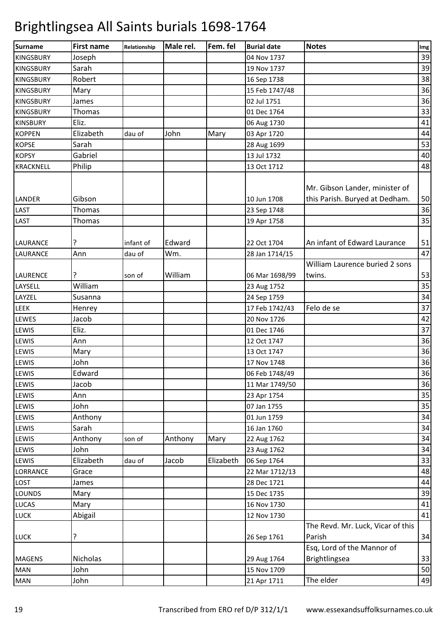| <b>Surname</b>        | <b>First name</b> | Relationship | Male rel. | Fem. fel  | <b>Burial date</b>            | <b>Notes</b>                                                     | Img      |
|-----------------------|-------------------|--------------|-----------|-----------|-------------------------------|------------------------------------------------------------------|----------|
| <b>KINGSBURY</b>      | Joseph            |              |           |           | 04 Nov 1737                   |                                                                  | 39       |
| <b>KINGSBURY</b>      | Sarah             |              |           |           | 19 Nov 1737                   |                                                                  | 39       |
| <b>KINGSBURY</b>      | Robert            |              |           |           | 16 Sep 1738                   |                                                                  | 38       |
| <b>KINGSBURY</b>      | Mary              |              |           |           | 15 Feb 1747/48                |                                                                  | 36       |
| <b>KINGSBURY</b>      | James             |              |           |           | 02 Jul 1751                   |                                                                  | 36       |
| <b>KINGSBURY</b>      | Thomas            |              |           |           | 01 Dec 1764                   |                                                                  | 33       |
| <b>KINSBURY</b>       | Eliz.             |              |           |           | 06 Aug 1730                   |                                                                  | 41       |
| <b>KOPPEN</b>         | Elizabeth         | dau of       | John      | Mary      | 03 Apr 1720                   |                                                                  | 44       |
| <b>KOPSE</b>          | Sarah             |              |           |           | 28 Aug 1699                   |                                                                  | 53       |
| <b>KOPSY</b>          | Gabriel           |              |           |           | 13 Jul 1732                   |                                                                  | 40       |
| <b>KRACKNELL</b>      | Philip            |              |           |           | 13 Oct 1712                   |                                                                  | 48       |
| <b>LANDER</b><br>LAST | Gibson<br>Thomas  |              |           |           | 10 Jun 1708<br>23 Sep 1748    | Mr. Gibson Lander, minister of<br>this Parish. Buryed at Dedham. | 50<br>36 |
| LAST                  | Thomas            |              |           |           | 19 Apr 1758                   |                                                                  | 35       |
| <b>LAURANCE</b>       | ?                 | infant of    | Edward    |           | 22 Oct 1704                   | An infant of Edward Laurance                                     | 51       |
| <b>LAURANCE</b>       | Ann               | dau of       | Wm.       |           | 28 Jan 1714/15                |                                                                  | 47       |
| <b>LAURENCE</b>       | ?                 |              | William   |           |                               | William Laurence buried 2 sons                                   | 53       |
| LAYSELL               | William           | son of       |           |           | 06 Mar 1698/99<br>23 Aug 1752 | twins.                                                           | 35       |
| LAYZEL                | Susanna           |              |           |           | 24 Sep 1759                   |                                                                  | 34       |
| <b>LEEK</b>           | Henrey            |              |           |           | 17 Feb 1742/43                | Felo de se                                                       | 37       |
| LEWES                 | Jacob             |              |           |           | 20 Nov 1726                   |                                                                  | 42       |
| LEWIS                 | Eliz.             |              |           |           | 01 Dec 1746                   |                                                                  | 37       |
| LEWIS                 | Ann               |              |           |           | 12 Oct 1747                   |                                                                  | 36       |
| <b>LEWIS</b>          | Mary              |              |           |           | 13 Oct 1747                   |                                                                  | 36       |
| <b>LEWIS</b>          | John              |              |           |           | 17 Nov 1748                   |                                                                  | 36       |
| LEWIS                 | Edward            |              |           |           | 06 Feb 1748/49                |                                                                  | 36       |
| LEWIS                 | Jacob             |              |           |           | 11 Mar 1749/50                |                                                                  | 36       |
| LEWIS                 | Ann               |              |           |           | 23 Apr 1754                   |                                                                  | 35       |
| <b>LEWIS</b>          | John              |              |           |           | 07 Jan 1755                   |                                                                  | 35       |
| LEWIS                 | Anthony           |              |           |           | 01 Jun 1759                   |                                                                  | 34       |
| <b>LEWIS</b>          | Sarah             |              |           |           | 16 Jan 1760                   |                                                                  | 34       |
| LEWIS                 | Anthony           | son of       | Anthony   | Mary      | 22 Aug 1762                   |                                                                  | 34       |
| LEWIS                 | John              |              |           |           | 23 Aug 1762                   |                                                                  | 34       |
| LEWIS                 | Elizabeth         | dau of       | Jacob     | Elizabeth | 06 Sep 1764                   |                                                                  | 33       |
| <b>LORRANCE</b>       | Grace             |              |           |           | 22 Mar 1712/13                |                                                                  | 48       |
| LOST                  | James             |              |           |           | 28 Dec 1721                   |                                                                  | 44       |
| <b>LOUNDS</b>         | Mary              |              |           |           | 15 Dec 1735                   |                                                                  | 39       |
| <b>LUCAS</b>          | Mary              |              |           |           | 16 Nov 1730                   |                                                                  | 41       |
| <b>LUCK</b>           | Abigail           |              |           |           | 12 Nov 1730                   |                                                                  | 41       |
|                       |                   |              |           |           |                               | The Revd. Mr. Luck, Vicar of this                                |          |
| <b>LUCK</b>           | ?                 |              |           |           | 26 Sep 1761                   | Parish                                                           | 34       |
|                       |                   |              |           |           |                               | Esq, Lord of the Mannor of                                       |          |
| <b>MAGENS</b>         | Nicholas          |              |           |           | 29 Aug 1764                   | Brightlingsea                                                    | 33       |
| <b>MAN</b>            | John              |              |           |           | 15 Nov 1709                   |                                                                  | 50       |
| <b>MAN</b>            | John              |              |           |           | 21 Apr 1711                   | The elder                                                        | 49       |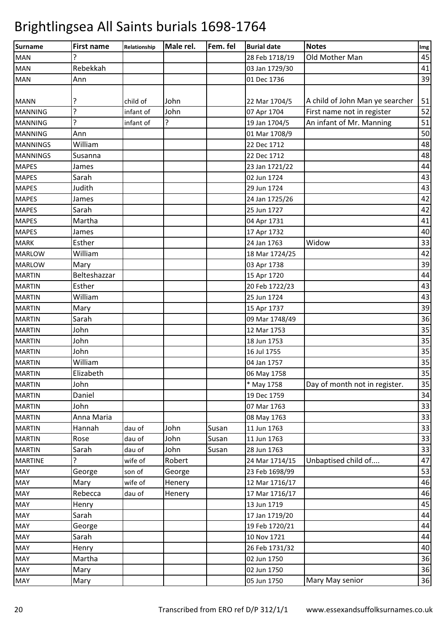| Surname         | <b>First name</b> | Relationship | Male rel. | Fem. fel | <b>Burial date</b> | <b>Notes</b>                    | Img |
|-----------------|-------------------|--------------|-----------|----------|--------------------|---------------------------------|-----|
| <b>MAN</b>      | ?                 |              |           |          | 28 Feb 1718/19     | Old Mother Man                  | 45  |
| <b>MAN</b>      | Rebekkah          |              |           |          | 03 Jan 1729/30     |                                 | 41  |
| <b>MAN</b>      | Ann               |              |           |          | 01 Dec 1736        |                                 | 39  |
|                 |                   |              |           |          |                    |                                 |     |
| <b>MANN</b>     | ?                 | child of     | John      |          | 22 Mar 1704/5      | A child of John Man ye searcher | 51  |
| <b>MANNING</b>  | 5                 | infant of    | John      |          | 07 Apr 1704        | First name not in register      | 52  |
| <b>MANNING</b>  | 5.                | infant of    | ?         |          | 19 Jan 1704/5      | An infant of Mr. Manning        | 51  |
| <b>MANNING</b>  | Ann               |              |           |          | 01 Mar 1708/9      |                                 | 50  |
| <b>MANNINGS</b> | William           |              |           |          | 22 Dec 1712        |                                 | 48  |
| <b>MANNINGS</b> | Susanna           |              |           |          | 22 Dec 1712        |                                 | 48  |
| <b>MAPES</b>    | James             |              |           |          | 23 Jan 1721/22     |                                 | 44  |
| <b>MAPES</b>    | Sarah             |              |           |          | 02 Jun 1724        |                                 | 43  |
| <b>MAPES</b>    | Judith            |              |           |          | 29 Jun 1724        |                                 | 43  |
| <b>MAPES</b>    | James             |              |           |          | 24 Jan 1725/26     |                                 | 42  |
| <b>MAPES</b>    | Sarah             |              |           |          | 25 Jun 1727        |                                 | 42  |
| <b>MAPES</b>    | Martha            |              |           |          | 04 Apr 1731        |                                 | 41  |
| <b>MAPES</b>    | James             |              |           |          | 17 Apr 1732        |                                 | 40  |
| <b>MARK</b>     | Esther            |              |           |          | 24 Jan 1763        | Widow                           | 33  |
| <b>MARLOW</b>   | William           |              |           |          | 18 Mar 1724/25     |                                 | 42  |
| <b>MARLOW</b>   | Mary              |              |           |          | 03 Apr 1738        |                                 | 39  |
| <b>MARTIN</b>   | Belteshazzar      |              |           |          | 15 Apr 1720        |                                 | 44  |
| <b>MARTIN</b>   | Esther            |              |           |          | 20 Feb 1722/23     |                                 | 43  |
| <b>MARTIN</b>   | William           |              |           |          | 25 Jun 1724        |                                 | 43  |
| <b>MARTIN</b>   | Mary              |              |           |          | 15 Apr 1737        |                                 | 39  |
| <b>MARTIN</b>   | Sarah             |              |           |          | 09 Mar 1748/49     |                                 | 36  |
| <b>MARTIN</b>   | John              |              |           |          | 12 Mar 1753        |                                 | 35  |
| <b>MARTIN</b>   | John              |              |           |          | 18 Jun 1753        |                                 | 35  |
| <b>MARTIN</b>   | John              |              |           |          | 16 Jul 1755        |                                 | 35  |
| <b>MARTIN</b>   | William           |              |           |          | 04 Jan 1757        |                                 | 35  |
| <b>MARTIN</b>   | Elizabeth         |              |           |          | 06 May 1758        |                                 | 35  |
| <b>MARTIN</b>   | John              |              |           |          | * May 1758         | Day of month not in register.   | 35  |
| <b>MARTIN</b>   | Daniel            |              |           |          | 19 Dec 1759        |                                 | 34  |
| <b>MARTIN</b>   | John              |              |           |          | 07 Mar 1763        |                                 | 33  |
| <b>MARTIN</b>   | Anna Maria        |              |           |          | 08 May 1763        |                                 | 33  |
| <b>MARTIN</b>   | Hannah            | dau of       | John      | Susan    | 11 Jun 1763        |                                 | 33  |
| <b>MARTIN</b>   | Rose              | dau of       | John      | Susan    | 11 Jun 1763        |                                 | 33  |
| <b>MARTIN</b>   | Sarah             | dau of       | John      | Susan    | 28 Jun 1763        |                                 | 33  |
| <b>MARTINE</b>  | 5.                | wife of      | Robert    |          | 24 Mar 1714/15     | Unbaptised child of             | 47  |
| <b>MAY</b>      | George            | son of       | George    |          | 23 Feb 1698/99     |                                 | 53  |
| MAY             | Mary              | wife of      | Henery    |          | 12 Mar 1716/17     |                                 | 46  |
| <b>MAY</b>      | Rebecca           | dau of       | Henery    |          | 17 Mar 1716/17     |                                 | 46  |
| MAY             | Henry             |              |           |          | 13 Jun 1719        |                                 | 45  |
| <b>MAY</b>      | Sarah             |              |           |          | 17 Jan 1719/20     |                                 | 44  |
| <b>MAY</b>      | George            |              |           |          | 19 Feb 1720/21     |                                 | 44  |
| <b>MAY</b>      | Sarah             |              |           |          | 10 Nov 1721        |                                 | 44  |
| MAY             | Henry             |              |           |          | 26 Feb 1731/32     |                                 | 40  |
| MAY             | Martha            |              |           |          | 02 Jun 1750        |                                 | 36  |
| <b>MAY</b>      | Mary              |              |           |          | 02 Jun 1750        |                                 | 36  |
| MAY             | Mary              |              |           |          | 05 Jun 1750        | Mary May senior                 | 36  |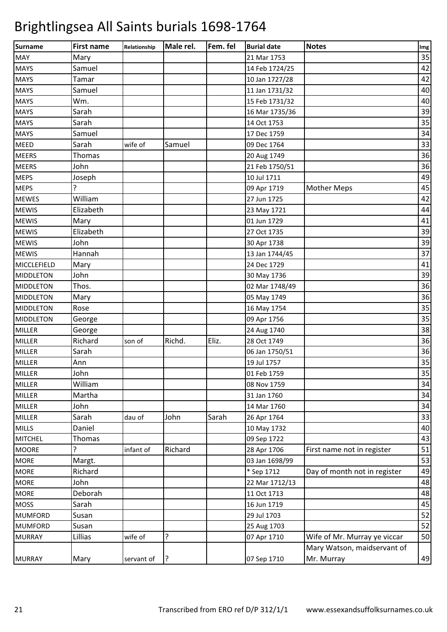| <b>Surname</b>     | <b>First name</b> | Relationship | Male rel. | Fem. fel | <b>Burial date</b> | <b>Notes</b>                 | Img |
|--------------------|-------------------|--------------|-----------|----------|--------------------|------------------------------|-----|
| <b>MAY</b>         | Mary              |              |           |          | 21 Mar 1753        |                              | 35  |
| <b>MAYS</b>        | Samuel            |              |           |          | 14 Feb 1724/25     |                              | 42  |
| <b>MAYS</b>        | Tamar             |              |           |          | 10 Jan 1727/28     |                              | 42  |
| <b>MAYS</b>        | Samuel            |              |           |          | 11 Jan 1731/32     |                              | 40  |
| <b>MAYS</b>        | Wm.               |              |           |          | 15 Feb 1731/32     |                              | 40  |
| <b>MAYS</b>        | Sarah             |              |           |          | 16 Mar 1735/36     |                              | 39  |
| <b>MAYS</b>        | Sarah             |              |           |          | 14 Oct 1753        |                              | 35  |
| <b>MAYS</b>        | Samuel            |              |           |          | 17 Dec 1759        |                              | 34  |
| MEED               | Sarah             | wife of      | Samuel    |          | 09 Dec 1764        |                              | 33  |
| <b>MEERS</b>       | Thomas            |              |           |          | 20 Aug 1749        |                              | 36  |
| <b>MEERS</b>       | John              |              |           |          | 21 Feb 1750/51     |                              | 36  |
| <b>MEPS</b>        | Joseph            |              |           |          | 10 Jul 1711        |                              | 49  |
| <b>MEPS</b>        | 7                 |              |           |          | 09 Apr 1719        | <b>Mother Meps</b>           | 45  |
| <b>MEWES</b>       | William           |              |           |          | 27 Jun 1725        |                              | 42  |
| <b>MEWIS</b>       | Elizabeth         |              |           |          | 23 May 1721        |                              | 44  |
| <b>MEWIS</b>       | Mary              |              |           |          | 01 Jun 1729        |                              | 41  |
| <b>MEWIS</b>       | Elizabeth         |              |           |          | 27 Oct 1735        |                              | 39  |
| <b>MEWIS</b>       | John              |              |           |          | 30 Apr 1738        |                              | 39  |
| <b>MEWIS</b>       | Hannah            |              |           |          | 13 Jan 1744/45     |                              | 37  |
| <b>MICCLEFIELD</b> | Mary              |              |           |          | 24 Dec 1729        |                              | 41  |
| <b>MIDDLETON</b>   | John              |              |           |          | 30 May 1736        |                              | 39  |
| <b>MIDDLETON</b>   | Thos.             |              |           |          | 02 Mar 1748/49     |                              | 36  |
| <b>MIDDLETON</b>   | Mary              |              |           |          | 05 May 1749        |                              | 36  |
| <b>MIDDLETON</b>   | Rose              |              |           |          | 16 May 1754        |                              | 35  |
| <b>MIDDLETON</b>   | George            |              |           |          | 09 Apr 1756        |                              | 35  |
| <b>MILLER</b>      | George            |              |           |          | 24 Aug 1740        |                              | 38  |
| MILLER             | Richard           | son of       | Richd.    | Eliz.    | 28 Oct 1749        |                              | 36  |
| <b>MILLER</b>      | Sarah             |              |           |          | 06 Jan 1750/51     |                              | 36  |
| <b>MILLER</b>      | Ann               |              |           |          | 19 Jul 1757        |                              | 35  |
| <b>MILLER</b>      | John              |              |           |          | 01 Feb 1759        |                              | 35  |
| <b>MILLER</b>      | William           |              |           |          | 08 Nov 1759        |                              | 34  |
| <b>MILLER</b>      | Martha            |              |           |          | 31 Jan 1760        |                              | 34  |
| <b>MILLER</b>      | John              |              |           |          | 14 Mar 1760        |                              | 34  |
| <b>MILLER</b>      | Sarah             | dau of       | John      | Sarah    | 26 Apr 1764        |                              | 33  |
| <b>MILLS</b>       | Daniel            |              |           |          | 10 May 1732        |                              | 40  |
| <b>MITCHEL</b>     | Thomas            |              |           |          | 09 Sep 1722        |                              | 43  |
| <b>MOORE</b>       | ?                 | infant of    | Richard   |          | 28 Apr 1706        | First name not in register   | 51  |
| <b>MORE</b>        | Margt.            |              |           |          | 03 Jan 1698/99     |                              | 53  |
| <b>MORE</b>        | Richard           |              |           |          | * Sep 1712         | Day of month not in register | 49  |
| <b>MORE</b>        | John              |              |           |          | 22 Mar 1712/13     |                              | 48  |
| <b>MORE</b>        | Deborah           |              |           |          | 11 Oct 1713        |                              | 48  |
| <b>MOSS</b>        | Sarah             |              |           |          | 16 Jun 1719        |                              | 45  |
| <b>MUMFORD</b>     | Susan             |              |           |          | 29 Jul 1703        |                              | 52  |
| <b>MUMFORD</b>     | Susan             |              |           |          | 25 Aug 1703        |                              | 52  |
| <b>MURRAY</b>      | Lillias           | wife of      | ?         |          | 07 Apr 1710        | Wife of Mr. Murray ye viccar | 50  |
|                    |                   |              |           |          |                    | Mary Watson, maidservant of  |     |
| <b>MURRAY</b>      | Mary              | servant of   | ?ا        |          | 07 Sep 1710        | Mr. Murray                   | 49  |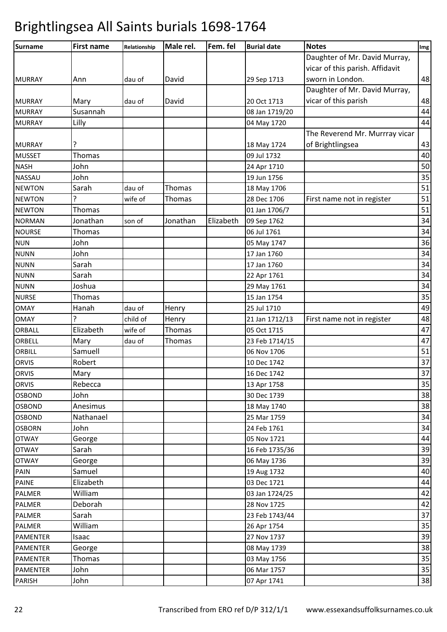| Daughter of Mr. David Murray,<br>vicar of this parish. Affidavit<br>sworn in London.<br>David<br>29 Sep 1713<br><b>MURRAY</b><br>Ann<br>dau of<br>Daughter of Mr. David Murray,<br>vicar of this parish<br><b>MURRAY</b><br>David<br>Mary<br>dau of<br>20 Oct 1713<br>Susannah<br><b>MURRAY</b><br>08 Jan 1719/20<br>Lilly<br><b>MURRAY</b><br>04 May 1720<br>The Reverend Mr. Murrray vicar<br>of Brightlingsea<br><b>MURRAY</b><br>?<br>18 May 1724<br><b>Thomas</b><br>09 Jul 1732<br><b>MUSSET</b><br>John<br><b>NASH</b><br>24 Apr 1710<br><b>NASSAU</b><br>John<br>19 Jun 1756<br>Thomas<br><b>NEWTON</b><br>Sarah<br>dau of<br>18 May 1706<br>7<br>Thomas<br>wife of<br><b>NEWTON</b><br>28 Dec 1706<br>First name not in register<br>Thomas<br><b>NEWTON</b><br>01 Jan 1706/7<br>Jonathan<br>Jonathan<br>Elizabeth<br><b>NORMAN</b><br>09 Sep 1762<br>son of<br>Thomas<br><b>NOURSE</b><br>06 Jul 1761<br>John<br><b>NUN</b><br>05 May 1747<br>John<br><b>NUNN</b><br>17 Jan 1760<br>Sarah<br><b>NUNN</b><br>17 Jan 1760<br>Sarah<br><b>NUNN</b><br>22 Apr 1761<br>Joshua<br><b>NUNN</b><br>29 May 1761<br><b>NURSE</b><br>Thomas<br>15 Jan 1754<br><b>OMAY</b><br>Hanah<br>dau of<br>Henry<br>25 Jul 1710<br>Henry<br><b>OMAY</b><br>child of<br>First name not in register<br>21 Jan 1712/13<br>Elizabeth<br>Thomas<br>05 Oct 1715<br>ORBALL<br>wife of<br>Thomas<br>ORBELL<br>Mary<br>dau of<br>23 Feb 1714/15<br>Samuell<br>ORBILL<br>06 Nov 1706<br>Robert<br><b>ORVIS</b><br>10 Dec 1742<br><b>ORVIS</b><br>Mary<br>16 Dec 1742 | <b>Surname</b> | <b>First name</b> | Relationship | Male rel. | Fem. fel | <b>Burial date</b> | <b>Notes</b> | Img |
|-----------------------------------------------------------------------------------------------------------------------------------------------------------------------------------------------------------------------------------------------------------------------------------------------------------------------------------------------------------------------------------------------------------------------------------------------------------------------------------------------------------------------------------------------------------------------------------------------------------------------------------------------------------------------------------------------------------------------------------------------------------------------------------------------------------------------------------------------------------------------------------------------------------------------------------------------------------------------------------------------------------------------------------------------------------------------------------------------------------------------------------------------------------------------------------------------------------------------------------------------------------------------------------------------------------------------------------------------------------------------------------------------------------------------------------------------------------------------------------------------------------------------------------------------|----------------|-------------------|--------------|-----------|----------|--------------------|--------------|-----|
|                                                                                                                                                                                                                                                                                                                                                                                                                                                                                                                                                                                                                                                                                                                                                                                                                                                                                                                                                                                                                                                                                                                                                                                                                                                                                                                                                                                                                                                                                                                                               |                |                   |              |           |          |                    |              |     |
|                                                                                                                                                                                                                                                                                                                                                                                                                                                                                                                                                                                                                                                                                                                                                                                                                                                                                                                                                                                                                                                                                                                                                                                                                                                                                                                                                                                                                                                                                                                                               |                |                   |              |           |          |                    |              |     |
|                                                                                                                                                                                                                                                                                                                                                                                                                                                                                                                                                                                                                                                                                                                                                                                                                                                                                                                                                                                                                                                                                                                                                                                                                                                                                                                                                                                                                                                                                                                                               |                |                   |              |           |          |                    |              | 48  |
|                                                                                                                                                                                                                                                                                                                                                                                                                                                                                                                                                                                                                                                                                                                                                                                                                                                                                                                                                                                                                                                                                                                                                                                                                                                                                                                                                                                                                                                                                                                                               |                |                   |              |           |          |                    |              |     |
|                                                                                                                                                                                                                                                                                                                                                                                                                                                                                                                                                                                                                                                                                                                                                                                                                                                                                                                                                                                                                                                                                                                                                                                                                                                                                                                                                                                                                                                                                                                                               |                |                   |              |           |          |                    |              | 48  |
|                                                                                                                                                                                                                                                                                                                                                                                                                                                                                                                                                                                                                                                                                                                                                                                                                                                                                                                                                                                                                                                                                                                                                                                                                                                                                                                                                                                                                                                                                                                                               |                |                   |              |           |          |                    |              | 44  |
|                                                                                                                                                                                                                                                                                                                                                                                                                                                                                                                                                                                                                                                                                                                                                                                                                                                                                                                                                                                                                                                                                                                                                                                                                                                                                                                                                                                                                                                                                                                                               |                |                   |              |           |          |                    |              | 44  |
|                                                                                                                                                                                                                                                                                                                                                                                                                                                                                                                                                                                                                                                                                                                                                                                                                                                                                                                                                                                                                                                                                                                                                                                                                                                                                                                                                                                                                                                                                                                                               |                |                   |              |           |          |                    |              |     |
|                                                                                                                                                                                                                                                                                                                                                                                                                                                                                                                                                                                                                                                                                                                                                                                                                                                                                                                                                                                                                                                                                                                                                                                                                                                                                                                                                                                                                                                                                                                                               |                |                   |              |           |          |                    |              | 43  |
|                                                                                                                                                                                                                                                                                                                                                                                                                                                                                                                                                                                                                                                                                                                                                                                                                                                                                                                                                                                                                                                                                                                                                                                                                                                                                                                                                                                                                                                                                                                                               |                |                   |              |           |          |                    |              | 40  |
|                                                                                                                                                                                                                                                                                                                                                                                                                                                                                                                                                                                                                                                                                                                                                                                                                                                                                                                                                                                                                                                                                                                                                                                                                                                                                                                                                                                                                                                                                                                                               |                |                   |              |           |          |                    |              | 50  |
|                                                                                                                                                                                                                                                                                                                                                                                                                                                                                                                                                                                                                                                                                                                                                                                                                                                                                                                                                                                                                                                                                                                                                                                                                                                                                                                                                                                                                                                                                                                                               |                |                   |              |           |          |                    |              | 35  |
|                                                                                                                                                                                                                                                                                                                                                                                                                                                                                                                                                                                                                                                                                                                                                                                                                                                                                                                                                                                                                                                                                                                                                                                                                                                                                                                                                                                                                                                                                                                                               |                |                   |              |           |          |                    |              | 51  |
|                                                                                                                                                                                                                                                                                                                                                                                                                                                                                                                                                                                                                                                                                                                                                                                                                                                                                                                                                                                                                                                                                                                                                                                                                                                                                                                                                                                                                                                                                                                                               |                |                   |              |           |          |                    |              | 51  |
|                                                                                                                                                                                                                                                                                                                                                                                                                                                                                                                                                                                                                                                                                                                                                                                                                                                                                                                                                                                                                                                                                                                                                                                                                                                                                                                                                                                                                                                                                                                                               |                |                   |              |           |          |                    |              | 51  |
|                                                                                                                                                                                                                                                                                                                                                                                                                                                                                                                                                                                                                                                                                                                                                                                                                                                                                                                                                                                                                                                                                                                                                                                                                                                                                                                                                                                                                                                                                                                                               |                |                   |              |           |          |                    |              | 34  |
|                                                                                                                                                                                                                                                                                                                                                                                                                                                                                                                                                                                                                                                                                                                                                                                                                                                                                                                                                                                                                                                                                                                                                                                                                                                                                                                                                                                                                                                                                                                                               |                |                   |              |           |          |                    |              | 34  |
|                                                                                                                                                                                                                                                                                                                                                                                                                                                                                                                                                                                                                                                                                                                                                                                                                                                                                                                                                                                                                                                                                                                                                                                                                                                                                                                                                                                                                                                                                                                                               |                |                   |              |           |          |                    |              | 36  |
|                                                                                                                                                                                                                                                                                                                                                                                                                                                                                                                                                                                                                                                                                                                                                                                                                                                                                                                                                                                                                                                                                                                                                                                                                                                                                                                                                                                                                                                                                                                                               |                |                   |              |           |          |                    |              | 34  |
|                                                                                                                                                                                                                                                                                                                                                                                                                                                                                                                                                                                                                                                                                                                                                                                                                                                                                                                                                                                                                                                                                                                                                                                                                                                                                                                                                                                                                                                                                                                                               |                |                   |              |           |          |                    |              | 34  |
|                                                                                                                                                                                                                                                                                                                                                                                                                                                                                                                                                                                                                                                                                                                                                                                                                                                                                                                                                                                                                                                                                                                                                                                                                                                                                                                                                                                                                                                                                                                                               |                |                   |              |           |          |                    |              | 34  |
|                                                                                                                                                                                                                                                                                                                                                                                                                                                                                                                                                                                                                                                                                                                                                                                                                                                                                                                                                                                                                                                                                                                                                                                                                                                                                                                                                                                                                                                                                                                                               |                |                   |              |           |          |                    |              | 34  |
|                                                                                                                                                                                                                                                                                                                                                                                                                                                                                                                                                                                                                                                                                                                                                                                                                                                                                                                                                                                                                                                                                                                                                                                                                                                                                                                                                                                                                                                                                                                                               |                |                   |              |           |          |                    |              | 35  |
|                                                                                                                                                                                                                                                                                                                                                                                                                                                                                                                                                                                                                                                                                                                                                                                                                                                                                                                                                                                                                                                                                                                                                                                                                                                                                                                                                                                                                                                                                                                                               |                |                   |              |           |          |                    |              | 49  |
|                                                                                                                                                                                                                                                                                                                                                                                                                                                                                                                                                                                                                                                                                                                                                                                                                                                                                                                                                                                                                                                                                                                                                                                                                                                                                                                                                                                                                                                                                                                                               |                |                   |              |           |          |                    |              | 48  |
|                                                                                                                                                                                                                                                                                                                                                                                                                                                                                                                                                                                                                                                                                                                                                                                                                                                                                                                                                                                                                                                                                                                                                                                                                                                                                                                                                                                                                                                                                                                                               |                |                   |              |           |          |                    |              | 47  |
|                                                                                                                                                                                                                                                                                                                                                                                                                                                                                                                                                                                                                                                                                                                                                                                                                                                                                                                                                                                                                                                                                                                                                                                                                                                                                                                                                                                                                                                                                                                                               |                |                   |              |           |          |                    |              | 47  |
|                                                                                                                                                                                                                                                                                                                                                                                                                                                                                                                                                                                                                                                                                                                                                                                                                                                                                                                                                                                                                                                                                                                                                                                                                                                                                                                                                                                                                                                                                                                                               |                |                   |              |           |          |                    |              | 51  |
|                                                                                                                                                                                                                                                                                                                                                                                                                                                                                                                                                                                                                                                                                                                                                                                                                                                                                                                                                                                                                                                                                                                                                                                                                                                                                                                                                                                                                                                                                                                                               |                |                   |              |           |          |                    |              | 37  |
|                                                                                                                                                                                                                                                                                                                                                                                                                                                                                                                                                                                                                                                                                                                                                                                                                                                                                                                                                                                                                                                                                                                                                                                                                                                                                                                                                                                                                                                                                                                                               |                |                   |              |           |          |                    |              | 37  |
| <b>ORVIS</b><br>Rebecca<br>13 Apr 1758                                                                                                                                                                                                                                                                                                                                                                                                                                                                                                                                                                                                                                                                                                                                                                                                                                                                                                                                                                                                                                                                                                                                                                                                                                                                                                                                                                                                                                                                                                        |                |                   |              |           |          |                    |              | 35  |
| John<br>30 Dec 1739<br><b>OSBOND</b>                                                                                                                                                                                                                                                                                                                                                                                                                                                                                                                                                                                                                                                                                                                                                                                                                                                                                                                                                                                                                                                                                                                                                                                                                                                                                                                                                                                                                                                                                                          |                |                   |              |           |          |                    |              | 38  |
| <b>OSBOND</b><br>Anesimus<br>18 May 1740                                                                                                                                                                                                                                                                                                                                                                                                                                                                                                                                                                                                                                                                                                                                                                                                                                                                                                                                                                                                                                                                                                                                                                                                                                                                                                                                                                                                                                                                                                      |                |                   |              |           |          |                    |              | 38  |
| Nathanael<br>25 Mar 1759<br><b>OSBOND</b>                                                                                                                                                                                                                                                                                                                                                                                                                                                                                                                                                                                                                                                                                                                                                                                                                                                                                                                                                                                                                                                                                                                                                                                                                                                                                                                                                                                                                                                                                                     |                |                   |              |           |          |                    |              | 34  |
| John<br><b>OSBORN</b><br>24 Feb 1761                                                                                                                                                                                                                                                                                                                                                                                                                                                                                                                                                                                                                                                                                                                                                                                                                                                                                                                                                                                                                                                                                                                                                                                                                                                                                                                                                                                                                                                                                                          |                |                   |              |           |          |                    |              | 34  |
| George<br>05 Nov 1721<br><b>OTWAY</b>                                                                                                                                                                                                                                                                                                                                                                                                                                                                                                                                                                                                                                                                                                                                                                                                                                                                                                                                                                                                                                                                                                                                                                                                                                                                                                                                                                                                                                                                                                         |                |                   |              |           |          |                    |              | 44  |
| Sarah<br><b>OTWAY</b><br>16 Feb 1735/36                                                                                                                                                                                                                                                                                                                                                                                                                                                                                                                                                                                                                                                                                                                                                                                                                                                                                                                                                                                                                                                                                                                                                                                                                                                                                                                                                                                                                                                                                                       |                |                   |              |           |          |                    |              | 39  |
| <b>OTWAY</b><br>George<br>06 May 1736                                                                                                                                                                                                                                                                                                                                                                                                                                                                                                                                                                                                                                                                                                                                                                                                                                                                                                                                                                                                                                                                                                                                                                                                                                                                                                                                                                                                                                                                                                         |                |                   |              |           |          |                    |              | 39  |
| Samuel<br>19 Aug 1732<br>PAIN                                                                                                                                                                                                                                                                                                                                                                                                                                                                                                                                                                                                                                                                                                                                                                                                                                                                                                                                                                                                                                                                                                                                                                                                                                                                                                                                                                                                                                                                                                                 |                |                   |              |           |          |                    |              | 40  |
| Elizabeth<br>03 Dec 1721<br><b>PAINE</b>                                                                                                                                                                                                                                                                                                                                                                                                                                                                                                                                                                                                                                                                                                                                                                                                                                                                                                                                                                                                                                                                                                                                                                                                                                                                                                                                                                                                                                                                                                      |                |                   |              |           |          |                    |              | 44  |
| William<br>03 Jan 1724/25<br>PALMER                                                                                                                                                                                                                                                                                                                                                                                                                                                                                                                                                                                                                                                                                                                                                                                                                                                                                                                                                                                                                                                                                                                                                                                                                                                                                                                                                                                                                                                                                                           |                |                   |              |           |          |                    |              | 42  |
| Deborah<br>PALMER<br>28 Nov 1725                                                                                                                                                                                                                                                                                                                                                                                                                                                                                                                                                                                                                                                                                                                                                                                                                                                                                                                                                                                                                                                                                                                                                                                                                                                                                                                                                                                                                                                                                                              |                |                   |              |           |          |                    |              | 42  |
| Sarah<br>23 Feb 1743/44<br>PALMER                                                                                                                                                                                                                                                                                                                                                                                                                                                                                                                                                                                                                                                                                                                                                                                                                                                                                                                                                                                                                                                                                                                                                                                                                                                                                                                                                                                                                                                                                                             |                |                   |              |           |          |                    |              | 37  |
| William<br>PALMER<br>26 Apr 1754                                                                                                                                                                                                                                                                                                                                                                                                                                                                                                                                                                                                                                                                                                                                                                                                                                                                                                                                                                                                                                                                                                                                                                                                                                                                                                                                                                                                                                                                                                              |                |                   |              |           |          |                    |              | 35  |
| 27 Nov 1737<br><b>PAMENTER</b><br>Isaac                                                                                                                                                                                                                                                                                                                                                                                                                                                                                                                                                                                                                                                                                                                                                                                                                                                                                                                                                                                                                                                                                                                                                                                                                                                                                                                                                                                                                                                                                                       |                |                   |              |           |          |                    |              | 39  |
| <b>PAMENTER</b><br>George<br>08 May 1739                                                                                                                                                                                                                                                                                                                                                                                                                                                                                                                                                                                                                                                                                                                                                                                                                                                                                                                                                                                                                                                                                                                                                                                                                                                                                                                                                                                                                                                                                                      |                |                   |              |           |          |                    |              | 38  |
| Thomas<br><b>PAMENTER</b><br>03 May 1756                                                                                                                                                                                                                                                                                                                                                                                                                                                                                                                                                                                                                                                                                                                                                                                                                                                                                                                                                                                                                                                                                                                                                                                                                                                                                                                                                                                                                                                                                                      |                |                   |              |           |          |                    |              | 35  |
| John<br>06 Mar 1757<br><b>PAMENTER</b>                                                                                                                                                                                                                                                                                                                                                                                                                                                                                                                                                                                                                                                                                                                                                                                                                                                                                                                                                                                                                                                                                                                                                                                                                                                                                                                                                                                                                                                                                                        |                |                   |              |           |          |                    |              | 35  |
| John<br><b>PARISH</b><br>07 Apr 1741                                                                                                                                                                                                                                                                                                                                                                                                                                                                                                                                                                                                                                                                                                                                                                                                                                                                                                                                                                                                                                                                                                                                                                                                                                                                                                                                                                                                                                                                                                          |                |                   |              |           |          |                    |              | 38  |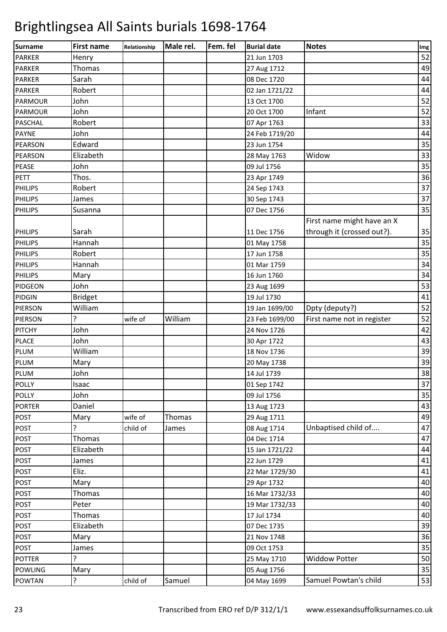| Surname        | <b>First name</b> | Relationship | Male rel. | Fem. fel | <b>Burial date</b> | <b>Notes</b>               | Img |
|----------------|-------------------|--------------|-----------|----------|--------------------|----------------------------|-----|
| <b>PARKER</b>  | Henry             |              |           |          | 21 Jun 1703        |                            | 52  |
| <b>PARKER</b>  | Thomas            |              |           |          | 27 Aug 1712        |                            | 49  |
| <b>PARKER</b>  | Sarah             |              |           |          | 08 Dec 1720        |                            | 44  |
| <b>PARKER</b>  | Robert            |              |           |          | 02 Jan 1721/22     |                            | 44  |
| <b>PARMOUR</b> | John              |              |           |          | 13 Oct 1700        |                            | 52  |
| <b>PARMOUR</b> | John              |              |           |          | 20 Oct 1700        | Infant                     | 52  |
| <b>PASCHAL</b> | Robert            |              |           |          | 07 Apr 1763        |                            | 33  |
| <b>PAYNE</b>   | John              |              |           |          | 24 Feb 1719/20     |                            | 44  |
| <b>PEARSON</b> | Edward            |              |           |          | 23 Jun 1754        |                            | 35  |
| <b>PEARSON</b> | Elizabeth         |              |           |          | 28 May 1763        | Widow                      | 33  |
| <b>PEASE</b>   | John              |              |           |          | 09 Jul 1756        |                            | 35  |
| <b>PETT</b>    | Thos.             |              |           |          | 23 Apr 1749        |                            | 36  |
| <b>PHILIPS</b> | Robert            |              |           |          | 24 Sep 1743        |                            | 37  |
| <b>PHILIPS</b> | James             |              |           |          | 30 Sep 1743        |                            | 37  |
| <b>PHILIPS</b> | Susanna           |              |           |          | 07 Dec 1756        |                            | 35  |
|                |                   |              |           |          |                    | First name might have an X |     |
| <b>PHILIPS</b> | Sarah             |              |           |          | 11 Dec 1756        | through it (crossed out?). | 35  |
| <b>PHILIPS</b> | Hannah            |              |           |          |                    |                            | 35  |
|                |                   |              |           |          | 01 May 1758        |                            | 35  |
| <b>PHILIPS</b> | Robert            |              |           |          | 17 Jun 1758        |                            |     |
| <b>PHILIPS</b> | Hannah            |              |           |          | 01 Mar 1759        |                            | 34  |
| <b>PHILIPS</b> | Mary              |              |           |          | 16 Jun 1760        |                            | 34  |
| <b>PIDGEON</b> | John              |              |           |          | 23 Aug 1699        |                            | 53  |
| <b>PIDGIN</b>  | <b>Bridget</b>    |              |           |          | 19 Jul 1730        |                            | 41  |
| <b>PIERSON</b> | William           |              |           |          | 19 Jan 1699/00     | Dpty (deputy?)             | 52  |
| <b>PIERSON</b> | 5.                | wife of      | William   |          | 23 Feb 1699/00     | First name not in register | 52  |
| <b>PITCHY</b>  | John              |              |           |          | 24 Nov 1726        |                            | 42  |
| <b>PLACE</b>   | John              |              |           |          | 30 Apr 1722        |                            | 43  |
| PLUM           | William           |              |           |          | 18 Nov 1736        |                            | 39  |
| <b>PLUM</b>    | Mary              |              |           |          | 20 May 1738        |                            | 39  |
| PLUM           | John              |              |           |          | 14 Jul 1739        |                            | 38  |
| <b>POLLY</b>   | Isaac             |              |           |          | 01 Sep 1742        |                            | 37  |
| <b>POLLY</b>   | John              |              |           |          | 09 Jul 1756        |                            | 35  |
| <b>PORTER</b>  | Daniel            |              |           |          | 13 Aug 1723        |                            | 43  |
| <b>POST</b>    | Mary              | wife of      | Thomas    |          | 29 Aug 1711        |                            | 49  |
| <b>POST</b>    |                   | child of     | James     |          | 08 Aug 1714        | Unbaptised child of        | 47  |
| <b>POST</b>    | Thomas            |              |           |          | 04 Dec 1714        |                            | 47  |
| <b>POST</b>    | Elizabeth         |              |           |          | 15 Jan 1721/22     |                            | 44  |
| <b>POST</b>    | James             |              |           |          | 22 Jun 1729        |                            | 41  |
| <b>POST</b>    | Eliz.             |              |           |          | 22 Mar 1729/30     |                            | 41  |
| <b>POST</b>    | Mary              |              |           |          | 29 Apr 1732        |                            | 40  |
| <b>POST</b>    | Thomas            |              |           |          | 16 Mar 1732/33     |                            | 40  |
| <b>POST</b>    | Peter             |              |           |          | 19 Mar 1732/33     |                            | 40  |
| <b>POST</b>    | Thomas            |              |           |          | 17 Jul 1734        |                            | 40  |
| <b>POST</b>    | Elizabeth         |              |           |          | 07 Dec 1735        |                            | 39  |
| <b>POST</b>    | Mary              |              |           |          | 21 Nov 1748        |                            | 36  |
| <b>POST</b>    | James             |              |           |          | 09 Oct 1753        |                            | 35  |
| <b>POTTER</b>  | ?                 |              |           |          | 25 May 1710        | <b>Widdow Potter</b>       | 50  |
| <b>POWLING</b> |                   |              |           |          | 05 Aug 1756        |                            | 35  |
|                | Mary              |              |           |          |                    |                            |     |
| <b>POWTAN</b>  | ?                 | child of     | Samuel    |          | 04 May 1699        | Samuel Powtan's child      | 53  |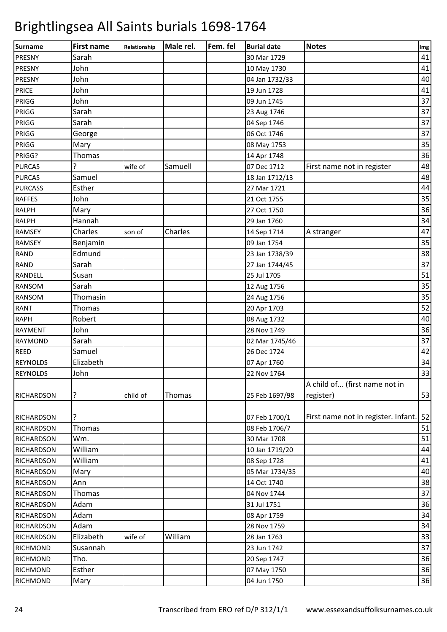| 41<br>Sarah<br>30 Mar 1729<br>John<br>41<br>10 May 1730<br>40<br>John<br>04 Jan 1732/33<br>John<br>41<br>19 Jun 1728<br>37<br>John<br>09 Jun 1745<br>37<br>Sarah<br>23 Aug 1746<br>37<br>Sarah<br>04 Sep 1746<br>37<br>06 Oct 1746<br>George<br>35<br>Mary<br>08 May 1753<br>36<br>Thomas<br>14 Apr 1748<br>48<br>?<br>Samuell<br>07 Dec 1712<br>First name not in register<br>wife of<br>48<br>Samuel<br>18 Jan 1712/13<br>Esther<br>44<br>27 Mar 1721<br>35<br>John<br>21 Oct 1755<br>36<br>Mary<br>27 Oct 1750<br>34<br>Hannah<br>29 Jan 1760<br>47<br>Charles<br>Charles<br>son of<br>14 Sep 1714<br>A stranger<br>35<br>09 Jan 1754<br>Benjamin<br>38<br>Edmund<br>23 Jan 1738/39<br>37<br>Sarah<br>27 Jan 1744/45<br>51<br>Susan<br>25 Jul 1705<br>35<br>Sarah<br>12 Aug 1756<br>Thomasin<br>35<br>RANSOM<br>24 Aug 1756<br>52<br>Thomas<br>20 Apr 1703<br>40<br>Robert<br>08 Aug 1732<br>John<br>36<br>28 Nov 1749<br>37<br>Sarah<br>02 Mar 1745/46<br>Samuel<br>26 Dec 1724<br>42<br>Elizabeth<br>34<br>07 Apr 1760<br>33<br>John<br>22 Nov 1764<br>A child of (first name not in<br>53<br>?<br>child of<br>Thomas<br>register)<br><b>RICHARDSON</b><br>25 Feb 1697/98<br>?<br>First name not in register. Infant.<br>52<br>07 Feb 1700/1<br><b>RICHARDSON</b><br>Thomas<br>51<br>08 Feb 1706/7<br><b>RICHARDSON</b><br>51<br>Wm.<br>30 Mar 1708<br>William<br>44<br>10 Jan 1719/20<br>William<br>41<br>08 Sep 1728<br>40<br>Mary<br>05 Mar 1734/35<br>38<br>14 Oct 1740<br>Ann<br>37<br>Thomas<br>04 Nov 1744<br><b>RICHARDSON</b><br>36<br>Adam<br>31 Jul 1751<br>34<br>Adam<br>08 Apr 1759<br>34<br>Adam<br>28 Nov 1759<br><b>RICHARDSON</b><br>33<br>Elizabeth<br>William<br>wife of<br>28 Jan 1763<br>37<br>Susannah<br>23 Jun 1742<br>Tho.<br>36<br>20 Sep 1747<br>Esther<br>36<br>07 May 1750 | Surname           | <b>First name</b> | Relationship | Male rel. | Fem. fel | <b>Burial date</b> | <b>Notes</b> | Img |
|--------------------------------------------------------------------------------------------------------------------------------------------------------------------------------------------------------------------------------------------------------------------------------------------------------------------------------------------------------------------------------------------------------------------------------------------------------------------------------------------------------------------------------------------------------------------------------------------------------------------------------------------------------------------------------------------------------------------------------------------------------------------------------------------------------------------------------------------------------------------------------------------------------------------------------------------------------------------------------------------------------------------------------------------------------------------------------------------------------------------------------------------------------------------------------------------------------------------------------------------------------------------------------------------------------------------------------------------------------------------------------------------------------------------------------------------------------------------------------------------------------------------------------------------------------------------------------------------------------------------------------------------------------------------------------------------------------------------------------------------------------------------------------------------------------------|-------------------|-------------------|--------------|-----------|----------|--------------------|--------------|-----|
|                                                                                                                                                                                                                                                                                                                                                                                                                                                                                                                                                                                                                                                                                                                                                                                                                                                                                                                                                                                                                                                                                                                                                                                                                                                                                                                                                                                                                                                                                                                                                                                                                                                                                                                                                                                                              | <b>PRESNY</b>     |                   |              |           |          |                    |              |     |
|                                                                                                                                                                                                                                                                                                                                                                                                                                                                                                                                                                                                                                                                                                                                                                                                                                                                                                                                                                                                                                                                                                                                                                                                                                                                                                                                                                                                                                                                                                                                                                                                                                                                                                                                                                                                              | <b>PRESNY</b>     |                   |              |           |          |                    |              |     |
|                                                                                                                                                                                                                                                                                                                                                                                                                                                                                                                                                                                                                                                                                                                                                                                                                                                                                                                                                                                                                                                                                                                                                                                                                                                                                                                                                                                                                                                                                                                                                                                                                                                                                                                                                                                                              | <b>PRESNY</b>     |                   |              |           |          |                    |              |     |
|                                                                                                                                                                                                                                                                                                                                                                                                                                                                                                                                                                                                                                                                                                                                                                                                                                                                                                                                                                                                                                                                                                                                                                                                                                                                                                                                                                                                                                                                                                                                                                                                                                                                                                                                                                                                              | <b>PRICE</b>      |                   |              |           |          |                    |              |     |
|                                                                                                                                                                                                                                                                                                                                                                                                                                                                                                                                                                                                                                                                                                                                                                                                                                                                                                                                                                                                                                                                                                                                                                                                                                                                                                                                                                                                                                                                                                                                                                                                                                                                                                                                                                                                              | PRIGG             |                   |              |           |          |                    |              |     |
|                                                                                                                                                                                                                                                                                                                                                                                                                                                                                                                                                                                                                                                                                                                                                                                                                                                                                                                                                                                                                                                                                                                                                                                                                                                                                                                                                                                                                                                                                                                                                                                                                                                                                                                                                                                                              | PRIGG             |                   |              |           |          |                    |              |     |
|                                                                                                                                                                                                                                                                                                                                                                                                                                                                                                                                                                                                                                                                                                                                                                                                                                                                                                                                                                                                                                                                                                                                                                                                                                                                                                                                                                                                                                                                                                                                                                                                                                                                                                                                                                                                              | PRIGG             |                   |              |           |          |                    |              |     |
|                                                                                                                                                                                                                                                                                                                                                                                                                                                                                                                                                                                                                                                                                                                                                                                                                                                                                                                                                                                                                                                                                                                                                                                                                                                                                                                                                                                                                                                                                                                                                                                                                                                                                                                                                                                                              | PRIGG             |                   |              |           |          |                    |              |     |
|                                                                                                                                                                                                                                                                                                                                                                                                                                                                                                                                                                                                                                                                                                                                                                                                                                                                                                                                                                                                                                                                                                                                                                                                                                                                                                                                                                                                                                                                                                                                                                                                                                                                                                                                                                                                              | PRIGG             |                   |              |           |          |                    |              |     |
|                                                                                                                                                                                                                                                                                                                                                                                                                                                                                                                                                                                                                                                                                                                                                                                                                                                                                                                                                                                                                                                                                                                                                                                                                                                                                                                                                                                                                                                                                                                                                                                                                                                                                                                                                                                                              | PRIGG?            |                   |              |           |          |                    |              |     |
|                                                                                                                                                                                                                                                                                                                                                                                                                                                                                                                                                                                                                                                                                                                                                                                                                                                                                                                                                                                                                                                                                                                                                                                                                                                                                                                                                                                                                                                                                                                                                                                                                                                                                                                                                                                                              | <b>PURCAS</b>     |                   |              |           |          |                    |              |     |
|                                                                                                                                                                                                                                                                                                                                                                                                                                                                                                                                                                                                                                                                                                                                                                                                                                                                                                                                                                                                                                                                                                                                                                                                                                                                                                                                                                                                                                                                                                                                                                                                                                                                                                                                                                                                              | <b>PURCAS</b>     |                   |              |           |          |                    |              |     |
|                                                                                                                                                                                                                                                                                                                                                                                                                                                                                                                                                                                                                                                                                                                                                                                                                                                                                                                                                                                                                                                                                                                                                                                                                                                                                                                                                                                                                                                                                                                                                                                                                                                                                                                                                                                                              | <b>PURCASS</b>    |                   |              |           |          |                    |              |     |
|                                                                                                                                                                                                                                                                                                                                                                                                                                                                                                                                                                                                                                                                                                                                                                                                                                                                                                                                                                                                                                                                                                                                                                                                                                                                                                                                                                                                                                                                                                                                                                                                                                                                                                                                                                                                              | <b>RAFFES</b>     |                   |              |           |          |                    |              |     |
|                                                                                                                                                                                                                                                                                                                                                                                                                                                                                                                                                                                                                                                                                                                                                                                                                                                                                                                                                                                                                                                                                                                                                                                                                                                                                                                                                                                                                                                                                                                                                                                                                                                                                                                                                                                                              | <b>RALPH</b>      |                   |              |           |          |                    |              |     |
|                                                                                                                                                                                                                                                                                                                                                                                                                                                                                                                                                                                                                                                                                                                                                                                                                                                                                                                                                                                                                                                                                                                                                                                                                                                                                                                                                                                                                                                                                                                                                                                                                                                                                                                                                                                                              | <b>RALPH</b>      |                   |              |           |          |                    |              |     |
|                                                                                                                                                                                                                                                                                                                                                                                                                                                                                                                                                                                                                                                                                                                                                                                                                                                                                                                                                                                                                                                                                                                                                                                                                                                                                                                                                                                                                                                                                                                                                                                                                                                                                                                                                                                                              | <b>RAMSEY</b>     |                   |              |           |          |                    |              |     |
|                                                                                                                                                                                                                                                                                                                                                                                                                                                                                                                                                                                                                                                                                                                                                                                                                                                                                                                                                                                                                                                                                                                                                                                                                                                                                                                                                                                                                                                                                                                                                                                                                                                                                                                                                                                                              | RAMSEY            |                   |              |           |          |                    |              |     |
|                                                                                                                                                                                                                                                                                                                                                                                                                                                                                                                                                                                                                                                                                                                                                                                                                                                                                                                                                                                                                                                                                                                                                                                                                                                                                                                                                                                                                                                                                                                                                                                                                                                                                                                                                                                                              | <b>RAND</b>       |                   |              |           |          |                    |              |     |
|                                                                                                                                                                                                                                                                                                                                                                                                                                                                                                                                                                                                                                                                                                                                                                                                                                                                                                                                                                                                                                                                                                                                                                                                                                                                                                                                                                                                                                                                                                                                                                                                                                                                                                                                                                                                              | <b>RAND</b>       |                   |              |           |          |                    |              |     |
|                                                                                                                                                                                                                                                                                                                                                                                                                                                                                                                                                                                                                                                                                                                                                                                                                                                                                                                                                                                                                                                                                                                                                                                                                                                                                                                                                                                                                                                                                                                                                                                                                                                                                                                                                                                                              | <b>RANDELL</b>    |                   |              |           |          |                    |              |     |
|                                                                                                                                                                                                                                                                                                                                                                                                                                                                                                                                                                                                                                                                                                                                                                                                                                                                                                                                                                                                                                                                                                                                                                                                                                                                                                                                                                                                                                                                                                                                                                                                                                                                                                                                                                                                              | <b>RANSOM</b>     |                   |              |           |          |                    |              |     |
|                                                                                                                                                                                                                                                                                                                                                                                                                                                                                                                                                                                                                                                                                                                                                                                                                                                                                                                                                                                                                                                                                                                                                                                                                                                                                                                                                                                                                                                                                                                                                                                                                                                                                                                                                                                                              |                   |                   |              |           |          |                    |              |     |
|                                                                                                                                                                                                                                                                                                                                                                                                                                                                                                                                                                                                                                                                                                                                                                                                                                                                                                                                                                                                                                                                                                                                                                                                                                                                                                                                                                                                                                                                                                                                                                                                                                                                                                                                                                                                              | <b>RANT</b>       |                   |              |           |          |                    |              |     |
|                                                                                                                                                                                                                                                                                                                                                                                                                                                                                                                                                                                                                                                                                                                                                                                                                                                                                                                                                                                                                                                                                                                                                                                                                                                                                                                                                                                                                                                                                                                                                                                                                                                                                                                                                                                                              | <b>RAPH</b>       |                   |              |           |          |                    |              |     |
|                                                                                                                                                                                                                                                                                                                                                                                                                                                                                                                                                                                                                                                                                                                                                                                                                                                                                                                                                                                                                                                                                                                                                                                                                                                                                                                                                                                                                                                                                                                                                                                                                                                                                                                                                                                                              | <b>RAYMENT</b>    |                   |              |           |          |                    |              |     |
|                                                                                                                                                                                                                                                                                                                                                                                                                                                                                                                                                                                                                                                                                                                                                                                                                                                                                                                                                                                                                                                                                                                                                                                                                                                                                                                                                                                                                                                                                                                                                                                                                                                                                                                                                                                                              | <b>RAYMOND</b>    |                   |              |           |          |                    |              |     |
|                                                                                                                                                                                                                                                                                                                                                                                                                                                                                                                                                                                                                                                                                                                                                                                                                                                                                                                                                                                                                                                                                                                                                                                                                                                                                                                                                                                                                                                                                                                                                                                                                                                                                                                                                                                                              | <b>REED</b>       |                   |              |           |          |                    |              |     |
|                                                                                                                                                                                                                                                                                                                                                                                                                                                                                                                                                                                                                                                                                                                                                                                                                                                                                                                                                                                                                                                                                                                                                                                                                                                                                                                                                                                                                                                                                                                                                                                                                                                                                                                                                                                                              | <b>REYNOLDS</b>   |                   |              |           |          |                    |              |     |
|                                                                                                                                                                                                                                                                                                                                                                                                                                                                                                                                                                                                                                                                                                                                                                                                                                                                                                                                                                                                                                                                                                                                                                                                                                                                                                                                                                                                                                                                                                                                                                                                                                                                                                                                                                                                              | <b>REYNOLDS</b>   |                   |              |           |          |                    |              |     |
|                                                                                                                                                                                                                                                                                                                                                                                                                                                                                                                                                                                                                                                                                                                                                                                                                                                                                                                                                                                                                                                                                                                                                                                                                                                                                                                                                                                                                                                                                                                                                                                                                                                                                                                                                                                                              |                   |                   |              |           |          |                    |              |     |
|                                                                                                                                                                                                                                                                                                                                                                                                                                                                                                                                                                                                                                                                                                                                                                                                                                                                                                                                                                                                                                                                                                                                                                                                                                                                                                                                                                                                                                                                                                                                                                                                                                                                                                                                                                                                              |                   |                   |              |           |          |                    |              |     |
|                                                                                                                                                                                                                                                                                                                                                                                                                                                                                                                                                                                                                                                                                                                                                                                                                                                                                                                                                                                                                                                                                                                                                                                                                                                                                                                                                                                                                                                                                                                                                                                                                                                                                                                                                                                                              |                   |                   |              |           |          |                    |              |     |
|                                                                                                                                                                                                                                                                                                                                                                                                                                                                                                                                                                                                                                                                                                                                                                                                                                                                                                                                                                                                                                                                                                                                                                                                                                                                                                                                                                                                                                                                                                                                                                                                                                                                                                                                                                                                              |                   |                   |              |           |          |                    |              |     |
|                                                                                                                                                                                                                                                                                                                                                                                                                                                                                                                                                                                                                                                                                                                                                                                                                                                                                                                                                                                                                                                                                                                                                                                                                                                                                                                                                                                                                                                                                                                                                                                                                                                                                                                                                                                                              |                   |                   |              |           |          |                    |              |     |
|                                                                                                                                                                                                                                                                                                                                                                                                                                                                                                                                                                                                                                                                                                                                                                                                                                                                                                                                                                                                                                                                                                                                                                                                                                                                                                                                                                                                                                                                                                                                                                                                                                                                                                                                                                                                              | <b>RICHARDSON</b> |                   |              |           |          |                    |              |     |
|                                                                                                                                                                                                                                                                                                                                                                                                                                                                                                                                                                                                                                                                                                                                                                                                                                                                                                                                                                                                                                                                                                                                                                                                                                                                                                                                                                                                                                                                                                                                                                                                                                                                                                                                                                                                              | <b>RICHARDSON</b> |                   |              |           |          |                    |              |     |
|                                                                                                                                                                                                                                                                                                                                                                                                                                                                                                                                                                                                                                                                                                                                                                                                                                                                                                                                                                                                                                                                                                                                                                                                                                                                                                                                                                                                                                                                                                                                                                                                                                                                                                                                                                                                              | <b>RICHARDSON</b> |                   |              |           |          |                    |              |     |
|                                                                                                                                                                                                                                                                                                                                                                                                                                                                                                                                                                                                                                                                                                                                                                                                                                                                                                                                                                                                                                                                                                                                                                                                                                                                                                                                                                                                                                                                                                                                                                                                                                                                                                                                                                                                              | <b>RICHARDSON</b> |                   |              |           |          |                    |              |     |
|                                                                                                                                                                                                                                                                                                                                                                                                                                                                                                                                                                                                                                                                                                                                                                                                                                                                                                                                                                                                                                                                                                                                                                                                                                                                                                                                                                                                                                                                                                                                                                                                                                                                                                                                                                                                              | <b>RICHARDSON</b> |                   |              |           |          |                    |              |     |
|                                                                                                                                                                                                                                                                                                                                                                                                                                                                                                                                                                                                                                                                                                                                                                                                                                                                                                                                                                                                                                                                                                                                                                                                                                                                                                                                                                                                                                                                                                                                                                                                                                                                                                                                                                                                              |                   |                   |              |           |          |                    |              |     |
|                                                                                                                                                                                                                                                                                                                                                                                                                                                                                                                                                                                                                                                                                                                                                                                                                                                                                                                                                                                                                                                                                                                                                                                                                                                                                                                                                                                                                                                                                                                                                                                                                                                                                                                                                                                                              | <b>RICHARDSON</b> |                   |              |           |          |                    |              |     |
|                                                                                                                                                                                                                                                                                                                                                                                                                                                                                                                                                                                                                                                                                                                                                                                                                                                                                                                                                                                                                                                                                                                                                                                                                                                                                                                                                                                                                                                                                                                                                                                                                                                                                                                                                                                                              | <b>RICHARDSON</b> |                   |              |           |          |                    |              |     |
|                                                                                                                                                                                                                                                                                                                                                                                                                                                                                                                                                                                                                                                                                                                                                                                                                                                                                                                                                                                                                                                                                                                                                                                                                                                                                                                                                                                                                                                                                                                                                                                                                                                                                                                                                                                                              |                   |                   |              |           |          |                    |              |     |
|                                                                                                                                                                                                                                                                                                                                                                                                                                                                                                                                                                                                                                                                                                                                                                                                                                                                                                                                                                                                                                                                                                                                                                                                                                                                                                                                                                                                                                                                                                                                                                                                                                                                                                                                                                                                              | <b>RICHARDSON</b> |                   |              |           |          |                    |              |     |
|                                                                                                                                                                                                                                                                                                                                                                                                                                                                                                                                                                                                                                                                                                                                                                                                                                                                                                                                                                                                                                                                                                                                                                                                                                                                                                                                                                                                                                                                                                                                                                                                                                                                                                                                                                                                              | <b>RICHMOND</b>   |                   |              |           |          |                    |              |     |
|                                                                                                                                                                                                                                                                                                                                                                                                                                                                                                                                                                                                                                                                                                                                                                                                                                                                                                                                                                                                                                                                                                                                                                                                                                                                                                                                                                                                                                                                                                                                                                                                                                                                                                                                                                                                              | <b>RICHMOND</b>   |                   |              |           |          |                    |              |     |
|                                                                                                                                                                                                                                                                                                                                                                                                                                                                                                                                                                                                                                                                                                                                                                                                                                                                                                                                                                                                                                                                                                                                                                                                                                                                                                                                                                                                                                                                                                                                                                                                                                                                                                                                                                                                              | RICHMOND          |                   |              |           |          |                    |              |     |
|                                                                                                                                                                                                                                                                                                                                                                                                                                                                                                                                                                                                                                                                                                                                                                                                                                                                                                                                                                                                                                                                                                                                                                                                                                                                                                                                                                                                                                                                                                                                                                                                                                                                                                                                                                                                              | <b>RICHMOND</b>   | Mary              |              |           |          | 04 Jun 1750        |              | 36  |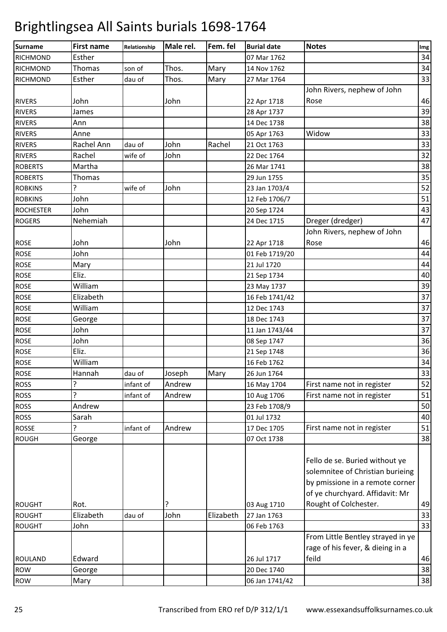| <b>Surname</b>   | <b>First name</b> | Relationship | Male rel. | Fem. fel  | <b>Burial date</b> | <b>Notes</b>                                                                                                                             | Img |
|------------------|-------------------|--------------|-----------|-----------|--------------------|------------------------------------------------------------------------------------------------------------------------------------------|-----|
| <b>RICHMOND</b>  | Esther            |              |           |           | 07 Mar 1762        |                                                                                                                                          | 34  |
| <b>RICHMOND</b>  | Thomas            | son of       | Thos.     | Mary      | 14 Nov 1762        |                                                                                                                                          | 34  |
| <b>RICHMOND</b>  | Esther            | dau of       | Thos.     | Mary      | 27 Mar 1764        |                                                                                                                                          | 33  |
|                  |                   |              |           |           |                    | John Rivers, nephew of John                                                                                                              |     |
| <b>RIVERS</b>    | John              |              | John      |           | 22 Apr 1718        | Rose                                                                                                                                     | 46  |
| <b>RIVERS</b>    | James             |              |           |           | 28 Apr 1737        |                                                                                                                                          | 39  |
| <b>RIVERS</b>    | Ann               |              |           |           | 14 Dec 1738        |                                                                                                                                          | 38  |
| <b>RIVERS</b>    | Anne              |              |           |           | 05 Apr 1763        | Widow                                                                                                                                    | 33  |
| <b>RIVERS</b>    | Rachel Ann        | dau of       | John      | Rachel    | 21 Oct 1763        |                                                                                                                                          | 33  |
| <b>RIVERS</b>    | Rachel            | wife of      | John      |           | 22 Dec 1764        |                                                                                                                                          | 32  |
| <b>ROBERTS</b>   | Martha            |              |           |           | 26 Mar 1741        |                                                                                                                                          | 38  |
| <b>ROBERTS</b>   | <b>Thomas</b>     |              |           |           | 29 Jun 1755        |                                                                                                                                          | 35  |
| <b>ROBKINS</b>   | 5.                | wife of      | John      |           | 23 Jan 1703/4      |                                                                                                                                          | 52  |
| <b>ROBKINS</b>   | John              |              |           |           | 12 Feb 1706/7      |                                                                                                                                          | 51  |
| <b>ROCHESTER</b> | John              |              |           |           | 20 Sep 1724        |                                                                                                                                          | 43  |
| <b>ROGERS</b>    | Nehemiah          |              |           |           | 24 Dec 1715        | Dreger (dredger)                                                                                                                         | 47  |
|                  |                   |              |           |           |                    | John Rivers, nephew of John                                                                                                              |     |
| <b>ROSE</b>      | John              |              | John      |           | 22 Apr 1718        | Rose                                                                                                                                     | 46  |
| <b>ROSE</b>      | John              |              |           |           | 01 Feb 1719/20     |                                                                                                                                          | 44  |
| <b>ROSE</b>      | Mary              |              |           |           | 21 Jul 1720        |                                                                                                                                          | 44  |
| <b>ROSE</b>      | Eliz.             |              |           |           | 21 Sep 1734        |                                                                                                                                          | 40  |
| <b>ROSE</b>      | William           |              |           |           | 23 May 1737        |                                                                                                                                          | 39  |
| <b>ROSE</b>      | Elizabeth         |              |           |           | 16 Feb 1741/42     |                                                                                                                                          | 37  |
| <b>ROSE</b>      | William           |              |           |           | 12 Dec 1743        |                                                                                                                                          | 37  |
| <b>ROSE</b>      | George            |              |           |           | 18 Dec 1743        |                                                                                                                                          | 37  |
| <b>ROSE</b>      | John              |              |           |           | 11 Jan 1743/44     |                                                                                                                                          | 37  |
| <b>ROSE</b>      | John              |              |           |           | 08 Sep 1747        |                                                                                                                                          | 36  |
| <b>ROSE</b>      | Eliz.             |              |           |           | 21 Sep 1748        |                                                                                                                                          | 36  |
| <b>ROSE</b>      | William           |              |           |           | 16 Feb 1762        |                                                                                                                                          | 34  |
| <b>ROSE</b>      | Hannah            | dau of       | Joseph    | Mary      | 26 Jun 1764        |                                                                                                                                          | 33  |
| <b>ROSS</b>      | 5                 | infant of    | Andrew    |           | 16 May 1704        | First name not in register                                                                                                               | 52  |
| <b>ROSS</b>      | 5                 | infant of    | Andrew    |           | 10 Aug 1706        | First name not in register                                                                                                               | 51  |
| <b>ROSS</b>      | Andrew            |              |           |           | 23 Feb 1708/9      |                                                                                                                                          | 50  |
| <b>ROSS</b>      | Sarah             |              |           |           | 01 Jul 1732        |                                                                                                                                          | 40  |
| <b>ROSSE</b>     | ?                 | infant of    | Andrew    |           | 17 Dec 1705        | First name not in register                                                                                                               | 51  |
| <b>ROUGH</b>     | George            |              |           |           | 07 Oct 1738        |                                                                                                                                          | 38  |
|                  |                   |              |           |           |                    | Fello de se. Buried without ye<br>solemnitee of Christian burieing<br>by pmissione in a remote corner<br>of ye churchyard. Affidavit: Mr |     |
| <b>ROUGHT</b>    | Rot.              |              | ?         |           | 03 Aug 1710        | Rought of Colchester.                                                                                                                    | 49  |
| <b>ROUGHT</b>    | Elizabeth         | dau of       | John      | Elizabeth | 27 Jan 1763        |                                                                                                                                          | 33  |
| <b>ROUGHT</b>    | John              |              |           |           | 06 Feb 1763        |                                                                                                                                          | 33  |
|                  |                   |              |           |           |                    | From Little Bentley strayed in ye                                                                                                        |     |
|                  |                   |              |           |           |                    | rage of his fever, & dieing in a                                                                                                         |     |
| <b>ROULAND</b>   | Edward            |              |           |           | 26 Jul 1717        | feild                                                                                                                                    | 46  |
| <b>ROW</b>       | George            |              |           |           | 20 Dec 1740        |                                                                                                                                          | 38  |
| <b>ROW</b>       | Mary              |              |           |           | 06 Jan 1741/42     |                                                                                                                                          | 38  |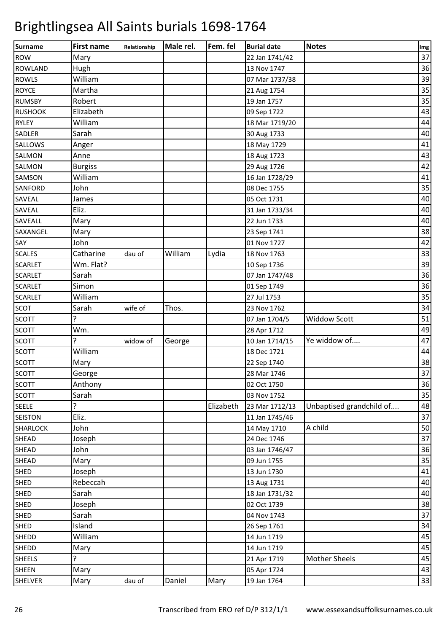| <b>Surname</b>  | <b>First name</b> | Relationship | Male rel. | Fem. fel  | <b>Burial date</b> | <b>Notes</b>             | Img |
|-----------------|-------------------|--------------|-----------|-----------|--------------------|--------------------------|-----|
| <b>ROW</b>      | Mary              |              |           |           | 22 Jan 1741/42     |                          | 37  |
| <b>ROWLAND</b>  | Hugh              |              |           |           | 13 Nov 1747        |                          | 36  |
| <b>ROWLS</b>    | William           |              |           |           | 07 Mar 1737/38     |                          | 39  |
| <b>ROYCE</b>    | Martha            |              |           |           | 21 Aug 1754        |                          | 35  |
| <b>RUMSBY</b>   | Robert            |              |           |           | 19 Jan 1757        |                          | 35  |
| <b>RUSHOOK</b>  | Elizabeth         |              |           |           | 09 Sep 1722        |                          | 43  |
| <b>RYLEY</b>    | William           |              |           |           | 18 Mar 1719/20     |                          | 44  |
| <b>SADLER</b>   | Sarah             |              |           |           | 30 Aug 1733        |                          | 40  |
| SALLOWS         | Anger             |              |           |           | 18 May 1729        |                          | 41  |
| SALMON          | Anne              |              |           |           | 18 Aug 1723        |                          | 43  |
| SALMON          | <b>Burgiss</b>    |              |           |           | 29 Aug 1726        |                          | 42  |
| SAMSON          | William           |              |           |           | 16 Jan 1728/29     |                          | 41  |
| SANFORD         | John              |              |           |           | 08 Dec 1755        |                          | 35  |
| SAVEAL          | James             |              |           |           | 05 Oct 1731        |                          | 40  |
| SAVEAL          | Eliz.             |              |           |           | 31 Jan 1733/34     |                          | 40  |
| SAVEALL         | Mary              |              |           |           | 22 Jun 1733        |                          | 40  |
| SAXANGEL        | Mary              |              |           |           | 23 Sep 1741        |                          | 38  |
| SAY             | John              |              |           |           | 01 Nov 1727        |                          | 42  |
| <b>SCALES</b>   | Catharine         | dau of       | William   | Lydia     | 18 Nov 1763        |                          | 33  |
| <b>SCARLET</b>  | Wm. Flat?         |              |           |           | 10 Sep 1736        |                          | 39  |
| <b>SCARLET</b>  | Sarah             |              |           |           | 07 Jan 1747/48     |                          | 36  |
| <b>SCARLET</b>  | Simon             |              |           |           | 01 Sep 1749        |                          | 36  |
| <b>SCARLET</b>  | William           |              |           |           | 27 Jul 1753        |                          | 35  |
| <b>SCOT</b>     | Sarah             | wife of      | Thos.     |           | 23 Nov 1762        |                          | 34  |
| <b>SCOTT</b>    | 5.                |              |           |           | 07 Jan 1704/5      | <b>Widdow Scott</b>      | 51  |
| <b>SCOTT</b>    | Wm.               |              |           |           | 28 Apr 1712        |                          | 49  |
| <b>SCOTT</b>    | 5                 | widow of     | George    |           | 10 Jan 1714/15     | Ye widdow of             | 47  |
| <b>SCOTT</b>    | William           |              |           |           | 18 Dec 1721        |                          | 44  |
| <b>SCOTT</b>    | Mary              |              |           |           | 22 Sep 1740        |                          | 38  |
| <b>SCOTT</b>    | George            |              |           |           | 28 Mar 1746        |                          | 37  |
| <b>SCOTT</b>    | Anthony           |              |           |           | 02 Oct 1750        |                          | 36  |
| <b>SCOTT</b>    | Sarah             |              |           |           | 03 Nov 1752        |                          | 35  |
| <b>SEELE</b>    | ?                 |              |           | Elizabeth | 23 Mar 1712/13     | Unbaptised grandchild of | 48  |
| <b>SEISTON</b>  | Eliz.             |              |           |           | 11 Jan 1745/46     |                          | 37  |
| <b>SHARLOCK</b> | John              |              |           |           | 14 May 1710        | A child                  | 50  |
| <b>SHEAD</b>    | Joseph            |              |           |           | 24 Dec 1746        |                          | 37  |
| <b>SHEAD</b>    | John              |              |           |           | 03 Jan 1746/47     |                          | 36  |
| <b>SHEAD</b>    | Mary              |              |           |           | 09 Jun 1755        |                          | 35  |
| <b>SHED</b>     | Joseph            |              |           |           | 13 Jun 1730        |                          | 41  |
| <b>SHED</b>     | Rebeccah          |              |           |           | 13 Aug 1731        |                          | 40  |
| <b>SHED</b>     | Sarah             |              |           |           | 18 Jan 1731/32     |                          | 40  |
| <b>SHED</b>     | Joseph            |              |           |           | 02 Oct 1739        |                          | 38  |
| <b>SHED</b>     | Sarah             |              |           |           | 04 Nov 1743        |                          | 37  |
| <b>SHED</b>     | Island            |              |           |           | 26 Sep 1761        |                          | 34  |
| <b>SHEDD</b>    | William           |              |           |           | 14 Jun 1719        |                          | 45  |
| <b>SHEDD</b>    | Mary              |              |           |           | 14 Jun 1719        |                          | 45  |
| <b>SHEELS</b>   | 5.                |              |           |           | 21 Apr 1719        | Mother Sheels            | 45  |
| <b>SHEEN</b>    | Mary              |              |           |           | 05 Apr 1724        |                          | 43  |
| SHELVER         | Mary              | dau of       | Daniel    | Mary      | 19 Jan 1764        |                          | 33  |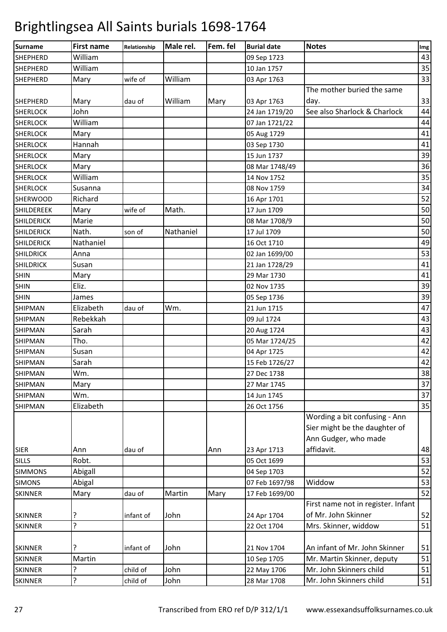| <b>Surname</b>    | <b>First name</b> | Relationship | Male rel. | Fem. fel | <b>Burial date</b> | <b>Notes</b>                                                                           | Img |
|-------------------|-------------------|--------------|-----------|----------|--------------------|----------------------------------------------------------------------------------------|-----|
| <b>SHEPHERD</b>   | William           |              |           |          | 09 Sep 1723        |                                                                                        | 43  |
| <b>SHEPHERD</b>   | William           |              |           |          | 10 Jan 1757        |                                                                                        | 35  |
| <b>SHEPHERD</b>   | Mary              | wife of      | William   |          | 03 Apr 1763        |                                                                                        | 33  |
|                   |                   |              |           |          |                    | The mother buried the same                                                             |     |
| <b>SHEPHERD</b>   | Mary              | dau of       | William   | Mary     | 03 Apr 1763        | day.                                                                                   | 33  |
| <b>SHERLOCK</b>   | John              |              |           |          | 24 Jan 1719/20     | See also Sharlock & Charlock                                                           | 44  |
| <b>SHERLOCK</b>   | William           |              |           |          | 07 Jan 1721/22     |                                                                                        | 44  |
| <b>SHERLOCK</b>   | Mary              |              |           |          | 05 Aug 1729        |                                                                                        | 41  |
| <b>SHERLOCK</b>   | Hannah            |              |           |          | 03 Sep 1730        |                                                                                        | 41  |
| <b>SHERLOCK</b>   | Mary              |              |           |          | 15 Jun 1737        |                                                                                        | 39  |
| <b>SHERLOCK</b>   | Mary              |              |           |          | 08 Mar 1748/49     |                                                                                        | 36  |
| <b>SHERLOCK</b>   | William           |              |           |          | 14 Nov 1752        |                                                                                        | 35  |
| <b>SHERLOCK</b>   | Susanna           |              |           |          | 08 Nov 1759        |                                                                                        | 34  |
| <b>SHERWOOD</b>   | Richard           |              |           |          | 16 Apr 1701        |                                                                                        | 52  |
| SHILDEREEK        | Mary              | wife of      | Math.     |          | 17 Jun 1709        |                                                                                        | 50  |
| <b>SHILDERICK</b> | Marie             |              |           |          | 08 Mar 1708/9      |                                                                                        | 50  |
| <b>SHILDERICK</b> | Nath.             | son of       | Nathaniel |          | 17 Jul 1709        |                                                                                        | 50  |
| <b>SHILDERICK</b> | Nathaniel         |              |           |          | 16 Oct 1710        |                                                                                        | 49  |
| <b>SHILDRICK</b>  | Anna              |              |           |          | 02 Jan 1699/00     |                                                                                        | 53  |
| <b>SHILDRICK</b>  | Susan             |              |           |          | 21 Jan 1728/29     |                                                                                        | 41  |
| <b>SHIN</b>       | Mary              |              |           |          | 29 Mar 1730        |                                                                                        | 41  |
| <b>SHIN</b>       | Eliz.             |              |           |          | 02 Nov 1735        |                                                                                        | 39  |
| <b>SHIN</b>       | James             |              |           |          | 05 Sep 1736        |                                                                                        | 39  |
| <b>SHIPMAN</b>    | Elizabeth         | dau of       | Wm.       |          | 21 Jun 1715        |                                                                                        | 47  |
| <b>SHIPMAN</b>    | Rebekkah          |              |           |          | 09 Jul 1724        |                                                                                        | 43  |
| <b>SHIPMAN</b>    | Sarah             |              |           |          | 20 Aug 1724        |                                                                                        | 43  |
| <b>SHIPMAN</b>    | Tho.              |              |           |          | 05 Mar 1724/25     |                                                                                        | 42  |
| <b>SHIPMAN</b>    | Susan             |              |           |          | 04 Apr 1725        |                                                                                        | 42  |
| <b>SHIPMAN</b>    | Sarah             |              |           |          | 15 Feb 1726/27     |                                                                                        | 42  |
| <b>SHIPMAN</b>    | Wm.               |              |           |          | 27 Dec 1738        |                                                                                        | 38  |
| <b>SHIPMAN</b>    | Mary              |              |           |          | 27 Mar 1745        |                                                                                        | 37  |
| <b>SHIPMAN</b>    | Wm.               |              |           |          | 14 Jun 1745        |                                                                                        | 37  |
| <b>SHIPMAN</b>    | Elizabeth         |              |           |          | 26 Oct 1756        |                                                                                        | 35  |
|                   |                   |              |           |          |                    | Wording a bit confusing - Ann<br>Sier might be the daughter of<br>Ann Gudger, who made |     |
| <b>SIER</b>       | Ann               | dau of       |           | Ann      | 23 Apr 1713        | affidavit.                                                                             | 48  |
| <b>SILLS</b>      | Robt.             |              |           |          | 05 Oct 1699        |                                                                                        | 53  |
| <b>SIMMONS</b>    | Abigall           |              |           |          | 04 Sep 1703        |                                                                                        | 52  |
| <b>SIMONS</b>     | Abigal            |              |           |          | 07 Feb 1697/98     | Widdow                                                                                 | 53  |
| <b>SKINNER</b>    | Mary              | dau of       | Martin    | Mary     | 17 Feb 1699/00     |                                                                                        | 52  |
|                   |                   |              |           |          |                    | First name not in register. Infant                                                     |     |
| <b>SKINNER</b>    | ?                 | infant of    | John      |          | 24 Apr 1704        | of Mr. John Skinner                                                                    | 52  |
| <b>SKINNER</b>    | ŗ                 |              |           |          | 22 Oct 1704        | Mrs. Skinner, widdow                                                                   | 51  |
|                   |                   |              |           |          |                    |                                                                                        |     |
| <b>SKINNER</b>    | ?                 | infant of    | John      |          | 21 Nov 1704        | An infant of Mr. John Skinner                                                          | 51  |
| <b>SKINNER</b>    | Martin            |              |           |          | 10 Sep 1705        | Mr. Martin Skinner, deputy                                                             | 51  |
| <b>SKINNER</b>    | 5.                | child of     | John      |          | 22 May 1706        | Mr. John Skinners child                                                                | 51  |
| <b>SKINNER</b>    | ?                 | child of     | John      |          | 28 Mar 1708        | Mr. John Skinners child                                                                | 51  |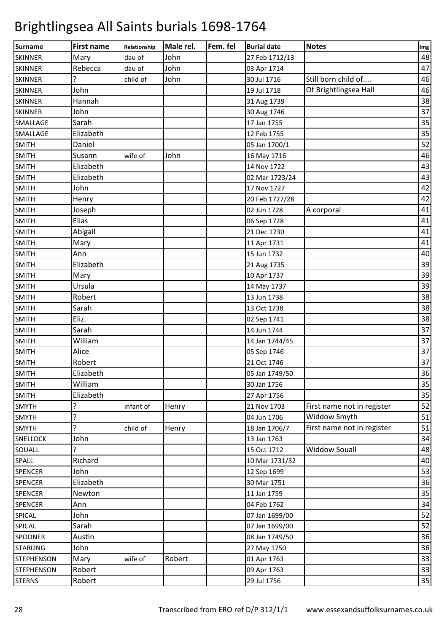| Surname           | <b>First name</b> | Relationship | Male rel. | Fem. fel | <b>Burial date</b> | <b>Notes</b>               | Img |
|-------------------|-------------------|--------------|-----------|----------|--------------------|----------------------------|-----|
| <b>SKINNER</b>    | Mary              | dau of       | John      |          | 27 Feb 1712/13     |                            | 48  |
| <b>SKINNER</b>    | Rebecca           | dau of       | John      |          | 03 Apr 1714        |                            | 47  |
| <b>SKINNER</b>    | 5                 | child of     | John      |          | 30 Jul 1716        | Still born child of        | 46  |
| <b>SKINNER</b>    | John              |              |           |          | 19 Jul 1718        | Of Brightlingsea Hall      | 46  |
| <b>SKINNER</b>    | Hannah            |              |           |          | 31 Aug 1739        |                            | 38  |
| <b>SKINNER</b>    | John              |              |           |          | 30 Aug 1746        |                            | 37  |
| SMALLAGE          | Sarah             |              |           |          | 17 Jan 1755        |                            | 35  |
| SMALLAGE          | Elizabeth         |              |           |          | 12 Feb 1755        |                            | 35  |
| <b>SMITH</b>      | Daniel            |              |           |          | 05 Jan 1700/1      |                            | 52  |
| <b>SMITH</b>      | Susann            | wife of      | John      |          | 16 May 1716        |                            | 46  |
| <b>SMITH</b>      | Elizabeth         |              |           |          | 14 Nov 1722        |                            | 43  |
| <b>SMITH</b>      | Elizabeth         |              |           |          | 02 Mar 1723/24     |                            | 43  |
| <b>SMITH</b>      | John              |              |           |          | 17 Nov 1727        |                            | 42  |
| <b>SMITH</b>      | Henry             |              |           |          | 20 Feb 1727/28     |                            | 42  |
| <b>SMITH</b>      | Joseph            |              |           |          | 02 Jun 1728        | A corporal                 | 41  |
| <b>SMITH</b>      | Elias             |              |           |          | 06 Sep 1728        |                            | 41  |
| <b>SMITH</b>      | Abigail           |              |           |          | 21 Dec 1730        |                            | 41  |
| <b>SMITH</b>      | Mary              |              |           |          | 11 Apr 1731        |                            | 41  |
| <b>SMITH</b>      | Ann               |              |           |          | 15 Jun 1732        |                            | 40  |
| <b>SMITH</b>      | Elizabeth         |              |           |          | 21 Aug 1735        |                            | 39  |
| <b>SMITH</b>      | Mary              |              |           |          | 10 Apr 1737        |                            | 39  |
| <b>SMITH</b>      | Ursula            |              |           |          | 14 May 1737        |                            | 39  |
| <b>SMITH</b>      | Robert            |              |           |          | 13 Jun 1738        |                            | 38  |
| <b>SMITH</b>      | Sarah             |              |           |          | 13 Oct 1738        |                            | 38  |
| <b>SMITH</b>      | Eliz.             |              |           |          | 02 Sep 1741        |                            | 38  |
| <b>SMITH</b>      | Sarah             |              |           |          | 14 Jun 1744        |                            | 37  |
| <b>SMITH</b>      | William           |              |           |          | 14 Jan 1744/45     |                            | 37  |
| <b>SMITH</b>      | Alice             |              |           |          | 05 Sep 1746        |                            | 37  |
| <b>SMITH</b>      | Robert            |              |           |          | 21 Oct 1746        |                            | 37  |
| <b>SMITH</b>      | Elizabeth         |              |           |          | 05 Jan 1749/50     |                            | 36  |
| <b>SMITH</b>      | William           |              |           |          | 30 Jan 1756        |                            | 35  |
| <b>SMITH</b>      | Elizabeth         |              |           |          | 27 Apr 1756        |                            | 35  |
| <b>SMYTH</b>      | ?                 | infant of    | Henry     |          | 21 Nov 1703        | First name not in register | 52  |
| <b>SMYTH</b>      | 5                 |              |           |          | 04 Jun 1706        | Widdow Smyth               | 51  |
| <b>SMYTH</b>      | 5.                | child of     | Henry     |          | 18 Jan 1706/7      | First name not in register | 51  |
| <b>SNELLOCK</b>   | John              |              |           |          | 13 Jan 1763        |                            | 34  |
| SOUALL            | ?                 |              |           |          | 15 Oct 1712        | <b>Widdow Souall</b>       | 48  |
| SPALL             | Richard           |              |           |          | 10 Mar 1731/32     |                            | 40  |
| <b>SPENCER</b>    | John              |              |           |          | 12 Sep 1699        |                            | 53  |
| <b>SPENCER</b>    | Elizabeth         |              |           |          | 30 Mar 1751        |                            | 36  |
| <b>SPENCER</b>    | Newton            |              |           |          | 11 Jan 1759        |                            | 35  |
| SPENCER           | Ann               |              |           |          | 04 Feb 1762        |                            | 34  |
| SPICAL            | John              |              |           |          | 07 Jan 1699/00     |                            | 52  |
| SPICAL            | Sarah             |              |           |          | 07 Jan 1699/00     |                            | 52  |
| SPOONER           | Austin            |              |           |          | 08 Jan 1749/50     |                            | 36  |
| <b>STARLING</b>   | John              |              |           |          | 27 May 1750        |                            | 36  |
| <b>STEPHENSON</b> | Mary              | wife of      | Robert    |          | 01 Apr 1763        |                            | 33  |
| <b>STEPHENSON</b> | Robert            |              |           |          | 09 Apr 1763        |                            | 33  |
| <b>STERNS</b>     | Robert            |              |           |          | 29 Jul 1756        |                            | 35  |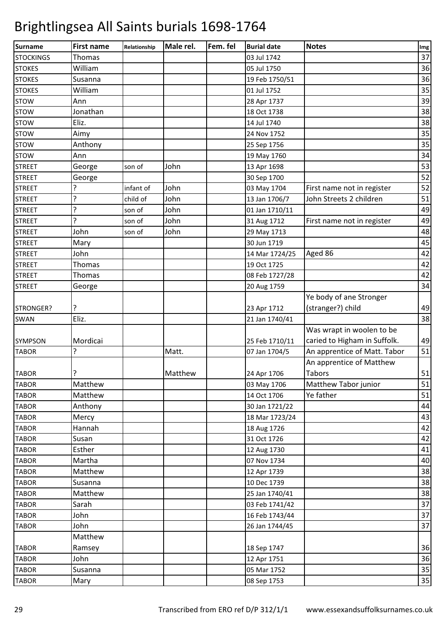| 37<br>Thomas<br><b>STOCKINGS</b><br>03 Jul 1742<br>36<br>William<br>05 Jul 1750<br>36<br>Susanna<br>19 Feb 1750/51<br>William<br>35<br><b>STOKES</b><br>01 Jul 1752<br>39<br><b>STOW</b><br>Ann<br>28 Apr 1737<br>38<br>Jonathan<br><b>STOW</b><br>18 Oct 1738<br>Eliz.<br>38<br>14 Jul 1740<br>35<br>Aimy<br>24 Nov 1752<br>35<br>Anthony<br>25 Sep 1756<br>34<br>Ann<br>19 May 1760<br>53<br>John<br><b>STREET</b><br>George<br>13 Apr 1698<br>son of<br>52<br><b>STREET</b><br>George<br>30 Sep 1700<br>52<br>?<br>John<br>First name not in register<br><b>STREET</b><br>infant of<br>03 May 1704<br>5.<br>John<br>51<br>John Streets 2 children<br>child of<br>13 Jan 1706/7<br><b>STREET</b><br>?<br>49<br>John<br><b>STREET</b><br>01 Jan 1710/11<br>son of<br>5<br>John<br>49<br><b>STREET</b><br>31 Aug 1712<br>First name not in register<br>son of<br>John<br>John<br>48<br><b>STREET</b><br>29 May 1713<br>son of<br>45<br>Mary<br>30 Jun 1719<br><b>STREET</b><br>42<br>John<br>Aged 86<br><b>STREET</b><br>14 Mar 1724/25<br>42<br>Thomas<br><b>STREET</b><br>19 Oct 1725<br>42<br>Thomas<br><b>STREET</b><br>08 Feb 1727/28<br>34<br>20 Aug 1759<br><b>STREET</b><br>George<br>Ye body of ane Stronger<br>49<br>?<br>(stranger?) child<br>STRONGER?<br>23 Apr 1712<br>38<br>Eliz.<br>21 Jan 1740/41<br><b>SWAN</b><br>Was wrapt in woolen to be<br>caried to Higham in Suffolk.<br>49<br>Mordicai<br>25 Feb 1710/11<br><b>SYMPSON</b><br>51<br>?<br>Matt.<br>An apprentice of Matt. Tabor<br><b>TABOR</b><br>07 Jan 1704/5<br>An apprentice of Matthew<br>51<br>Tabors<br>7<br><b>TABOR</b><br>Matthew<br>24 Apr 1706<br>51<br>Matthew Tabor junior<br>Matthew<br><b>TABOR</b><br>03 May 1706<br>Matthew<br>Ye father<br>51<br>14 Oct 1706<br><b>TABOR</b><br>44<br>Anthony<br><b>TABOR</b><br>30 Jan 1721/22<br>43<br>Mercy<br><b>TABOR</b><br>18 Mar 1723/24<br>Hannah<br>42<br>18 Aug 1726<br><b>TABOR</b><br>42<br>Susan<br>31 Oct 1726<br><b>TABOR</b><br>Esther<br>41<br><b>TABOR</b><br>12 Aug 1730<br>40<br>Martha<br>07 Nov 1734<br><b>TABOR</b><br>38<br><b>TABOR</b><br>Matthew<br>12 Apr 1739<br>38<br>Susanna<br>10 Dec 1739<br><b>TABOR</b><br>38<br>Matthew<br><b>TABOR</b><br>25 Jan 1740/41<br>37<br>Sarah<br><b>TABOR</b><br>03 Feb 1741/42<br>37<br>John<br>16 Feb 1743/44<br><b>TABOR</b><br>37<br>John<br><b>TABOR</b><br>26 Jan 1744/45<br>Matthew<br>36<br><b>TABOR</b><br>Ramsey<br>18 Sep 1747<br>John<br>36<br><b>TABOR</b><br>12 Apr 1751<br>35<br>Susanna<br>05 Mar 1752<br><b>TABOR</b><br>35<br>Mary<br>08 Sep 1753<br><b>TABOR</b> | <b>Surname</b> | <b>First name</b> | Relationship | Male rel. | Fem. fel | <b>Burial date</b> | <b>Notes</b> | Img |
|----------------------------------------------------------------------------------------------------------------------------------------------------------------------------------------------------------------------------------------------------------------------------------------------------------------------------------------------------------------------------------------------------------------------------------------------------------------------------------------------------------------------------------------------------------------------------------------------------------------------------------------------------------------------------------------------------------------------------------------------------------------------------------------------------------------------------------------------------------------------------------------------------------------------------------------------------------------------------------------------------------------------------------------------------------------------------------------------------------------------------------------------------------------------------------------------------------------------------------------------------------------------------------------------------------------------------------------------------------------------------------------------------------------------------------------------------------------------------------------------------------------------------------------------------------------------------------------------------------------------------------------------------------------------------------------------------------------------------------------------------------------------------------------------------------------------------------------------------------------------------------------------------------------------------------------------------------------------------------------------------------------------------------------------------------------------------------------------------------------------------------------------------------------------------------------------------------------------------------------------------------------------------------------------------------------------------------------------------------------------------------------------------------------------------------------------------------------------------------------------------------------------------------------------------------------------------------|----------------|-------------------|--------------|-----------|----------|--------------------|--------------|-----|
|                                                                                                                                                                                                                                                                                                                                                                                                                                                                                                                                                                                                                                                                                                                                                                                                                                                                                                                                                                                                                                                                                                                                                                                                                                                                                                                                                                                                                                                                                                                                                                                                                                                                                                                                                                                                                                                                                                                                                                                                                                                                                                                                                                                                                                                                                                                                                                                                                                                                                                                                                                                  |                |                   |              |           |          |                    |              |     |
|                                                                                                                                                                                                                                                                                                                                                                                                                                                                                                                                                                                                                                                                                                                                                                                                                                                                                                                                                                                                                                                                                                                                                                                                                                                                                                                                                                                                                                                                                                                                                                                                                                                                                                                                                                                                                                                                                                                                                                                                                                                                                                                                                                                                                                                                                                                                                                                                                                                                                                                                                                                  | <b>STOKES</b>  |                   |              |           |          |                    |              |     |
|                                                                                                                                                                                                                                                                                                                                                                                                                                                                                                                                                                                                                                                                                                                                                                                                                                                                                                                                                                                                                                                                                                                                                                                                                                                                                                                                                                                                                                                                                                                                                                                                                                                                                                                                                                                                                                                                                                                                                                                                                                                                                                                                                                                                                                                                                                                                                                                                                                                                                                                                                                                  | <b>STOKES</b>  |                   |              |           |          |                    |              |     |
|                                                                                                                                                                                                                                                                                                                                                                                                                                                                                                                                                                                                                                                                                                                                                                                                                                                                                                                                                                                                                                                                                                                                                                                                                                                                                                                                                                                                                                                                                                                                                                                                                                                                                                                                                                                                                                                                                                                                                                                                                                                                                                                                                                                                                                                                                                                                                                                                                                                                                                                                                                                  |                |                   |              |           |          |                    |              |     |
|                                                                                                                                                                                                                                                                                                                                                                                                                                                                                                                                                                                                                                                                                                                                                                                                                                                                                                                                                                                                                                                                                                                                                                                                                                                                                                                                                                                                                                                                                                                                                                                                                                                                                                                                                                                                                                                                                                                                                                                                                                                                                                                                                                                                                                                                                                                                                                                                                                                                                                                                                                                  |                |                   |              |           |          |                    |              |     |
|                                                                                                                                                                                                                                                                                                                                                                                                                                                                                                                                                                                                                                                                                                                                                                                                                                                                                                                                                                                                                                                                                                                                                                                                                                                                                                                                                                                                                                                                                                                                                                                                                                                                                                                                                                                                                                                                                                                                                                                                                                                                                                                                                                                                                                                                                                                                                                                                                                                                                                                                                                                  |                |                   |              |           |          |                    |              |     |
|                                                                                                                                                                                                                                                                                                                                                                                                                                                                                                                                                                                                                                                                                                                                                                                                                                                                                                                                                                                                                                                                                                                                                                                                                                                                                                                                                                                                                                                                                                                                                                                                                                                                                                                                                                                                                                                                                                                                                                                                                                                                                                                                                                                                                                                                                                                                                                                                                                                                                                                                                                                  | <b>STOW</b>    |                   |              |           |          |                    |              |     |
|                                                                                                                                                                                                                                                                                                                                                                                                                                                                                                                                                                                                                                                                                                                                                                                                                                                                                                                                                                                                                                                                                                                                                                                                                                                                                                                                                                                                                                                                                                                                                                                                                                                                                                                                                                                                                                                                                                                                                                                                                                                                                                                                                                                                                                                                                                                                                                                                                                                                                                                                                                                  | <b>STOW</b>    |                   |              |           |          |                    |              |     |
|                                                                                                                                                                                                                                                                                                                                                                                                                                                                                                                                                                                                                                                                                                                                                                                                                                                                                                                                                                                                                                                                                                                                                                                                                                                                                                                                                                                                                                                                                                                                                                                                                                                                                                                                                                                                                                                                                                                                                                                                                                                                                                                                                                                                                                                                                                                                                                                                                                                                                                                                                                                  | <b>STOW</b>    |                   |              |           |          |                    |              |     |
|                                                                                                                                                                                                                                                                                                                                                                                                                                                                                                                                                                                                                                                                                                                                                                                                                                                                                                                                                                                                                                                                                                                                                                                                                                                                                                                                                                                                                                                                                                                                                                                                                                                                                                                                                                                                                                                                                                                                                                                                                                                                                                                                                                                                                                                                                                                                                                                                                                                                                                                                                                                  | <b>STOW</b>    |                   |              |           |          |                    |              |     |
|                                                                                                                                                                                                                                                                                                                                                                                                                                                                                                                                                                                                                                                                                                                                                                                                                                                                                                                                                                                                                                                                                                                                                                                                                                                                                                                                                                                                                                                                                                                                                                                                                                                                                                                                                                                                                                                                                                                                                                                                                                                                                                                                                                                                                                                                                                                                                                                                                                                                                                                                                                                  |                |                   |              |           |          |                    |              |     |
|                                                                                                                                                                                                                                                                                                                                                                                                                                                                                                                                                                                                                                                                                                                                                                                                                                                                                                                                                                                                                                                                                                                                                                                                                                                                                                                                                                                                                                                                                                                                                                                                                                                                                                                                                                                                                                                                                                                                                                                                                                                                                                                                                                                                                                                                                                                                                                                                                                                                                                                                                                                  |                |                   |              |           |          |                    |              |     |
|                                                                                                                                                                                                                                                                                                                                                                                                                                                                                                                                                                                                                                                                                                                                                                                                                                                                                                                                                                                                                                                                                                                                                                                                                                                                                                                                                                                                                                                                                                                                                                                                                                                                                                                                                                                                                                                                                                                                                                                                                                                                                                                                                                                                                                                                                                                                                                                                                                                                                                                                                                                  |                |                   |              |           |          |                    |              |     |
|                                                                                                                                                                                                                                                                                                                                                                                                                                                                                                                                                                                                                                                                                                                                                                                                                                                                                                                                                                                                                                                                                                                                                                                                                                                                                                                                                                                                                                                                                                                                                                                                                                                                                                                                                                                                                                                                                                                                                                                                                                                                                                                                                                                                                                                                                                                                                                                                                                                                                                                                                                                  |                |                   |              |           |          |                    |              |     |
|                                                                                                                                                                                                                                                                                                                                                                                                                                                                                                                                                                                                                                                                                                                                                                                                                                                                                                                                                                                                                                                                                                                                                                                                                                                                                                                                                                                                                                                                                                                                                                                                                                                                                                                                                                                                                                                                                                                                                                                                                                                                                                                                                                                                                                                                                                                                                                                                                                                                                                                                                                                  |                |                   |              |           |          |                    |              |     |
|                                                                                                                                                                                                                                                                                                                                                                                                                                                                                                                                                                                                                                                                                                                                                                                                                                                                                                                                                                                                                                                                                                                                                                                                                                                                                                                                                                                                                                                                                                                                                                                                                                                                                                                                                                                                                                                                                                                                                                                                                                                                                                                                                                                                                                                                                                                                                                                                                                                                                                                                                                                  |                |                   |              |           |          |                    |              |     |
|                                                                                                                                                                                                                                                                                                                                                                                                                                                                                                                                                                                                                                                                                                                                                                                                                                                                                                                                                                                                                                                                                                                                                                                                                                                                                                                                                                                                                                                                                                                                                                                                                                                                                                                                                                                                                                                                                                                                                                                                                                                                                                                                                                                                                                                                                                                                                                                                                                                                                                                                                                                  |                |                   |              |           |          |                    |              |     |
|                                                                                                                                                                                                                                                                                                                                                                                                                                                                                                                                                                                                                                                                                                                                                                                                                                                                                                                                                                                                                                                                                                                                                                                                                                                                                                                                                                                                                                                                                                                                                                                                                                                                                                                                                                                                                                                                                                                                                                                                                                                                                                                                                                                                                                                                                                                                                                                                                                                                                                                                                                                  |                |                   |              |           |          |                    |              |     |
|                                                                                                                                                                                                                                                                                                                                                                                                                                                                                                                                                                                                                                                                                                                                                                                                                                                                                                                                                                                                                                                                                                                                                                                                                                                                                                                                                                                                                                                                                                                                                                                                                                                                                                                                                                                                                                                                                                                                                                                                                                                                                                                                                                                                                                                                                                                                                                                                                                                                                                                                                                                  |                |                   |              |           |          |                    |              |     |
|                                                                                                                                                                                                                                                                                                                                                                                                                                                                                                                                                                                                                                                                                                                                                                                                                                                                                                                                                                                                                                                                                                                                                                                                                                                                                                                                                                                                                                                                                                                                                                                                                                                                                                                                                                                                                                                                                                                                                                                                                                                                                                                                                                                                                                                                                                                                                                                                                                                                                                                                                                                  |                |                   |              |           |          |                    |              |     |
|                                                                                                                                                                                                                                                                                                                                                                                                                                                                                                                                                                                                                                                                                                                                                                                                                                                                                                                                                                                                                                                                                                                                                                                                                                                                                                                                                                                                                                                                                                                                                                                                                                                                                                                                                                                                                                                                                                                                                                                                                                                                                                                                                                                                                                                                                                                                                                                                                                                                                                                                                                                  |                |                   |              |           |          |                    |              |     |
|                                                                                                                                                                                                                                                                                                                                                                                                                                                                                                                                                                                                                                                                                                                                                                                                                                                                                                                                                                                                                                                                                                                                                                                                                                                                                                                                                                                                                                                                                                                                                                                                                                                                                                                                                                                                                                                                                                                                                                                                                                                                                                                                                                                                                                                                                                                                                                                                                                                                                                                                                                                  |                |                   |              |           |          |                    |              |     |
|                                                                                                                                                                                                                                                                                                                                                                                                                                                                                                                                                                                                                                                                                                                                                                                                                                                                                                                                                                                                                                                                                                                                                                                                                                                                                                                                                                                                                                                                                                                                                                                                                                                                                                                                                                                                                                                                                                                                                                                                                                                                                                                                                                                                                                                                                                                                                                                                                                                                                                                                                                                  |                |                   |              |           |          |                    |              |     |
|                                                                                                                                                                                                                                                                                                                                                                                                                                                                                                                                                                                                                                                                                                                                                                                                                                                                                                                                                                                                                                                                                                                                                                                                                                                                                                                                                                                                                                                                                                                                                                                                                                                                                                                                                                                                                                                                                                                                                                                                                                                                                                                                                                                                                                                                                                                                                                                                                                                                                                                                                                                  |                |                   |              |           |          |                    |              |     |
|                                                                                                                                                                                                                                                                                                                                                                                                                                                                                                                                                                                                                                                                                                                                                                                                                                                                                                                                                                                                                                                                                                                                                                                                                                                                                                                                                                                                                                                                                                                                                                                                                                                                                                                                                                                                                                                                                                                                                                                                                                                                                                                                                                                                                                                                                                                                                                                                                                                                                                                                                                                  |                |                   |              |           |          |                    |              |     |
|                                                                                                                                                                                                                                                                                                                                                                                                                                                                                                                                                                                                                                                                                                                                                                                                                                                                                                                                                                                                                                                                                                                                                                                                                                                                                                                                                                                                                                                                                                                                                                                                                                                                                                                                                                                                                                                                                                                                                                                                                                                                                                                                                                                                                                                                                                                                                                                                                                                                                                                                                                                  |                |                   |              |           |          |                    |              |     |
|                                                                                                                                                                                                                                                                                                                                                                                                                                                                                                                                                                                                                                                                                                                                                                                                                                                                                                                                                                                                                                                                                                                                                                                                                                                                                                                                                                                                                                                                                                                                                                                                                                                                                                                                                                                                                                                                                                                                                                                                                                                                                                                                                                                                                                                                                                                                                                                                                                                                                                                                                                                  |                |                   |              |           |          |                    |              |     |
|                                                                                                                                                                                                                                                                                                                                                                                                                                                                                                                                                                                                                                                                                                                                                                                                                                                                                                                                                                                                                                                                                                                                                                                                                                                                                                                                                                                                                                                                                                                                                                                                                                                                                                                                                                                                                                                                                                                                                                                                                                                                                                                                                                                                                                                                                                                                                                                                                                                                                                                                                                                  |                |                   |              |           |          |                    |              |     |
|                                                                                                                                                                                                                                                                                                                                                                                                                                                                                                                                                                                                                                                                                                                                                                                                                                                                                                                                                                                                                                                                                                                                                                                                                                                                                                                                                                                                                                                                                                                                                                                                                                                                                                                                                                                                                                                                                                                                                                                                                                                                                                                                                                                                                                                                                                                                                                                                                                                                                                                                                                                  |                |                   |              |           |          |                    |              |     |
|                                                                                                                                                                                                                                                                                                                                                                                                                                                                                                                                                                                                                                                                                                                                                                                                                                                                                                                                                                                                                                                                                                                                                                                                                                                                                                                                                                                                                                                                                                                                                                                                                                                                                                                                                                                                                                                                                                                                                                                                                                                                                                                                                                                                                                                                                                                                                                                                                                                                                                                                                                                  |                |                   |              |           |          |                    |              |     |
|                                                                                                                                                                                                                                                                                                                                                                                                                                                                                                                                                                                                                                                                                                                                                                                                                                                                                                                                                                                                                                                                                                                                                                                                                                                                                                                                                                                                                                                                                                                                                                                                                                                                                                                                                                                                                                                                                                                                                                                                                                                                                                                                                                                                                                                                                                                                                                                                                                                                                                                                                                                  |                |                   |              |           |          |                    |              |     |
|                                                                                                                                                                                                                                                                                                                                                                                                                                                                                                                                                                                                                                                                                                                                                                                                                                                                                                                                                                                                                                                                                                                                                                                                                                                                                                                                                                                                                                                                                                                                                                                                                                                                                                                                                                                                                                                                                                                                                                                                                                                                                                                                                                                                                                                                                                                                                                                                                                                                                                                                                                                  |                |                   |              |           |          |                    |              |     |
|                                                                                                                                                                                                                                                                                                                                                                                                                                                                                                                                                                                                                                                                                                                                                                                                                                                                                                                                                                                                                                                                                                                                                                                                                                                                                                                                                                                                                                                                                                                                                                                                                                                                                                                                                                                                                                                                                                                                                                                                                                                                                                                                                                                                                                                                                                                                                                                                                                                                                                                                                                                  |                |                   |              |           |          |                    |              |     |
|                                                                                                                                                                                                                                                                                                                                                                                                                                                                                                                                                                                                                                                                                                                                                                                                                                                                                                                                                                                                                                                                                                                                                                                                                                                                                                                                                                                                                                                                                                                                                                                                                                                                                                                                                                                                                                                                                                                                                                                                                                                                                                                                                                                                                                                                                                                                                                                                                                                                                                                                                                                  |                |                   |              |           |          |                    |              |     |
|                                                                                                                                                                                                                                                                                                                                                                                                                                                                                                                                                                                                                                                                                                                                                                                                                                                                                                                                                                                                                                                                                                                                                                                                                                                                                                                                                                                                                                                                                                                                                                                                                                                                                                                                                                                                                                                                                                                                                                                                                                                                                                                                                                                                                                                                                                                                                                                                                                                                                                                                                                                  |                |                   |              |           |          |                    |              |     |
|                                                                                                                                                                                                                                                                                                                                                                                                                                                                                                                                                                                                                                                                                                                                                                                                                                                                                                                                                                                                                                                                                                                                                                                                                                                                                                                                                                                                                                                                                                                                                                                                                                                                                                                                                                                                                                                                                                                                                                                                                                                                                                                                                                                                                                                                                                                                                                                                                                                                                                                                                                                  |                |                   |              |           |          |                    |              |     |
|                                                                                                                                                                                                                                                                                                                                                                                                                                                                                                                                                                                                                                                                                                                                                                                                                                                                                                                                                                                                                                                                                                                                                                                                                                                                                                                                                                                                                                                                                                                                                                                                                                                                                                                                                                                                                                                                                                                                                                                                                                                                                                                                                                                                                                                                                                                                                                                                                                                                                                                                                                                  |                |                   |              |           |          |                    |              |     |
|                                                                                                                                                                                                                                                                                                                                                                                                                                                                                                                                                                                                                                                                                                                                                                                                                                                                                                                                                                                                                                                                                                                                                                                                                                                                                                                                                                                                                                                                                                                                                                                                                                                                                                                                                                                                                                                                                                                                                                                                                                                                                                                                                                                                                                                                                                                                                                                                                                                                                                                                                                                  |                |                   |              |           |          |                    |              |     |
|                                                                                                                                                                                                                                                                                                                                                                                                                                                                                                                                                                                                                                                                                                                                                                                                                                                                                                                                                                                                                                                                                                                                                                                                                                                                                                                                                                                                                                                                                                                                                                                                                                                                                                                                                                                                                                                                                                                                                                                                                                                                                                                                                                                                                                                                                                                                                                                                                                                                                                                                                                                  |                |                   |              |           |          |                    |              |     |
|                                                                                                                                                                                                                                                                                                                                                                                                                                                                                                                                                                                                                                                                                                                                                                                                                                                                                                                                                                                                                                                                                                                                                                                                                                                                                                                                                                                                                                                                                                                                                                                                                                                                                                                                                                                                                                                                                                                                                                                                                                                                                                                                                                                                                                                                                                                                                                                                                                                                                                                                                                                  |                |                   |              |           |          |                    |              |     |
|                                                                                                                                                                                                                                                                                                                                                                                                                                                                                                                                                                                                                                                                                                                                                                                                                                                                                                                                                                                                                                                                                                                                                                                                                                                                                                                                                                                                                                                                                                                                                                                                                                                                                                                                                                                                                                                                                                                                                                                                                                                                                                                                                                                                                                                                                                                                                                                                                                                                                                                                                                                  |                |                   |              |           |          |                    |              |     |
|                                                                                                                                                                                                                                                                                                                                                                                                                                                                                                                                                                                                                                                                                                                                                                                                                                                                                                                                                                                                                                                                                                                                                                                                                                                                                                                                                                                                                                                                                                                                                                                                                                                                                                                                                                                                                                                                                                                                                                                                                                                                                                                                                                                                                                                                                                                                                                                                                                                                                                                                                                                  |                |                   |              |           |          |                    |              |     |
|                                                                                                                                                                                                                                                                                                                                                                                                                                                                                                                                                                                                                                                                                                                                                                                                                                                                                                                                                                                                                                                                                                                                                                                                                                                                                                                                                                                                                                                                                                                                                                                                                                                                                                                                                                                                                                                                                                                                                                                                                                                                                                                                                                                                                                                                                                                                                                                                                                                                                                                                                                                  |                |                   |              |           |          |                    |              |     |
|                                                                                                                                                                                                                                                                                                                                                                                                                                                                                                                                                                                                                                                                                                                                                                                                                                                                                                                                                                                                                                                                                                                                                                                                                                                                                                                                                                                                                                                                                                                                                                                                                                                                                                                                                                                                                                                                                                                                                                                                                                                                                                                                                                                                                                                                                                                                                                                                                                                                                                                                                                                  |                |                   |              |           |          |                    |              |     |
|                                                                                                                                                                                                                                                                                                                                                                                                                                                                                                                                                                                                                                                                                                                                                                                                                                                                                                                                                                                                                                                                                                                                                                                                                                                                                                                                                                                                                                                                                                                                                                                                                                                                                                                                                                                                                                                                                                                                                                                                                                                                                                                                                                                                                                                                                                                                                                                                                                                                                                                                                                                  |                |                   |              |           |          |                    |              |     |
|                                                                                                                                                                                                                                                                                                                                                                                                                                                                                                                                                                                                                                                                                                                                                                                                                                                                                                                                                                                                                                                                                                                                                                                                                                                                                                                                                                                                                                                                                                                                                                                                                                                                                                                                                                                                                                                                                                                                                                                                                                                                                                                                                                                                                                                                                                                                                                                                                                                                                                                                                                                  |                |                   |              |           |          |                    |              |     |
|                                                                                                                                                                                                                                                                                                                                                                                                                                                                                                                                                                                                                                                                                                                                                                                                                                                                                                                                                                                                                                                                                                                                                                                                                                                                                                                                                                                                                                                                                                                                                                                                                                                                                                                                                                                                                                                                                                                                                                                                                                                                                                                                                                                                                                                                                                                                                                                                                                                                                                                                                                                  |                |                   |              |           |          |                    |              |     |
|                                                                                                                                                                                                                                                                                                                                                                                                                                                                                                                                                                                                                                                                                                                                                                                                                                                                                                                                                                                                                                                                                                                                                                                                                                                                                                                                                                                                                                                                                                                                                                                                                                                                                                                                                                                                                                                                                                                                                                                                                                                                                                                                                                                                                                                                                                                                                                                                                                                                                                                                                                                  |                |                   |              |           |          |                    |              |     |
|                                                                                                                                                                                                                                                                                                                                                                                                                                                                                                                                                                                                                                                                                                                                                                                                                                                                                                                                                                                                                                                                                                                                                                                                                                                                                                                                                                                                                                                                                                                                                                                                                                                                                                                                                                                                                                                                                                                                                                                                                                                                                                                                                                                                                                                                                                                                                                                                                                                                                                                                                                                  |                |                   |              |           |          |                    |              |     |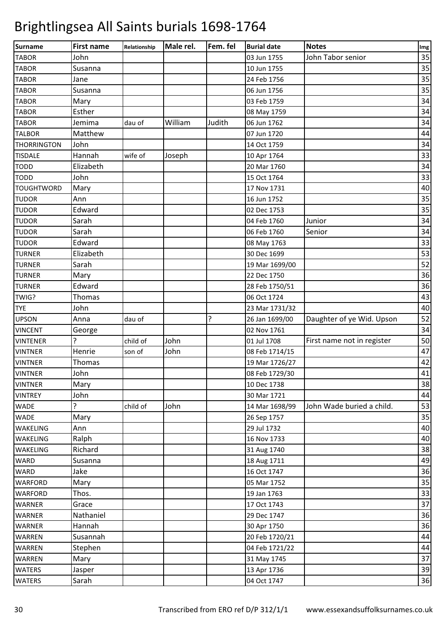| <b>Surname</b>     | <b>First name</b> | Relationship | Male rel. | Fem. fel | <b>Burial date</b> | <b>Notes</b>               | Img |
|--------------------|-------------------|--------------|-----------|----------|--------------------|----------------------------|-----|
| <b>TABOR</b>       | John              |              |           |          | 03 Jun 1755        | John Tabor senior          | 35  |
| <b>TABOR</b>       | Susanna           |              |           |          | 10 Jun 1755        |                            | 35  |
| <b>TABOR</b>       | Jane              |              |           |          | 24 Feb 1756        |                            | 35  |
| <b>TABOR</b>       | Susanna           |              |           |          | 06 Jun 1756        |                            | 35  |
| <b>TABOR</b>       | Mary              |              |           |          | 03 Feb 1759        |                            | 34  |
| <b>TABOR</b>       | Esther            |              |           |          | 08 May 1759        |                            | 34  |
| <b>TABOR</b>       | Jemima            | dau of       | William   | Judith   | 06 Jun 1762        |                            | 34  |
| <b>TALBOR</b>      | Matthew           |              |           |          | 07 Jun 1720        |                            | 44  |
| <b>THORRINGTON</b> | John              |              |           |          | 14 Oct 1759        |                            | 34  |
| <b>TISDALE</b>     | Hannah            | wife of      | Joseph    |          | 10 Apr 1764        |                            | 33  |
| <b>TODD</b>        | Elizabeth         |              |           |          | 20 Mar 1760        |                            | 34  |
| <b>TODD</b>        | John              |              |           |          | 15 Oct 1764        |                            | 33  |
| <b>TOUGHTWORD</b>  | Mary              |              |           |          | 17 Nov 1731        |                            | 40  |
| <b>TUDOR</b>       | Ann               |              |           |          | 16 Jun 1752        |                            | 35  |
| <b>TUDOR</b>       | Edward            |              |           |          | 02 Dec 1753        |                            | 35  |
| <b>TUDOR</b>       | Sarah             |              |           |          | 04 Feb 1760        | Junior                     | 34  |
| <b>TUDOR</b>       | Sarah             |              |           |          | 06 Feb 1760        | Senior                     | 34  |
| <b>TUDOR</b>       | Edward            |              |           |          | 08 May 1763        |                            | 33  |
| <b>TURNER</b>      | Elizabeth         |              |           |          | 30 Dec 1699        |                            | 53  |
| <b>TURNER</b>      | Sarah             |              |           |          | 19 Mar 1699/00     |                            | 52  |
| <b>TURNER</b>      | Mary              |              |           |          | 22 Dec 1750        |                            | 36  |
| <b>TURNER</b>      | Edward            |              |           |          | 28 Feb 1750/51     |                            | 36  |
| TWIG?              | Thomas            |              |           |          | 06 Oct 1724        |                            | 43  |
| <b>TYE</b>         | John              |              |           |          | 23 Mar 1731/32     |                            | 40  |
| <b>UPSON</b>       | Anna              | dau of       |           | 5.       | 26 Jan 1699/00     | Daughter of ye Wid. Upson  | 52  |
| <b>VINCENT</b>     | George            |              |           |          | 02 Nov 1761        |                            | 34  |
| <b>VINTENER</b>    | 5.                | child of     | John      |          | 01 Jul 1708        | First name not in register | 50  |
| <b>VINTNER</b>     | Henrie            | son of       | John      |          | 08 Feb 1714/15     |                            | 47  |
| <b>VINTNER</b>     | Thomas            |              |           |          | 19 Mar 1726/27     |                            | 42  |
| <b>VINTNER</b>     | John              |              |           |          | 08 Feb 1729/30     |                            | 41  |
| <b>VINTNER</b>     | Mary              |              |           |          | 10 Dec 1738        |                            | 38  |
| <b>VINTREY</b>     | John              |              |           |          | 30 Mar 1721        |                            | 44  |
| <b>WADE</b>        | ?                 | child of     | John      |          | 14 Mar 1698/99     | John Wade buried a child.  | 53  |
| <b>WADE</b>        | Mary              |              |           |          | 26 Sep 1757        |                            | 35  |
| WAKELING           | Ann               |              |           |          | 29 Jul 1732        |                            | 40  |
| WAKELING           | Ralph             |              |           |          | 16 Nov 1733        |                            | 40  |
| WAKELING           | Richard           |              |           |          | 31 Aug 1740        |                            | 38  |
| <b>WARD</b>        | Susanna           |              |           |          | 18 Aug 1711        |                            | 49  |
| <b>WARD</b>        | Jake              |              |           |          | 16 Oct 1747        |                            | 36  |
| <b>WARFORD</b>     | Mary              |              |           |          | 05 Mar 1752        |                            | 35  |
| <b>WARFORD</b>     | Thos.             |              |           |          | 19 Jan 1763        |                            | 33  |
| <b>WARNER</b>      | Grace             |              |           |          | 17 Oct 1743        |                            | 37  |
| <b>WARNER</b>      | Nathaniel         |              |           |          | 29 Dec 1747        |                            | 36  |
| <b>WARNER</b>      | Hannah            |              |           |          | 30 Apr 1750        |                            | 36  |
| WARREN             | Susannah          |              |           |          | 20 Feb 1720/21     |                            | 44  |
| <b>WARREN</b>      | Stephen           |              |           |          | 04 Feb 1721/22     |                            | 44  |
| <b>WARREN</b>      | Mary              |              |           |          | 31 May 1745        |                            | 37  |
| <b>WATERS</b>      | Jasper            |              |           |          | 13 Apr 1736        |                            | 39  |
| <b>WATERS</b>      | Sarah             |              |           |          | 04 Oct 1747        |                            | 36  |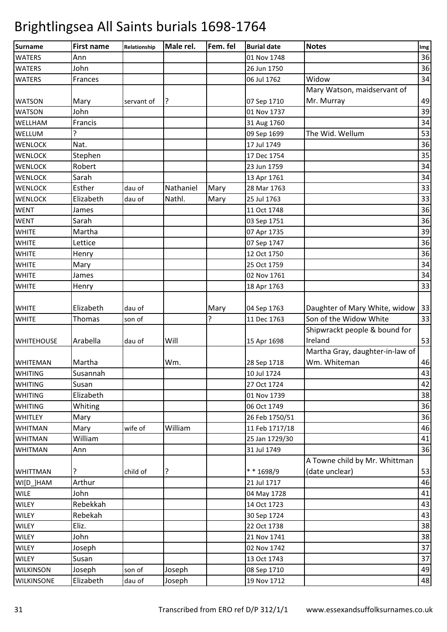| <b>Surname</b>    | <b>First name</b> | Relationship | Male rel. | Fem. fel | <b>Burial date</b> | <b>Notes</b>                    | Img |
|-------------------|-------------------|--------------|-----------|----------|--------------------|---------------------------------|-----|
| <b>WATERS</b>     | Ann               |              |           |          | 01 Nov 1748        |                                 | 36  |
| <b>WATERS</b>     | John              |              |           |          | 26 Jun 1750        |                                 | 36  |
| <b>WATERS</b>     | Frances           |              |           |          | 06 Jul 1762        | Widow                           | 34  |
|                   |                   |              |           |          |                    | Mary Watson, maidservant of     |     |
| <b>WATSON</b>     | Mary              | servant of   | ? ا       |          | 07 Sep 1710        | Mr. Murray                      | 49  |
| <b>WATSON</b>     | John              |              |           |          | 01 Nov 1737        |                                 | 39  |
| WELLHAM           | Francis           |              |           |          | 31 Aug 1760        |                                 | 34  |
| WELLUM            | 5                 |              |           |          | 09 Sep 1699        | The Wid. Wellum                 | 53  |
| <b>WENLOCK</b>    | Nat.              |              |           |          | 17 Jul 1749        |                                 | 36  |
| <b>WENLOCK</b>    | Stephen           |              |           |          | 17 Dec 1754        |                                 | 35  |
| <b>WENLOCK</b>    | Robert            |              |           |          | 23 Jun 1759        |                                 | 34  |
| <b>WENLOCK</b>    | Sarah             |              |           |          | 13 Apr 1761        |                                 | 34  |
| <b>WENLOCK</b>    | Esther            | dau of       | Nathaniel | Mary     | 28 Mar 1763        |                                 | 33  |
| <b>WENLOCK</b>    | Elizabeth         | dau of       | Nathl.    | Mary     | 25 Jul 1763        |                                 | 33  |
| <b>WENT</b>       | James             |              |           |          | 11 Oct 1748        |                                 | 36  |
| <b>WENT</b>       | Sarah             |              |           |          | 03 Sep 1751        |                                 | 36  |
| <b>WHITE</b>      | Martha            |              |           |          | 07 Apr 1735        |                                 | 39  |
| <b>WHITE</b>      | Lettice           |              |           |          | 07 Sep 1747        |                                 | 36  |
| <b>WHITE</b>      | Henry             |              |           |          | 12 Oct 1750        |                                 | 36  |
| <b>WHITE</b>      | Mary              |              |           |          | 25 Oct 1759        |                                 | 34  |
| <b>WHITE</b>      | James             |              |           |          | 02 Nov 1761        |                                 | 34  |
| <b>WHITE</b>      | Henry             |              |           |          | 18 Apr 1763        |                                 | 33  |
|                   |                   |              |           |          |                    |                                 |     |
| <b>WHITE</b>      | Elizabeth         | dau of       |           | Mary     | 04 Sep 1763        | Daughter of Mary White, widow   | 33  |
| <b>WHITE</b>      | Thomas            | son of       |           | ?        | 11 Dec 1763        | Son of the Widow White          | 33  |
|                   |                   |              |           |          |                    | Shipwrackt people & bound for   |     |
| <b>WHITEHOUSE</b> | Arabella          | dau of       | Will      |          | 15 Apr 1698        | Ireland                         | 53  |
|                   |                   |              |           |          |                    | Martha Gray, daughter-in-law of |     |
| <b>WHITEMAN</b>   | Martha            |              | Wm.       |          | 28 Sep 1718        | Wm. Whiteman                    | 46  |
| <b>WHITING</b>    | Susannah          |              |           |          | 10 Jul 1724        |                                 | 43  |
| <b>WHITING</b>    | Susan             |              |           |          | 27 Oct 1724        |                                 | 42  |
| <b>WHITING</b>    | Elizabeth         |              |           |          | 01 Nov 1739        |                                 | 38  |
| <b>WHITING</b>    | Whiting           |              |           |          | 06 Oct 1749        |                                 | 36  |
| <b>WHITLEY</b>    | Mary              |              |           |          | 26 Feb 1750/51     |                                 | 36  |
| <b>WHITMAN</b>    | Mary              | wife of      | William   |          | 11 Feb 1717/18     |                                 | 46  |
| <b>WHITMAN</b>    | William           |              |           |          | 25 Jan 1729/30     |                                 | 41  |
| <b>WHITMAN</b>    | Ann               |              |           |          | 31 Jul 1749        |                                 | 36  |
|                   |                   |              |           |          |                    | A Towne child by Mr. Whittman   |     |
| <b>WHITTMAN</b>   | ?                 | child of     | ?         |          | ** 1698/9          | (date unclear)                  | 53  |
| WI[D_]HAM         | Arthur            |              |           |          | 21 Jul 1717        |                                 | 46  |
| <b>WILE</b>       | John              |              |           |          | 04 May 1728        |                                 | 41  |
| WILEY             | Rebekkah          |              |           |          | 14 Oct 1723        |                                 | 43  |
| <b>WILEY</b>      | Rebekah           |              |           |          | 30 Sep 1724        |                                 | 43  |
| WILEY             | Eliz.             |              |           |          | 22 Oct 1738        |                                 | 38  |
| <b>WILEY</b>      | John              |              |           |          | 21 Nov 1741        |                                 | 38  |
| <b>WILEY</b>      | Joseph            |              |           |          | 02 Nov 1742        |                                 | 37  |
| <b>WILEY</b>      | Susan             |              |           |          | 13 Oct 1743        |                                 | 37  |
| <b>WILKINSON</b>  | Joseph            | son of       | Joseph    |          | 08 Sep 1710        |                                 | 49  |
| <b>WILKINSONE</b> | Elizabeth         | dau of       | Joseph    |          | 19 Nov 1712        |                                 | 48  |